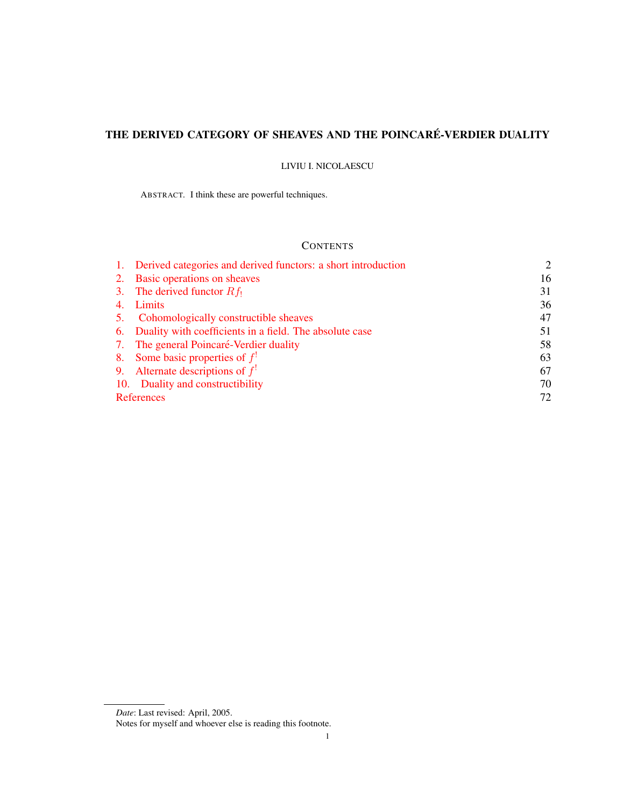# THE DERIVED CATEGORY OF SHEAVES AND THE POINCARÉ-VERDIER DUALITY

LIVIU I. NICOLAESCU

ABSTRACT. I think these are powerful techniques.

## **CONTENTS**

|    | 1. Derived categories and derived functors: a short introduction | $\mathcal{D}_{\mathcal{L}}$ |
|----|------------------------------------------------------------------|-----------------------------|
|    | 2. Basic operations on sheaves                                   | 16                          |
|    | 3. The derived functor $Rf_1$                                    | 31                          |
|    | Limits                                                           | 36                          |
| 5. | Cohomologically constructible sheaves                            | 47                          |
|    | 6. Duality with coefficients in a field. The absolute case       | 51                          |
|    | 7. The general Poincaré-Verdier duality                          | 58                          |
|    | 8. Some basic properties of $f!$                                 | 63                          |
|    | 9. Alternate descriptions of $f!$                                | 67                          |
|    | 10. Duality and constructibility                                 | 70                          |
|    | <b>References</b>                                                | 72                          |
|    |                                                                  |                             |

*Date*: Last revised: April, 2005.

Notes for myself and whoever else is reading this footnote.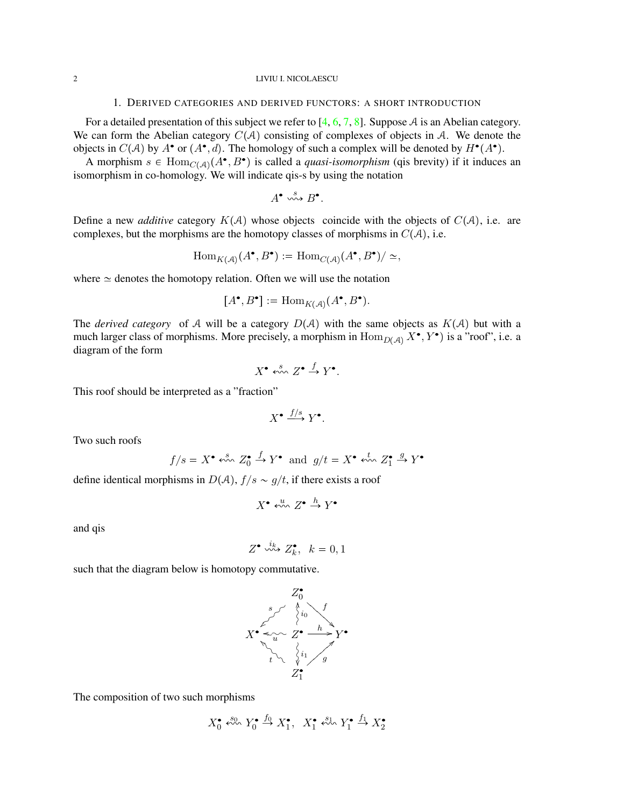## 2 LIVIU I. NICOLAESCU

## 1. DERIVED CATEGORIES AND DERIVED FUNCTORS: A SHORT INTRODUCTION

<span id="page-1-0"></span>For a detailed presentation of this subject we refer to  $[4, 6, 7, 8]$  $[4, 6, 7, 8]$  $[4, 6, 7, 8]$  $[4, 6, 7, 8]$  $[4, 6, 7, 8]$  $[4, 6, 7, 8]$  $[4, 6, 7, 8]$ . Suppose A is an Abelian category. We can form the Abelian category  $C(A)$  consisting of complexes of objects in A. We denote the objects in  $C(A)$  by  $A^{\bullet}$  or  $(A^{\bullet}, d)$ . The homology of such a complex will be denoted by  $H^{\bullet}(A^{\bullet})$ .

A morphism  $s \in Hom_{C(\mathcal{A})}(A^{\bullet}, B^{\bullet})$  is called a *quasi-isomorphism* (qis brevity) if it induces an isomorphism in co-homology. We will indicate qis-s by using the notation

$$
A^{\bullet} \stackrel{s}{\leadsto} B^{\bullet}.
$$

Define a new *additive* category  $K(A)$  whose objects coincide with the objects of  $C(A)$ , i.e. are complexes, but the morphisms are the homotopy classes of morphisms in  $C(A)$ , i.e.

$$
\mathrm{Hom}_{K(\mathcal{A})}(A^\bullet,B^\bullet):=\mathrm{Hom}_{C(\mathcal{A})}(A^\bullet,B^\bullet)/\simeq,
$$

where  $\simeq$  denotes the homotopy relation. Often we will use the notation

$$
[A^{\bullet}, B^{\bullet}] := \text{Hom}_{K(\mathcal{A})}(A^{\bullet}, B^{\bullet}).
$$

The *derived category* of A will be a category  $D(A)$  with the same objects as  $K(A)$  but with a much larger class of morphisms. More precisely, a morphism in  $\text{Hom}_{D(\mathcal{A})} X^{\bullet}, Y^{\bullet}$  is a "roof", i.e. a diagram of the form

$$
X^{\bullet} \stackrel{s}{\leftrightsquigarrow} Z^{\bullet} \stackrel{f}{\rightarrow} Y^{\bullet}.
$$

This roof should be interpreted as a "fraction"

$$
X^{\bullet} \xrightarrow{f/s} Y^{\bullet}.
$$

Two such roofs

$$
f/s = X^{\bullet} \stackrel{s}{\leftrightsquigarrow} Z_0^{\bullet} \stackrel{f}{\rightarrow} Y^{\bullet}
$$
 and  $g/t = X^{\bullet} \stackrel{t}{\leftrightsquigarrow} Z_1^{\bullet} \stackrel{g}{\rightarrow} Y^{\bullet}$ 

define identical morphisms in  $D(A)$ ,  $f/s \sim g/t$ , if there exists a roof

$$
X^{\bullet} \stackrel{u}{\leftrightsquigarrow} Z^{\bullet} \stackrel{h}{\rightarrow} Y^{\bullet}
$$

and qis

$$
Z^{\bullet} \stackrel{i_k}{\leadsto} Z_k^{\bullet}, \ \ k = 0, 1
$$

such that the diagram below is homotopy commutative.



The composition of two such morphisms

$$
X_0^{\bullet} \stackrel{s_0}{\leftrightsquigarrow} Y_0^{\bullet} \stackrel{f_0}{\rightarrow} X_1^{\bullet}, X_1^{\bullet} \stackrel{s_1}{\leftrightsquigarrow} Y_1^{\bullet} \stackrel{f_1}{\rightarrow} X_2^{\bullet}
$$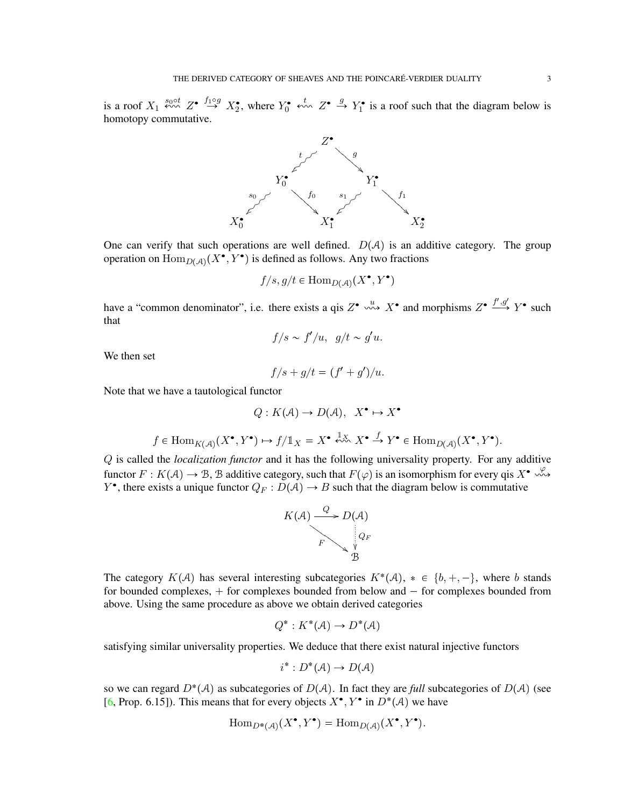is a roof  $X_1 \stackrel{s_0 \circ t}{\leftrightarrow} Z^{\bullet}$   $\stackrel{f_1 \circ g}{\rightarrow} X_2^{\bullet}$ , where  $Y_0^{\bullet}$   $\stackrel{t}{\leftrightarrow} Z^{\bullet}$   $\stackrel{g}{\rightarrow} Y_1^{\bullet}$  is a roof such that the diagram below is homotopy commutative.



One can verify that such operations are well defined.  $D(A)$  is an additive category. The group operation on  $\text{Hom}_{D(\mathcal{A})}(X^{\bullet}, Y^{\bullet})$  is defined as follows. Any two fractions

$$
f/s, g/t \in \text{Hom}_{D(\mathcal{A})}(X^{\bullet}, Y^{\bullet})
$$

have a "common denominator", i.e. there exists a qis  $Z^{\bullet} \stackrel{u}{\leadsto} X^{\bullet}$  and morphisms  $Z^{\bullet} \stackrel{f', g'}{\longrightarrow} Y^{\bullet}$  such that

$$
f/s \sim f'/u, \ \ g/t \sim g'u.
$$

We then set

$$
f/s + g/t = (f' + g')/u.
$$

Note that we have a tautological functor

$$
Q: K(\mathcal{A}) \to D(\mathcal{A}), \ X^{\bullet} \mapsto X^{\bullet}
$$

$$
f \in \mathrm{Hom}_{K(\mathcal{A})}(X^\bullet,Y^\bullet) \mapsto f/\mathbb{1}_X = X^\bullet \xleftarrow{\mathbb{1}_X} X^\bullet \xrightarrow{f} Y^\bullet \in \mathrm{Hom}_{D(\mathcal{A})}(X^\bullet,Y^\bullet).
$$

Q is called the *localization functor* and it has the following universality property. For any additive functor  $F: K(\mathcal{A}) \to \mathcal{B}$ , B additive category, such that  $F(\varphi)$  is an isomorphism for every qis  $X^{\bullet} \rightsquigarrow$  $Y^{\bullet}$ , there exists a unique functor  $Q_F: D(\mathcal{A}) \to B$  such that the diagram below is commutative



The category  $K(A)$  has several interesting subcategories  $K^*(A)$ ,  $* \in \{b, +, -\}$ , where b stands for bounded complexes,  $+$  for complexes bounded from below and  $-$  for complexes bounded from above. Using the same procedure as above we obtain derived categories

$$
Q^*: K^*(\mathcal{A}) \to D^*(\mathcal{A})
$$

satisfying similar universality properties. We deduce that there exist natural injective functors

$$
i^*: D^*(\mathcal{A}) \to D(\mathcal{A})
$$

so we can regard  $D^*(A)$  as subcategories of  $D(A)$ . In fact they are *full* subcategories of  $D(A)$  (see [\[6,](#page-71-2) Prop. 6.15]). This means that for every objects  $X^{\bullet}, Y^{\bullet}$  in  $D^*(\mathcal{A})$  we have

$$
\operatorname{Hom}_{D^*(\mathcal{A})}(X^{\bullet}, Y^{\bullet}) = \operatorname{Hom}_{D(\mathcal{A})}(X^{\bullet}, Y^{\bullet}).
$$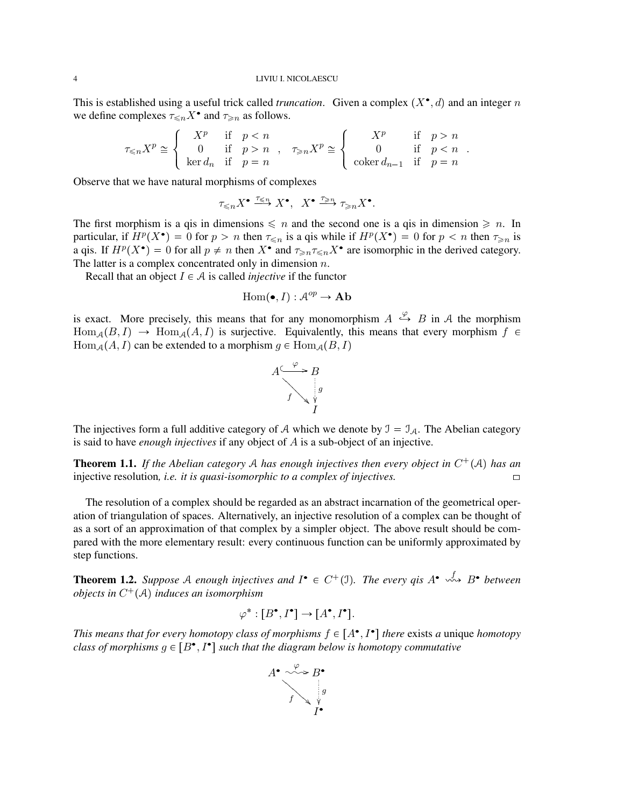#### 4 LIVIU I. NICOLAESCU

This is established using a useful trick called *truncation*. Given a complex  $(X^{\bullet}, d)$  and an integer n we define complexes  $\tau_{\leq n} X^{\bullet}$  and  $\tau_{\geq n}$  as follows.

$$
\tau_{\leqslant n}X^p\cong \left\{\begin{array}{ccc}X^p&\text{if}&pn\\ \ker d_n&\text{if}&p=n\end{array}\right.,\quad \tau_{\geqslant n}X^p\cong \left\{\begin{array}{ccc}X^p&\text{if}&p>n\\0&\text{if}&p
$$

.

Observe that we have natural morphisms of complexes

$$
\tau_{\leqslant n}X^{\bullet} \stackrel{\tau_{\leqslant n}}{\longrightarrow} X^{\bullet}, \quad X^{\bullet} \stackrel{\tau_{\geqslant n}}{\longrightarrow} \tau_{\geqslant n}X^{\bullet}.
$$

The first morphism is a qis in dimensions  $\leq n$  and the second one is a qis in dimension  $\geq n$ . In particular, if  $H^p(X^{\bullet}) = 0$  for  $p > n$  then  $\tau \leq n$  is a qis while if  $H^p(X^{\bullet}) = 0$  for  $p < n$  then  $\tau \geq n$  is a qis. If  $H^p(X^{\bullet}) = 0$  for all  $p \neq n$  then  $X^{\bullet}$  and  $\tau \geq n \tau \leq n X^{\bullet}$  are isomorphic in the derived category. The latter is a complex concentrated only in dimension  $n$ .

Recall that an object  $I \in \mathcal{A}$  is called *injective* if the functor

$$
\text{Hom}(\bullet, I): \mathcal{A}^{op} \to \mathbf{Ab}
$$

is exact. More precisely, this means that for any monomorphism  $A \stackrel{\varphi}{\hookrightarrow} B$  in A the morphism  $\text{Hom}_{\mathcal{A}}(B, I) \to \text{Hom}_{\mathcal{A}}(A, I)$  is surjective. Equivalently, this means that every morphism  $f \in$  $\text{Hom}_{\mathcal{A}}(A, I)$  can be extended to a morphism  $g \in \text{Hom}_{\mathcal{A}}(B, I)$ 



The injectives form a full additive category of A which we denote by  $\mathcal{I} = \mathcal{I}_{\mathcal{A}}$ . The Abelian category is said to have *enough injectives* if any object of A is a sub-object of an injective.

**Theorem 1.1.** If the Abelian category A has enough injectives then every object in  $C^+(\mathcal{A})$  has an injective resolution, *i.e. it is quasi-isomorphic to a complex of injectives.*  $\Box$ 

The resolution of a complex should be regarded as an abstract incarnation of the geometrical operation of triangulation of spaces. Alternatively, an injective resolution of a complex can be thought of as a sort of an approximation of that complex by a simpler object. The above result should be compared with the more elementary result: every continuous function can be uniformly approximated by step functions.

<span id="page-3-0"></span>**Theorem 1.2.** Suppose A enough injectives and  $I^{\bullet} \in C^+(1)$ . The every qis  $A^{\bullet} \stackrel{f}{\leadsto} B^{\bullet}$  between *objects in* C pAq *induces an isomorphism*

$$
\varphi^* : [B^\bullet, I^\bullet] \to [A^\bullet, I^\bullet].
$$

*This means that for every homotopy class of morphisms*  $f \in [A^{\bullet}, I^{\bullet}]$  *there* exists *a* unique *homotopy class of morphisms*  $g \in [B^{\bullet}, I^{\bullet}]$  such that the diagram below is homotopy commutative

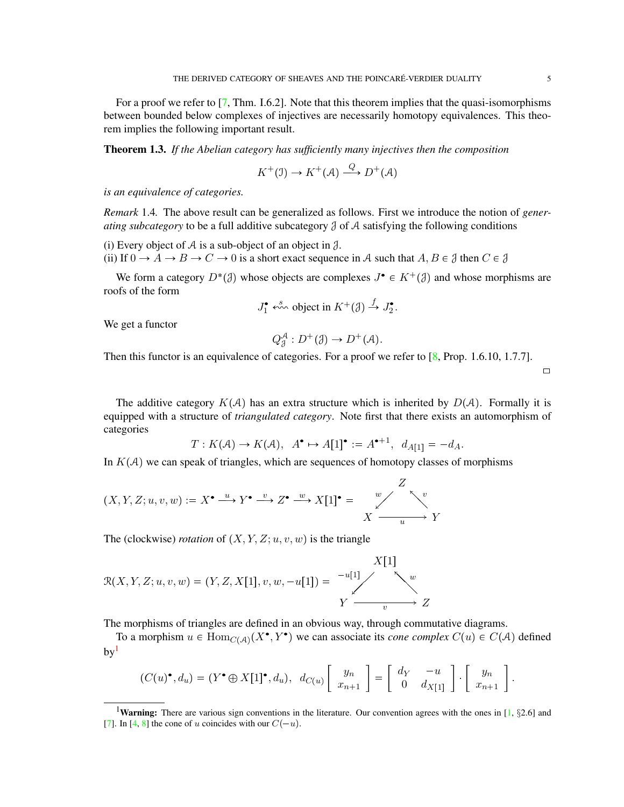For a proof we refer to [\[7,](#page-71-3) Thm. I.6.2]. Note that this theorem implies that the quasi-isomorphisms between bounded below complexes of injectives are necessarily homotopy equivalences. This theorem implies the following important result.

Theorem 1.3. *If the Abelian category has sufficiently many injectives then the composition*

$$
K^+(\mathfrak{I}) \to K^+(\mathcal{A}) \xrightarrow{Q} D^+(\mathcal{A})
$$

*is an equivalence of categories.*

<span id="page-4-1"></span>*Remark* 1.4*.* The above result can be generalized as follows. First we introduce the notion of *generating subcategory* to be a full additive subcategory J of A satisfying the following conditions

(i) Every object of A is a sub-object of an object in  $\lambda$ .

(ii) If  $0 \to A \to B \to C \to 0$  is a short exact sequence in A such that  $A, B \in \mathcal{J}$  then  $C \in \mathcal{J}$ 

We form a category  $D^*(\mathcal{J})$  whose objects are complexes  $J^{\bullet} \in K^+(\mathcal{J})$  and whose morphisms are roofs of the form

$$
J_1^{\bullet} \stackrel{s}{\leftrightsquigarrow} \text{object in } K^+(\mathcal{J}) \stackrel{f}{\rightarrow} J_2^{\bullet}.
$$

We get a functor

$$
Q_{\mathcal{J}}^{\mathcal{A}}: D^+(\mathcal{J}) \to D^+(\mathcal{A}).
$$

Then this functor is an equivalence of categories. For a proof we refer to [\[8,](#page-71-4) Prop. 1.6.10, 1.7.7].

 $\Box$ 

The additive category  $K(A)$  has an extra structure which is inherited by  $D(A)$ . Formally it is equipped with a structure of *triangulated category*. Note first that there exists an automorphism of categories

$$
T: K(\mathcal{A}) \to K(\mathcal{A}), \ \ A^{\bullet} \to A[1]^{\bullet} := A^{\bullet+1}, \ \ d_{A[1]} = -d_A.
$$

In  $K(A)$  we can speak of triangles, which are sequences of homotopy classes of morphisms

$$
(X, Y, Z; u, v, w) := X^{\bullet} \xrightarrow{u} Y^{\bullet} \xrightarrow{v} Z^{\bullet} \xrightarrow{w} X[1]^{\bullet} = \bigvee_{X \xrightarrow{w} X} X^{\bullet} \xrightarrow{v} Y
$$

The (clockwise) *rotation* of  $(X, Y, Z; u, v, w)$  is the triangle

$$
\mathcal{R}(X, Y, Z; u, v, w) = (Y, Z, X[1], v, w, -u[1]) = \begin{array}{c} X[1] \\ \searrow^w \\ Y \xrightarrow{v} Z \end{array}
$$

The morphisms of triangles are defined in an obvious way, through commutative diagrams.

To a morphism  $u \in Hom_{C(\mathcal{A})}(X^{\bullet}, Y^{\bullet})$  we can associate its *cone complex*  $C(u) \in C(\mathcal{A})$  defined  $bv<sup>1</sup>$  $bv<sup>1</sup>$  $bv<sup>1</sup>$ 

$$
(C(u)^{\bullet}, d_u) = (Y^{\bullet} \oplus X[1]^{\bullet}, d_u), d_{C(u)} \left[ \begin{array}{c} y_n \\ x_{n+1} \end{array} \right] = \left[ \begin{array}{cc} d_Y & -u \\ 0 & d_{X[1]} \end{array} \right] \cdot \left[ \begin{array}{c} y_n \\ x_{n+1} \end{array} \right].
$$

<span id="page-4-0"></span><sup>&</sup>lt;sup>1</sup>Warning: There are various sign conventions in the literature. Our convention agrees with the ones in [\[1,](#page-71-5)  $\S 2.6$ ] and [\[7\]](#page-71-3). In [\[4,](#page-71-1) [8\]](#page-71-4) the cone of u coincides with our  $C(-u)$ .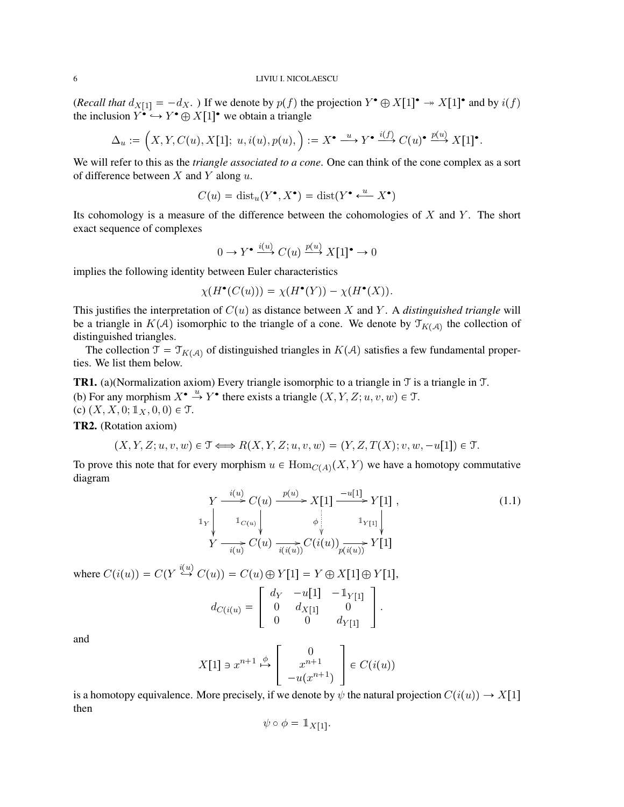### 6 LIVIU I. NICOLAESCU

(*Recall that*  $d_{X[1]} = -d_X$ .) If we denote by  $p(f)$  the projection  $Y^{\bullet} \oplus X[1]^{\bullet} \twoheadrightarrow X[1]^{\bullet}$  and by  $i(f)$ the inclusion  $Y^{\bullet} \hookrightarrow Y^{\bullet} \oplus X[1]^{\bullet}$  we obtain a triangle

$$
\Delta_u := \left( X, Y, C(u), X[1]; u, i(u), p(u), \right) := X^{\bullet} \xrightarrow{u} Y^{\bullet} \xrightarrow{i(f)} C(u)^{\bullet} \xrightarrow{p(u)} X[1]^{\bullet}.
$$

We will refer to this as the *triangle associated to a cone*. One can think of the cone complex as a sort of difference between  $X$  and  $Y$  along  $u$ .

$$
C(u) = \text{dist}_u(Y^\bullet, X^\bullet) = \text{dist}(Y^\bullet \xleftarrow{u} X^\bullet)
$$

Its cohomology is a measure of the difference between the cohomologies of  $X$  and  $Y$ . The short exact sequence of complexes

$$
0 \to Y^{\bullet} \xrightarrow{i(u)} C(u) \xrightarrow{p(u)} X[1]^{\bullet} \to 0
$$

implies the following identity between Euler characteristics

$$
\chi(H^{\bullet}(C(u))) = \chi(H^{\bullet}(Y)) - \chi(H^{\bullet}(X)).
$$

This justifies the interpretation of  $C(u)$  as distance between X and Y. A *distinguished triangle* will be a triangle in  $K(\mathcal{A})$  isomorphic to the triangle of a cone. We denote by  $\mathcal{T}_{K(\mathcal{A})}$  the collection of distinguished triangles.

The collection  $\mathfrak{T} = \mathfrak{T}_{K(\mathcal{A})}$  of distinguished triangles in  $K(\mathcal{A})$  satisfies a few fundamental properties. We list them below.

**TR1.** (a)(Normalization axiom) Every triangle isomorphic to a triangle in  $\mathcal T$  is a triangle in  $\mathcal T$ . (b) For any morphism  $X^{\bullet} \stackrel{u}{\rightarrow} Y^{\bullet}$  there exists a triangle  $(X, Y, Z; u, v, w) \in \mathcal{T}$ . (c)  $(X, X, 0; 1_X, 0, 0) \in \mathcal{T}$ .

TR2. (Rotation axiom)

$$
(X, Y, Z; u, v, w) \in \mathcal{T} \Longleftrightarrow R(X, Y, Z; u, v, w) = (Y, Z, T(X); v, w, -u[1]) \in \mathcal{T}.
$$

To prove this note that for every morphism  $u \in Hom_{C(A)}(X, Y)$  we have a homotopy commutative diagram

$$
Y \xrightarrow{i(u)} C(u) \xrightarrow{p(u)} X[1] \xrightarrow{-u[1]} Y[1],
$$
\n
$$
\downarrow^{1} \downarrow^{1} C(u) \downarrow^{1} \downarrow^{1} \downarrow^{1} \downarrow^{1} \downarrow^{1} \downarrow^{1} \downarrow^{1} \downarrow^{1} \downarrow^{1} \downarrow^{1} \downarrow^{1} \downarrow^{1} \downarrow^{1} \downarrow^{1} \downarrow^{1} \downarrow^{1} \downarrow^{1} \downarrow^{1} \downarrow^{1} \downarrow^{1} \downarrow^{1} \downarrow^{1} \downarrow^{1} \downarrow^{1} \downarrow^{1} \downarrow^{1} \downarrow^{1} \downarrow^{1} \downarrow^{1} \downarrow^{1} \downarrow^{1} \downarrow^{1} \downarrow^{1} \downarrow^{1} \downarrow^{1} \downarrow^{1} \downarrow^{1} \downarrow^{1} \downarrow^{1} \downarrow^{1} \downarrow^{1} \downarrow^{1} \downarrow^{1} \downarrow^{1} \downarrow^{1} \downarrow^{1} \downarrow^{1} \downarrow^{1} \downarrow^{1} \downarrow^{1} \downarrow^{1} \downarrow^{1} \downarrow^{1} \downarrow^{1} \downarrow^{1} \downarrow^{1} \downarrow^{1} \downarrow^{1} \downarrow^{1} \downarrow^{1} \downarrow^{1} \downarrow^{1} \downarrow^{1} \downarrow^{1} \downarrow^{1} \downarrow^{1} \downarrow^{1} \downarrow^{1} \downarrow^{1} \downarrow^{1} \downarrow^{1} \downarrow^{1} \downarrow^{1} \downarrow^{1} \downarrow^{1} \downarrow^{1} \downarrow^{1} \downarrow^{1} \downarrow^{1} \downarrow^{1} \downarrow^{1} \downarrow^{1} \downarrow^{1} \downarrow^{1} \downarrow^{1} \downarrow^{1} \downarrow^{1} \downarrow^{1} \downarrow^{1} \downarrow^{1} \downarrow^{1} \downarrow^{1} \downarrow^{1} \downarrow^{1} \downarrow^{1} \downarrow^{1} \downarrow^{1} \downarrow^{1} \downarrow^{1} \downarrow^{1} \downarrow^{1} \downarrow^{1} \downarrow^{1} \downarrow^{1} \downarrow^{1} \downarrow^{1} \downarrow^{1} \downarrow^{1} \downarrow^{1} \downarrow^{1} \downarrow^{1} \downarrow^{1} \downarrow^{1} \downarrow^{1} \downarrow^{1} \downarrow^{1} \downarrow^{1}
$$

where  $C(i(u)) = C(Y \stackrel{i(u)}{\hookrightarrow} C(u)) = C(u) \oplus Y[1] = Y \oplus X[1] \oplus Y[1],$  $\begin{bmatrix} d_Y & -u[1] & -\mathbb{1}_{Y[1]} \end{bmatrix}$ 

$$
d_{C(i(u))} = \left[ \begin{array}{ccc} a_Y & a_{1,Y} & a_{Y[1]} \\ 0 & d_{X[1]} & 0 \\ 0 & 0 & d_{Y[1]} \end{array} \right].
$$

and

$$
X[1] \ni x^{n+1} \stackrel{\phi}{\mapsto} \left[ \begin{array}{c} 0 \\ x^{n+1} \\ -u(x^{n+1}) \end{array} \right] \in C(i(u))
$$

is a homotopy equivalence. More precisely, if we denote by  $\psi$  the natural projection  $C(i(u)) \to X[1]$ then

$$
\psi \circ \phi = \mathbb{1}_{X[1]}.
$$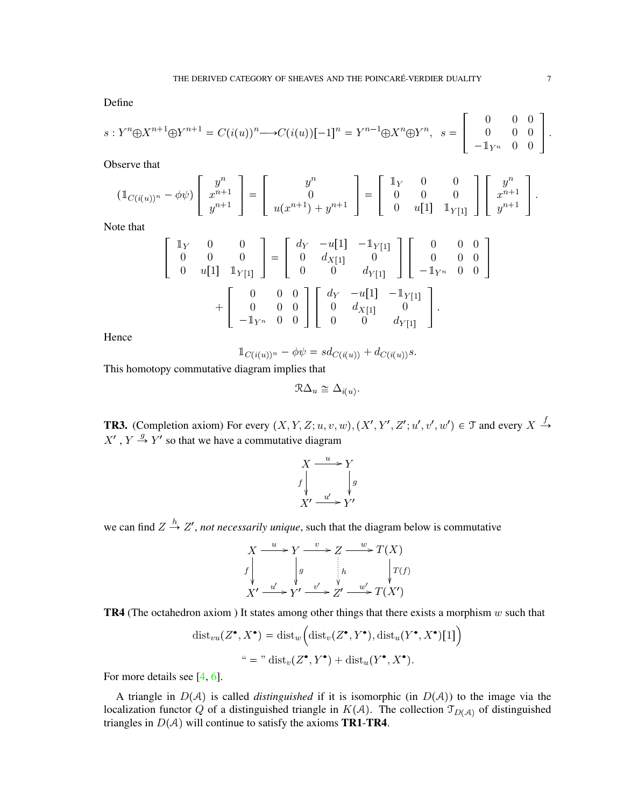Define

$$
s: Y^{n} \oplus X^{n+1} \oplus Y^{n+1} = C(i(u))^{n} \longrightarrow C(i(u))[-1]^{n} = Y^{n-1} \oplus X^{n} \oplus Y^{n}, \quad s = \begin{bmatrix} 0 & 0 & 0 \\ 0 & 0 & 0 \\ -\mathbb{1}_{Y^{n}} & 0 & 0 \end{bmatrix}.
$$

Observe that

$$
(\mathbb{1}_{C(i(u))^n} - \phi \psi) \begin{bmatrix} y^n \\ x^{n+1} \\ y^{n+1} \end{bmatrix} = \begin{bmatrix} y^n \\ 0 \\ u(x^{n+1}) + y^{n+1} \end{bmatrix} = \begin{bmatrix} \mathbb{1}_Y & 0 & 0 \\ 0 & 0 & 0 \\ 0 & u[1] & \mathbb{1}_{Y[1]} \end{bmatrix} \begin{bmatrix} y^n \\ x^{n+1} \\ y^{n+1} \end{bmatrix}.
$$

Note that

$$
\begin{bmatrix}\n\begin{bmatrix}\n\mathbb{1}_Y & 0 & 0 \\
0 & 0 & 0 \\
0 & u[1] & \mathbb{1}_Y[1]\n\end{bmatrix} =\n\begin{bmatrix}\nd_Y & -u[1] & -\mathbb{1}_Y[1] \\
0 & d_{X[1]} & 0 \\
0 & 0 & d_{Y[1]}\n\end{bmatrix}\n\begin{bmatrix}\n0 & 0 & 0 \\
0 & 0 & 0 \\
- \mathbb{1}_{Y^n} & 0 & 0\n\end{bmatrix} +\n\begin{bmatrix}\n0 & 0 & 0 \\
0 & 0 & 0 \\
- \mathbb{1}_{Y^n} & 0 & 0\n\end{bmatrix}\n\begin{bmatrix}\nd_Y & -u[1] & -\mathbb{1}_Y[1] \\
0 & d_{X[1]} & 0 \\
0 & 0 & d_{Y[1]}\n\end{bmatrix}.
$$

Hence

$$
\mathbb{1}_{C(i(u))^n}-\phi\psi=sd_{C(i(u))}+d_{C(i(u))}s.
$$

This homotopy commutative diagram implies that

$$
\mathcal{R}\Delta_u \cong \Delta_{i(u)}.
$$

**TR3.** (Completion axiom) For every  $(X, Y, Z; u, v, w)$ ,  $(X', Y', Z'; u', v', w') \in \mathcal{T}$  and every  $X \stackrel{f}{\rightarrow}$  $X'$ ,  $Y \stackrel{g}{\rightarrow} Y'$  so that we have a commutative diagram

$$
X \xrightarrow{u} Y
$$
  
f  

$$
X' \xrightarrow{u'} Y'
$$

we can find  $Z \stackrel{h}{\rightarrow} Z'$ , *not necessarily unique*, such that the diagram below is commutative

$$
X \xrightarrow{u} Y \xrightarrow{v} Z \xrightarrow{w} T(X)
$$
  

$$
f \downarrow g \qquad h \qquad \downarrow T(f)
$$
  

$$
X' \xrightarrow{u'} Y' \xrightarrow{v'} Z' \xrightarrow{w'} T(X')
$$

**TR4** (The octahedron axiom ) It states among other things that there exists a morphism  $w$  such that

$$
dist_{vu}(Z^{\bullet}, X^{\bullet}) = dist_w\Big(\text{dist}_v(Z^{\bullet}, Y^{\bullet}), \text{dist}_u(Y^{\bullet}, X^{\bullet})[1]\Big)
$$

$$
`` = "dist_v(Z^{\bullet}, Y^{\bullet}) + dist_u(Y^{\bullet}, X^{\bullet}).
$$

For more details see [\[4,](#page-71-1) [6\]](#page-71-2).

A triangle in  $D(A)$  is called *distinguished* if it is isomorphic (in  $D(A)$ ) to the image via the localization functor Q of a distinguished triangle in  $K(A)$ . The collection  $\mathcal{T}_{D(A)}$  of distinguished triangles in  $D(A)$  will continue to satisfy the axioms **TR1-TR4**.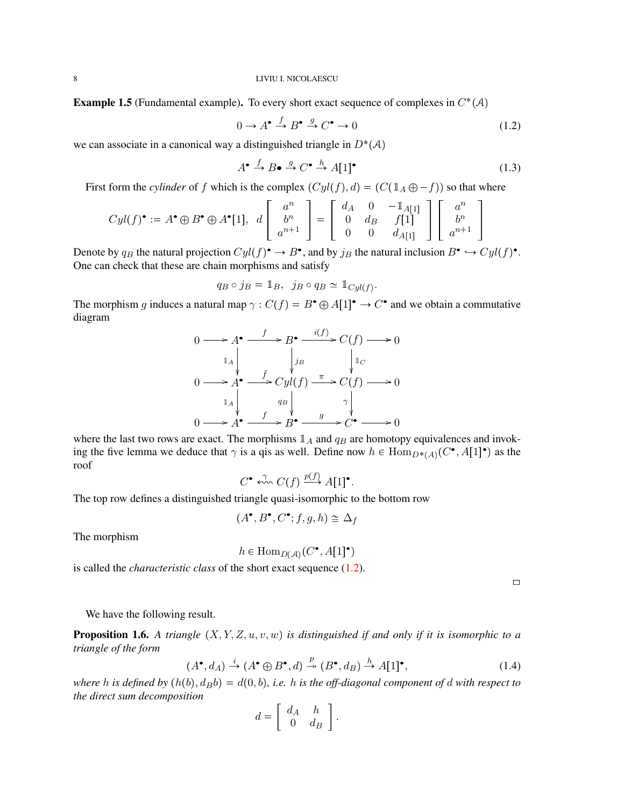**Example 1.5** (Fundamental example). To every short exact sequence of complexes in  $C^*(\mathcal{A})$ 

<span id="page-7-0"></span>
$$
0 \to A^{\bullet} \xrightarrow{f} B^{\bullet} \xrightarrow{g} C^{\bullet} \to 0 \tag{1.2}
$$

we can associate in a canonical way a distinguished triangle in  $D^*(A)$ 

$$
A^{\bullet} \xrightarrow{f} B^{\bullet} \xrightarrow{g} C^{\bullet} \xrightarrow{h} A[1]^{\bullet}
$$
 (1.3)

First form the *cylinder* of f which is the complex  $(Cyl(f), d) = (C(\mathbb{1}_A \oplus -f))$  so that where

$$
Cyl(f)^{\bullet} := A^{\bullet} \oplus B^{\bullet} \oplus A^{\bullet}[1], d \left[ \begin{array}{c} a^n \\ b^n \\ a^{n+1} \end{array} \right] = \left[ \begin{array}{cc} d_A & 0 & -\mathbb{1}_{A[1]} \\ 0 & d_B & f[1] \\ 0 & 0 & d_{A[1]} \end{array} \right] \left[ \begin{array}{c} a^n \\ b^n \\ a^{n+1} \end{array} \right]
$$

Denote by  $q_B$  the natural projection  $Cyl(f)^{\bullet} \to B^{\bullet}$ , and by  $j_B$  the natural inclusion  $B^{\bullet} \hookrightarrow Cyl(f)^{\bullet}$ . One can check that these are chain morphisms and satisfy

$$
q_B \circ j_B = \mathbb{1}_B, \ \ j_B \circ q_B \simeq \mathbb{1}_{Cyl(f)}.
$$

The morphism g induces a natural map  $\gamma : C(f) = B^{\bullet} \oplus A[1]^{\bullet} \to C^{\bullet}$  and we obtain a commutative diagram

$$
0 \longrightarrow A^{\bullet} \xrightarrow{f} B^{\bullet} \xrightarrow{i(f)} C(f) \longrightarrow 0
$$
  
\n
$$
1_{A} \qquad \qquad \downarrow j_{B} \qquad \qquad \downarrow 1_{C}
$$
  
\n
$$
0 \longrightarrow A^{\bullet} \xrightarrow{f} Cyl(f) \xrightarrow{\pi} C(f) \longrightarrow 0
$$
  
\n
$$
1_{A} \qquad \qquad q_{B} \qquad \qquad \gamma \qquad \qquad \downarrow
$$
  
\n
$$
0 \longrightarrow A^{\bullet} \xrightarrow{f} B^{\bullet} \xrightarrow{g} C^{\bullet} \longrightarrow 0
$$

where the last two rows are exact. The morphisms  $\mathbb{1}_A$  and  $q_B$  are homotopy equivalences and invoking the five lemma we deduce that  $\gamma$  is a qis as well. Define now  $h \in \text{Hom}_{D^*(A)}(C^{\bullet}, A[1]^{\bullet})$  as the roof

$$
C^{\bullet} \stackrel{\gamma}{\leftrightsquigarrow} C(f) \stackrel{p(f)}{\longrightarrow} A[1]^{\bullet}.
$$

The top row defines a distinguished triangle quasi-isomorphic to the bottom row

$$
(A^{\bullet}, B^{\bullet}, C^{\bullet}; f, g, h) \cong \Delta_f
$$

The morphism

 $h \in \text{Hom}_{D(\mathcal{A})}(C^{\bullet}, A[1]^{\bullet})$ 

is called the *characteristic class* of the short exact sequence [\(1.2\)](#page-7-0).

 $\Box$ 

We have the following result.

**Proposition 1.6.** A triangle  $(X, Y, Z, u, v, w)$  is distinguished if and only if it is isomorphic to a *triangle of the form*

$$
(A^{\bullet}, d_A) \xrightarrow{i} (A^{\bullet} \oplus B^{\bullet}, d) \xrightarrow{p} (B^{\bullet}, d_B) \xrightarrow{h} A[1]^{\bullet},
$$
 (1.4)

*where* h is defined by  $(h(b), d_Bb) = d(0, b)$ , i.e. h is the off-diagonal component of d with respect to *the direct sum decomposition*

$$
d = \left[ \begin{array}{cc} d_A & h \\ 0 & d_B \end{array} \right].
$$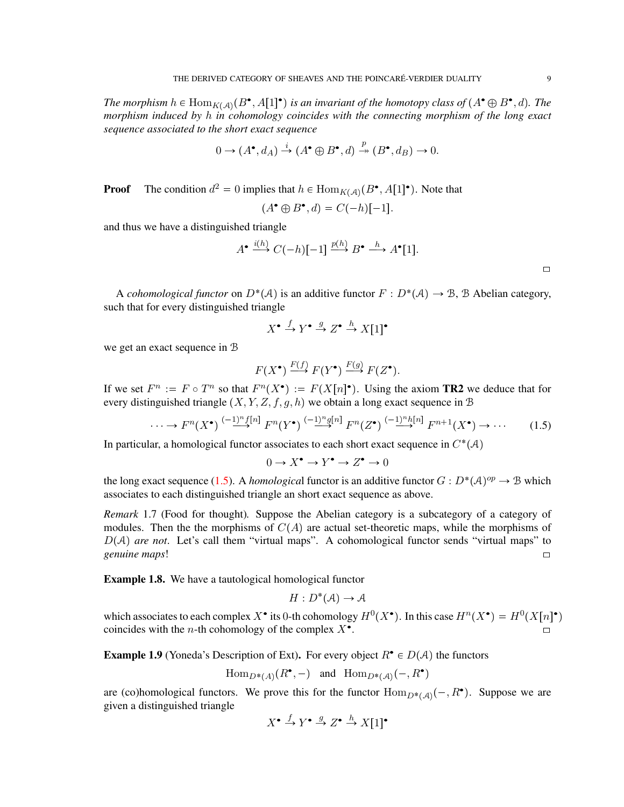The morphism  $h \in Hom_{K(\mathcal{A})}(B^{\bullet}, A[1]^{\bullet})$  is an invariant of the homotopy class of  $(A^{\bullet} \oplus B^{\bullet}, d)$ . The *morphism induced by* h *in cohomology coincides with the connecting morphism of the long exact sequence associated to the short exact sequence*

$$
0 \to (A^{\bullet}, d_A) \xrightarrow{i} (A^{\bullet} \oplus B^{\bullet}, d) \xrightarrow{p} (B^{\bullet}, d_B) \to 0.
$$

**Proof** The condition  $d^2 = 0$  implies that  $h \in \text{Hom}_{K(\mathcal{A})}(B^{\bullet}, A[1]^{\bullet})$ . Note that

$$
(A^{\bullet} \oplus B^{\bullet}, d) = C(-h)[-1].
$$

and thus we have a distinguished triangle

$$
A^{\bullet} \xrightarrow{i(h)} C(-h)[-1] \xrightarrow{p(h)} B^{\bullet} \xrightarrow{h} A^{\bullet}[1].
$$

A *cohomological functor* on  $D^*(A)$  is an additive functor  $F : D^*(A) \to \mathcal{B}$ , B Abelian category, such that for every distinguished triangle

$$
X^{\bullet} \xrightarrow{f} Y^{\bullet} \xrightarrow{g} Z^{\bullet} \xrightarrow{h} X[1]^{\bullet}
$$

we get an exact sequence in B

$$
F(X^{\bullet}) \xrightarrow{F(f)} F(Y^{\bullet}) \xrightarrow{F(g)} F(Z^{\bullet}).
$$

If we set  $F^n := F \circ T^n$  so that  $F^n(X^{\bullet}) := F(X[n]^{\bullet})$ . Using the axiom **TR2** we deduce that for every distinguished triangle  $(X, Y, Z, f, g, h)$  we obtain a long exact sequence in B

<span id="page-8-0"></span>
$$
\cdots \to F^{n}(X^{\bullet}) \stackrel{(-1)^{n} f[n]}{\longrightarrow} F^{n}(Y^{\bullet}) \stackrel{(-1)^{n} g[n]}{\longrightarrow} F^{n}(Z^{\bullet}) \stackrel{(-1)^{n} h[n]}{\longrightarrow} F^{n+1}(X^{\bullet}) \to \cdots
$$
 (1.5)

In particular, a homological functor associates to each short exact sequence in  $C^*(\mathcal{A})$ 

 $0 \to X^{\bullet} \to Y^{\bullet} \to Z^{\bullet} \to 0$ 

the long exact sequence [\(1.5\)](#page-8-0). A *homological* functor is an additive functor  $G: D^*(A)^{op} \to \mathcal{B}$  which associates to each distinguished triangle an short exact sequence as above.

*Remark* 1.7 (Food for thought)*.* Suppose the Abelian category is a subcategory of a category of modules. Then the the morphisms of  $C(A)$  are actual set-theoretic maps, while the morphisms of  $D(A)$  *are not*. Let's call them "virtual maps". A cohomological functor sends "virtual maps" to *genuine maps*! [\

**Example 1.8.** We have a tautological homological functor

$$
H: D^*(\mathcal{A}) \to \mathcal{A}
$$

which associates to each complex X<sup>•</sup> its 0-th cohomology  $H^0(X^{\bullet})$ . In this case  $H^n(X^{\bullet}) = H^0(X[n]^{\bullet})$ coincides with the *n*-th cohomology of the complex  $X^{\bullet}$ . . The contract of the contract of  $\Box$ 

**Example 1.9** (Yoneda's Description of Ext). For every object  $R^{\bullet} \in D(A)$  the functors

$$
\operatorname{Hom}_{D^*(A)}(R^\bullet,-)\quad\text{and}\quad \operatorname{Hom}_{D^*(A)}(-,R^\bullet)
$$

are (co)homological functors. We prove this for the functor  $\text{Hom}_{D^*(\mathcal{A})}(-, R^{\bullet})$ . Suppose we are given a distinguished triangle

$$
X^{\bullet} \xrightarrow{f} Y^{\bullet} \xrightarrow{g} Z^{\bullet} \xrightarrow{h} X[1]^{\bullet}
$$

 $\Box$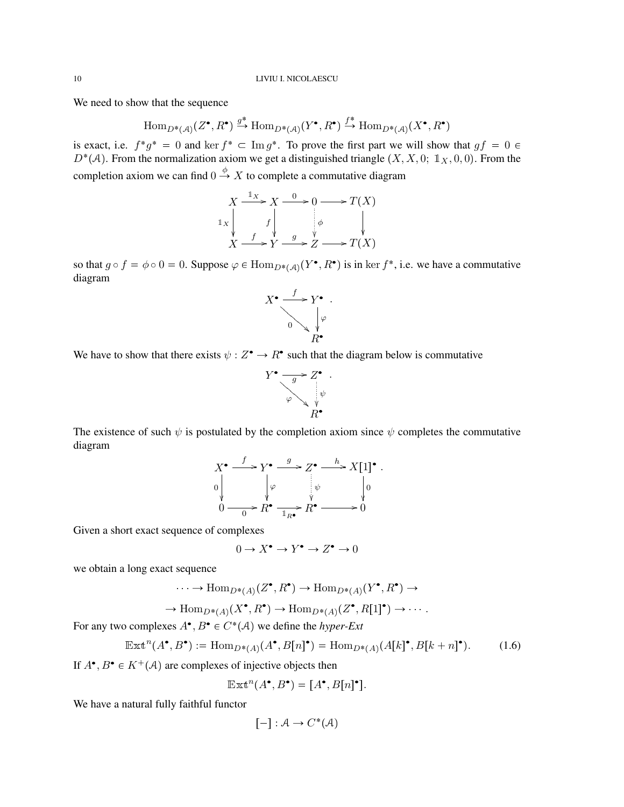We need to show that the sequence

$$
\text{Hom}_{D^*(\mathcal{A})}(Z^\bullet, R^\bullet) \xrightarrow{g^*} \text{Hom}_{D^*(\mathcal{A})}(Y^\bullet, R^\bullet) \xrightarrow{f^*} \text{Hom}_{D^*(\mathcal{A})}(X^\bullet, R^\bullet)
$$

is exact, i.e.  $f^*g^* = 0$  and ker  $f^* \subset \text{Im } g^*$ . To prove the first part we will show that  $gf = 0 \in$  $D^*(\mathcal{A})$ . From the normalization axiom we get a distinguished triangle  $(X, X, 0; \mathbb{1}_X, 0, 0)$ . From the completion axiom we can find  $0 \stackrel{\phi}{\rightarrow} X$  to complete a commutative diagram

$$
X \xrightarrow{1_X} X \xrightarrow{0} 0 \longrightarrow T(X)
$$
  

$$
\downarrow x \qquad \qquad f \qquad \downarrow \qquad \qquad \downarrow \qquad \qquad \downarrow
$$
  

$$
X \xrightarrow{f} Y \xrightarrow{g} Z \longrightarrow T(X)
$$

so that  $g \circ f = \phi \circ 0 = 0$ . Suppose  $\varphi \in \text{Hom}_{D^*(\mathcal{A})}(Y^{\bullet}, R^{\bullet})$  is in ker  $f^*$ , i.e. we have a commutative diagram



We have to show that there exists  $\psi : Z^{\bullet} \to R^{\bullet}$  such that the diagram below is commutative

$$
Y^{\bullet} \xrightarrow{\longrightarrow} Z^{\bullet} \cdot \downarrow
$$
  
\n
$$
\varphi \xrightarrow{\qquad \psi \qquad R^{\bullet}}
$$

The existence of such  $\psi$  is postulated by the completion axiom since  $\psi$  completes the commutative diagram

$$
X^{\bullet} \xrightarrow{f} Y^{\bullet} \xrightarrow{g} Z^{\bullet} \xrightarrow{h} X[1]^{\bullet}.
$$
  
\n
$$
0 \qquad \qquad \downarrow \varphi \qquad \qquad \downarrow \varphi \qquad \qquad \downarrow 0
$$
  
\n
$$
0 \qquad \qquad 0 \qquad R^{\bullet} \xrightarrow{1} R^{\bullet} \xrightarrow{R^{\bullet}} 0
$$

Given a short exact sequence of complexes

$$
0\to X^\bullet\to Y^\bullet\to Z^\bullet\to 0
$$

we obtain a long exact sequence

$$
\cdots \to \text{Hom}_{D^*(A)}(Z^\bullet, R^\bullet) \to \text{Hom}_{D^*(A)}(Y^\bullet, R^\bullet) \to
$$

$$
\to \text{Hom}_{D^*(A)}(X^{\bullet}, R^{\bullet}) \to \text{Hom}_{D^*(A)}(Z^{\bullet}, R[1]^{\bullet}) \to \cdots.
$$

For any two complexes  $A^{\bullet}, B^{\bullet} \in C^*(\mathcal{A})$  we define the *hyper-Ext* 

$$
\mathbb{E}\mathbb{E}\mathbb{E}^n(A^\bullet, B^\bullet) := \text{Hom}_{D^\bullet(A)}(A^\bullet, B[n]^\bullet) = \text{Hom}_{D^\bullet(A)}(A[k]^\bullet, B[k+n]^\bullet). \tag{1.6}
$$

If  $A^{\bullet}, B^{\bullet} \in K^+(\mathcal{A})$  are complexes of injective objects then

$$
\mathbb{E}\mathbb{X}\mathbb{t}^n(A^\bullet, B^\bullet) = [A^\bullet, B[n]^\bullet].
$$

We have a natural fully faithful functor

$$
[-]: \mathcal{A} \to C^*(\mathcal{A})
$$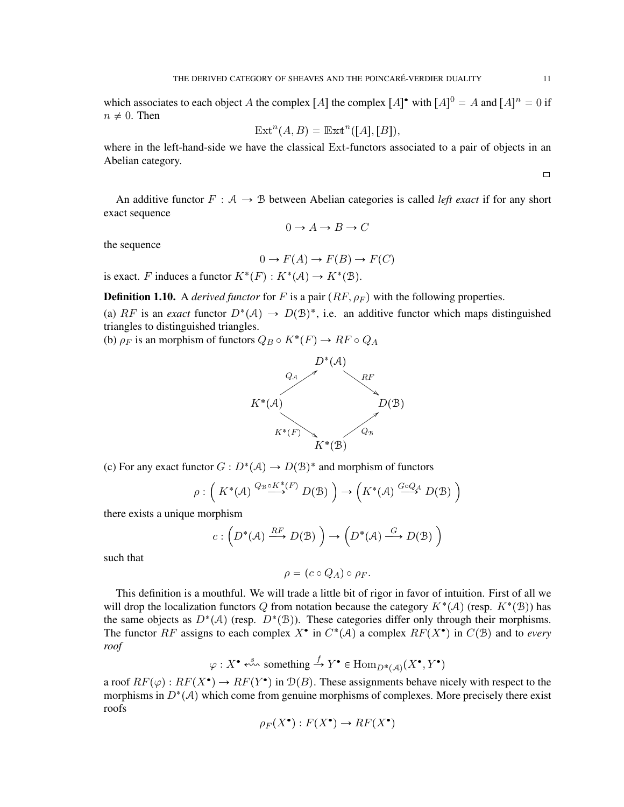which associates to each object A the complex  $[A]$  the complex  $[A]$ <sup>\*</sup> with  $[A]$ <sup>0</sup> = A and  $[A]$ <sup>n</sup> = 0 if  $n \neq 0$ . Then

$$
Extn(A, B) = Extn([A], [B]),
$$

where in the left-hand-side we have the classical Ext-functors associated to a pair of objects in an Abelian category.

An additive functor  $F : A \rightarrow B$  between Abelian categories is called *left exact* if for any short exact sequence

$$
0 \to A \to B \to C
$$

the sequence

$$
0 \to F(A) \to F(B) \to F(C)
$$

is exact. F induces a functor  $K^*(F) : K^*(\mathcal{A}) \to K^*(\mathcal{B})$ .

**Definition 1.10.** A *derived functor* for F is a pair  $(RF, \rho_F)$  with the following properties.

(a) RF is an *exact* functor  $D^*(A) \to D(B)^*$ , i.e. an additive functor which maps distinguished triangles to distinguished triangles.

(b)  $\rho_F$  is an morphism of functors  $Q_B \circ K^*(F) \to RF \circ Q_A$ 



(c) For any exact functor  $G: D^*(A) \to D(\mathcal{B})^*$  and morphism of functors

$$
\rho: \left( K^*(\mathcal{A}) \stackrel{Q_{\mathcal{B}} \circ K^*(F)}{\longrightarrow} D(\mathcal{B}) \right) \to \left( K^*(\mathcal{A}) \stackrel{G \circ Q_{\mathcal{A}}}{\longrightarrow} D(\mathcal{B}) \right)
$$

there exists a unique morphism

$$
c:\Big(D^{\boldsymbol *}(\mathcal{A})\xrightarrow{RF} D(\mathcal{B})\Big)\to \Big(D^{\boldsymbol *}(\mathcal{A})\xrightarrow{G} D(\mathcal{B})\Big)
$$

such that

$$
\rho = (c \circ Q_A) \circ \rho_F.
$$

This definition is a mouthful. We will trade a little bit of rigor in favor of intuition. First of all we will drop the localization functors Q from notation because the category  $K^*(\mathcal{A})$  (resp.  $K^*(\mathcal{B})$ ) has the same objects as  $D^*(A)$  (resp.  $D^*(B)$ ). These categories differ only through their morphisms. The functor RF assigns to each complex  $X^{\bullet}$  in  $C^*(\mathcal{A})$  a complex  $RF(X^{\bullet})$  in  $C(\mathcal{B})$  and to *every roof*

$$
\varphi: X^{\bullet} \stackrel{s}{\leftarrow} \text{something} \stackrel{f}{\rightarrow} Y^{\bullet} \in \text{Hom}_{D^*(\mathcal{A})}(X^{\bullet}, Y^{\bullet})
$$

a roof  $RF(\varphi): RF(X^{\bullet}) \to RF(Y^{\bullet})$  in  $\mathcal{D}(B)$ . These assignments behave nicely with respect to the morphisms in  $D^*(A)$  which come from genuine morphisms of complexes. More precisely there exist roofs

$$
\rho_F(X^{\bullet}): F(X^{\bullet}) \to RF(X^{\bullet})
$$

 $\Box$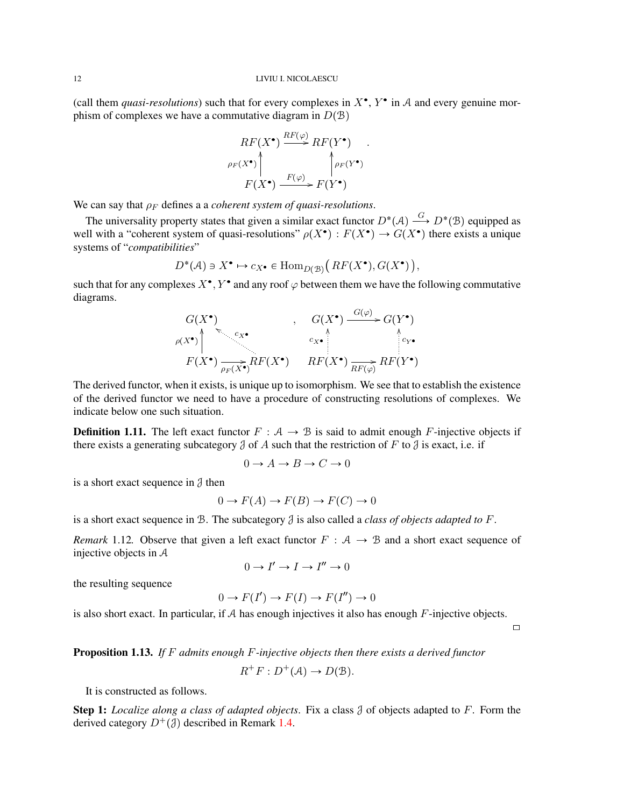### 12 LIVIU I. NICOLAESCU

(call them *quasi-resolutions*) such that for every complexes in  $X^{\bullet}$ ,  $Y^{\bullet}$  in A and every genuine morphism of complexes we have a commutative diagram in  $D(B)$ 

$$
RF(X^{\bullet}) \xrightarrow{RF(\varphi)} RF(Y^{\bullet})
$$
  
\n
$$
\rho_F(X^{\bullet}) \qquad \qquad \uparrow \rho_F(Y^{\bullet})
$$
  
\n
$$
F(X^{\bullet}) \xrightarrow{F(\varphi)} F(Y^{\bullet})
$$

We can say that  $\rho_F$  defines a a *coherent system of quasi-resolutions*.

The universality property states that given a similar exact functor  $D^*(A) \stackrel{G}{\longrightarrow} D^*(\mathcal{B})$  equipped as well with a "coherent system of quasi-resolutions"  $\rho(X^{\bullet}) : F(X^{\bullet}) \to G(X^{\bullet})$  there exists a unique systems of "*compatibilities*"

$$
D^*(\mathcal{A}) \ni X^{\bullet} \mapsto c_{X^{\bullet}} \in \text{Hom}_{D(\mathcal{B})}\big(\, RF(X^{\bullet}), G(X^{\bullet})\,\big),
$$

such that for any complexes  $X^{\bullet}, Y^{\bullet}$  and any roof  $\varphi$  between them we have the following commutative diagrams.

$$
G(X^{\bullet})
$$
\n
$$
F(X^{\bullet})
$$
\n
$$
F(X^{\bullet})
$$
\n
$$
F(X^{\bullet})
$$
\n
$$
F(X^{\bullet})
$$
\n
$$
F(X^{\bullet})
$$
\n
$$
F(X^{\bullet})
$$
\n
$$
F(X^{\bullet})
$$
\n
$$
F(X^{\bullet})
$$
\n
$$
F(X^{\bullet})
$$
\n
$$
F(X^{\bullet})
$$
\n
$$
F(X^{\bullet})
$$
\n
$$
F(X^{\bullet})
$$
\n
$$
F(Y^{\bullet})
$$

The derived functor, when it exists, is unique up to isomorphism. We see that to establish the existence of the derived functor we need to have a procedure of constructing resolutions of complexes. We indicate below one such situation.

**Definition 1.11.** The left exact functor  $F : A \rightarrow B$  is said to admit enough F-injective objects if there exists a generating subcategory  $\beta$  of A such that the restriction of F to  $\beta$  is exact, i.e. if

$$
0 \to A \to B \to C \to 0
$$

is a short exact sequence in  $\beta$  then

$$
0 \to F(A) \to F(B) \to F(C) \to 0
$$

is a short exact sequence in B. The subcategory J is also called a *class of objects adapted to* F.

*Remark* 1.12. Observe that given a left exact functor  $F : A \rightarrow B$  and a short exact sequence of injective objects in A

$$
0 \to I' \to I \to I'' \to 0
$$

the resulting sequence

$$
0 \to F(I') \to F(I) \to F(I'') \to 0
$$

is also short exact. In particular, if  $A$  has enough injectives it also has enough  $F$ -injective objects.

 $\Box$ 

## Proposition 1.13. *If* F *admits enough* F*-injective objects then there exists a derived functor*

$$
R^+F: D^+(\mathcal{A}) \to D(\mathcal{B}).
$$

It is constructed as follows.

Step 1: *Localize along a class of adapted objects*. Fix a class J of objects adapted to F. Form the derived category  $D^{+}(\mathcal{J})$  described in Remark [1.4.](#page-4-1)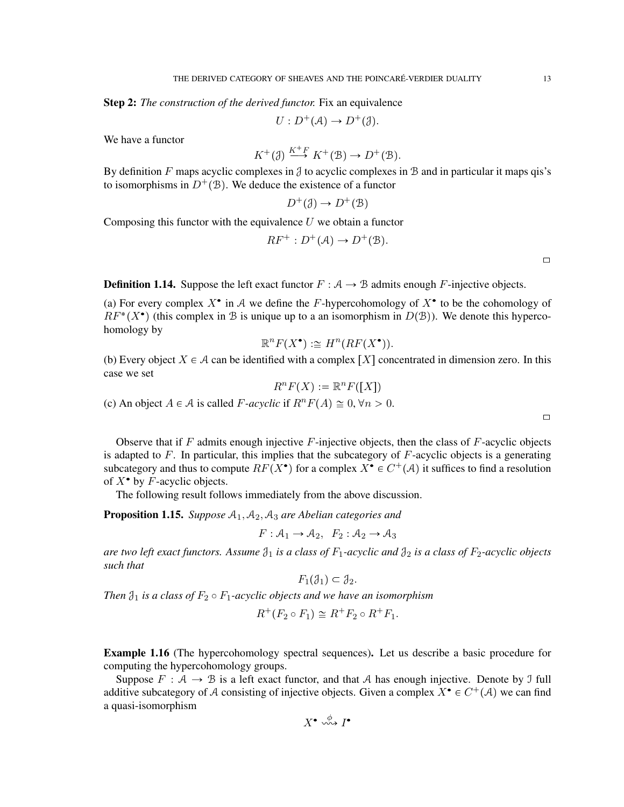Step 2: *The construction of the derived functor.* Fix an equivalence

$$
U: D^+(\mathcal{A}) \to D^+(\mathcal{J}).
$$

We have a functor

$$
K^+(\mathcal{J}) \stackrel{K^+F}{\longrightarrow} K^+(\mathcal{B}) \to D^+(\mathcal{B}).
$$

By definition F maps acyclic complexes in  $\beta$  to acyclic complexes in  $\beta$  and in particular it maps qis's to isomorphisms in  $D^+(\mathcal{B})$ . We deduce the existence of a functor

$$
D^+(\mathcal{J}) \to D^+(\mathcal{B})
$$

Composing this functor with the equivalence  $U$  we obtain a functor

$$
RF^+ : D^+(\mathcal{A}) \to D^+(\mathcal{B}).
$$

 $\Box$ 

 $\Box$ 

**Definition 1.14.** Suppose the left exact functor  $F : A \rightarrow B$  admits enough F-injective objects.

(a) For every complex  $X^{\bullet}$  in A we define the F-hypercohomology of  $X^{\bullet}$  to be the cohomology of  $RF^*(X^{\bullet})$  (this complex in B is unique up to a an isomorphism in  $D(\mathcal{B})$ ). We denote this hypercohomology by

$$
\mathbb{R}^n F(X^{\bullet}) := H^n(RF(X^{\bullet})).
$$

(b) Every object  $X \in \mathcal{A}$  can be identified with a complex  $[X]$  concentrated in dimension zero. In this case we set

$$
R^n F(X) := \mathbb{R}^n F([X])
$$

(c) An object  $A \in \mathcal{A}$  is called F-acyclic if  $R^n F(A) \cong 0$ ,  $\forall n > 0$ .

Observe that if  $F$  admits enough injective  $F$ -injective objects, then the class of  $F$ -acyclic objects is adapted to  $F$ . In particular, this implies that the subcategory of  $F$ -acyclic objects is a generating subcategory and thus to compute  $RF(X^{\bullet})$  for a complex  $X^{\bullet} \in C^+(\mathcal{A})$  it suffices to find a resolution of  $X^{\bullet}$  by *F*-acyclic objects.

The following result follows immediately from the above discussion.

<span id="page-12-0"></span>**Proposition 1.15.** *Suppose*  $A_1$ ,  $A_2$ ,  $A_3$  *are Abelian categories and* 

$$
F: \mathcal{A}_1 \to \mathcal{A}_2, F_2: \mathcal{A}_2 \to \mathcal{A}_3
$$

*are two left exact functors. Assume*  $\mathcal{J}_1$  *is a class of*  $F_1$ -*acyclic and*  $\mathcal{J}_2$  *is a class of*  $F_2$ -*acyclic objects such that*

$$
F_1(\mathcal{J}_1)\subset \mathcal{J}_2.
$$

*Then*  $\mathfrak{J}_1$  *is a class of*  $F_2 \circ F_1$ *-acyclic objects and we have an isomorphism* 

$$
R^+(F_2 \circ F_1) \cong R^+F_2 \circ R^+F_1.
$$

Example 1.16 (The hypercohomology spectral sequences). Let us describe a basic procedure for computing the hypercohomology groups.

Suppose  $F : A \rightarrow B$  is a left exact functor, and that A has enough injective. Denote by J full additive subcategory of A consisting of injective objects. Given a complex  $X^{\bullet} \in C^+(\mathcal{A})$  we can find a quasi-isomorphism

$$
X^{\bullet} \overset{\phi}{\leadsto} I^{\bullet}
$$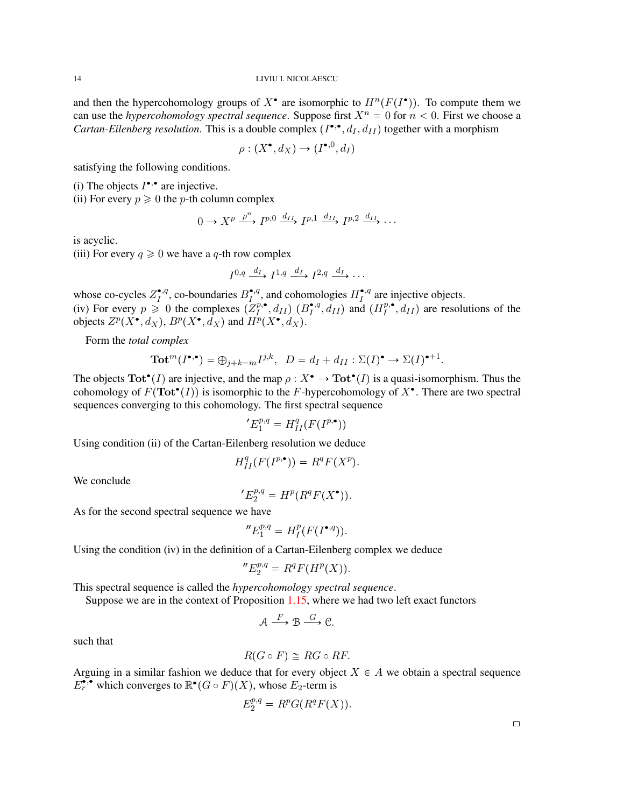and then the hypercohomology groups of  $X^{\bullet}$  are isomorphic to  $H^{n}(F(I^{\bullet}))$ . To compute them we can use the *hypercohomology spectral sequence*. Suppose first  $X^n = 0$  for  $n < 0$ . First we choose a *Cartan-Eilenberg resolution*. This is a double complex  $(I^{\bullet,\bullet}, d_I, d_{II})$  together with a morphism

$$
\rho: (X^{\bullet}, d_X) \to (I^{\bullet, 0}, d_I)
$$

satisfying the following conditions.

(i) The objects  $I^{\bullet,\bullet}$  are injective.

(ii) For every  $p \ge 0$  the *p*-th column complex

$$
0 \to X^p \xrightarrow{\rho^n} I^{p,0} \xrightarrow{d_{II}} I^{p,1} \xrightarrow{d_{II}} I^{p,2} \xrightarrow{d_{II}} \cdots
$$

is acyclic.

(iii) For every  $q \ge 0$  we have a q-th row complex

$$
I^{0,q} \xrightarrow{d_I} I^{1,q} \xrightarrow{d_I} I^{2,q} \xrightarrow{d_I} \cdots
$$

whose co-cycles  $Z_I^{\bullet,q}$  $I_I^{\bullet,q}$ , co-boundaries  $B_I^{\bullet,q}$  $H_I^{\bullet,q}$ , and cohomologies  $H_I^{\bullet,q}$  $I<sup>q</sup>$  are injective objects. (iv) For every  $p \ge 0$  the complexes  $(Z_l^{p,\bullet})$  $\binom{p,\bullet}{I},d_{II}\right)$   $(B_I^{\bullet,q})$  $I_I^{\bullet,q}, d_{II}$  and  $(H_I^{p,\bullet})$  $I_I^{p,\bullet}, d_{II}$  are resolutions of the objects  $Z^p(X^{\bullet}, d_X)$ ,  $B^p(X^{\bullet}, d_X)$  and  $\hat{H^p}(X^{\bullet}, d_X)$ .

Form the *total complex*

$$
\mathbf{Tot}^m(I^{\bullet,\bullet}) = \bigoplus_{j+k=m} I^{j,k}, \quad D = d_I + d_{II} : \Sigma(I)^{\bullet} \to \Sigma(I)^{\bullet+1}
$$

The objects  $\text{Tot}^{\bullet}(I)$  are injective, and the map  $\rho : X^{\bullet} \to \text{Tot}^{\bullet}(I)$  is a quasi-isomorphism. Thus the cohomology of  $F(\text{Tot}^{\bullet}(I))$  is isomorphic to the F-hypercohomology of  $X^{\bullet}$ . There are two spectral sequences converging to this cohomology. The first spectral sequence

$$
{}^{\prime}E_1^{p,q}=H^q_{II}(F(I^{p,\bullet}))
$$

Using condition (ii) of the Cartan-Eilenberg resolution we deduce

$$
H^q_{II}(F(I^{p,\bullet}))=R^qF(X^p).
$$

We conclude

$$
E_2^{p,q} = H^p(R^q F(X^{\bullet})).
$$

As for the second spectral sequence we have

$$
^{\prime\prime}E^{p,q}_1=H^p_I(F(I^{\bullet,q})).
$$

Using the condition (iv) in the definition of a Cartan-Eilenberg complex we deduce

$$
^{\prime \prime }E_{2}^{p,q}=R^{q}F(H^{p}(X)).
$$

This spectral sequence is called the *hypercohomology spectral sequence*.

Suppose we are in the context of Proposition  $1.15$ , where we had two left exact functors

$$
\mathcal{A} \xrightarrow{F} \mathcal{B} \xrightarrow{G} \mathcal{C}.
$$

such that

$$
R(G \circ F) \cong RG \circ RF.
$$

Arguing in a similar fashion we deduce that for every object  $X \in A$  we obtain a spectral sequence  $E_r^{\bullet,\bullet}$  which converges to  $\mathbb{R}^\bullet(G \circ F)(X)$ , whose  $E_2$ -term is

$$
E_2^{p,q} = R^p G(R^q F(X)).
$$

 $\Box$ 

.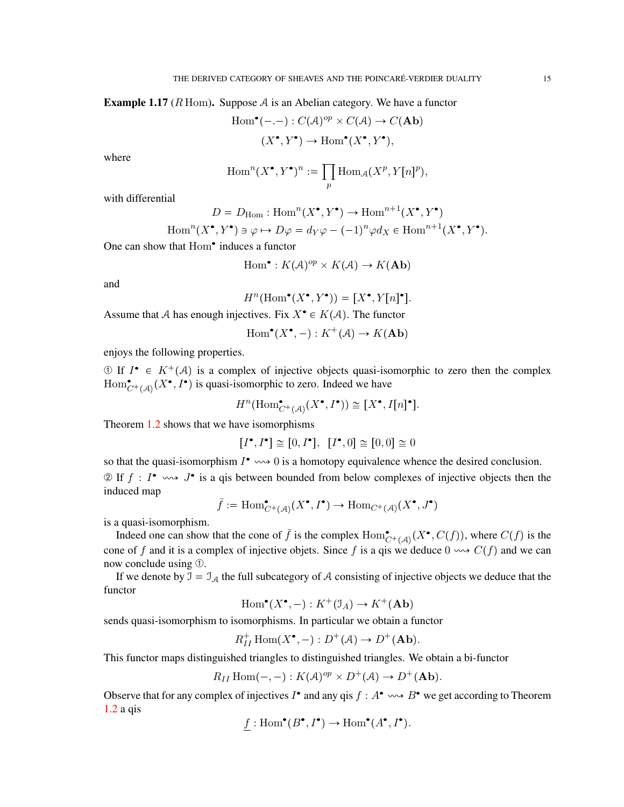**Example 1.17** ( $R$  Hom). Suppose  $A$  is an Abelian category. We have a functor

$$
Hom•(-,-): C(\mathcal{A})^{op} \times C(\mathcal{A}) \to C(\mathbf{Ab})
$$

$$
(X•, Y•) \to Hom•(X•, Y•),
$$

where

$$
\operatorname{Hom}^n(X^{\bullet}, Y^{\bullet})^n := \prod_p \operatorname{Hom}_{\mathcal{A}}(X^p, Y[n]^p),
$$

with differential

$$
D = D_{\text{Hom}} : \text{Hom}^n(X^\bullet, Y^\bullet) \to \text{Hom}^{n+1}(X^\bullet, Y^\bullet)
$$

Hom<sup>n</sup>
$$
(X^{\bullet}, Y^{\bullet}) \ni \varphi \mapsto D\varphi = d_Y \varphi - (-1)^n \varphi d_X \in \text{Hom}^{n+1}(X^{\bullet}, Y^{\bullet}).
$$

One can show that Hom<sup>•</sup> induces a functor

$$
\text{Hom}^{\bullet}: K(\mathcal{A})^{op} \times K(\mathcal{A}) \to K(\mathbf{Ab})
$$

and

$$
H^n(\mathrm{Hom}^\bullet(X^\bullet,Y^\bullet))=[X^\bullet,Y[n]^\bullet].
$$

Assume that A has enough injectives. Fix  $X^{\bullet} \in K(\mathcal{A})$ . The functor

$$
\operatorname{Hom}^{\bullet}(X^{\bullet}, -) : K^+(\mathcal{A}) \to K(\mathbf{Ab})
$$

enjoys the following properties.

① If  $I^{\bullet} \in K^+(\mathcal{A})$  is a complex of injective objects quasi-isomorphic to zero then the complex  $\text{Hom}_{C^+(\mathcal{A})}^{\bullet}(X^{\bullet}, I^{\bullet})$  is quasi-isomorphic to zero. Indeed we have

$$
H^n({\rm Hom}^{\bullet}_{C^+({\cal A})}(X^{\bullet},I^{\bullet}))\cong [X^{\bullet},I[n]^{\bullet}].
$$

Theorem [1.2](#page-3-0) shows that we have isomorphisms

$$
[I^{\bullet}, I^{\bullet}] \cong [0, I^{\bullet}], [I^{\bullet}, 0] \cong [0, 0] \cong 0
$$

so that the quasi-isomorphism  $I^{\bullet} \rightsquigarrow 0$  is a homotopy equivalence whence the desired conclusion.  $\mathcal{D}$  If  $f : I^{\bullet} \longrightarrow J^{\bullet}$  is a qis between bounded from below complexes of injective objects then the induced map

$$
\bar{f}:=\operatorname{Hom}\nolimits^\bullet_{C^+(\mathcal{A})}(X^\bullet,I^\bullet)\to \operatorname{Hom}\nolimits_{C^+(\mathcal{A})}(X^\bullet,J^\bullet)
$$

is a quasi-isomorphism.

Indeed one can show that the cone of  $\bar{f}$  is the complex  $\text{Hom}_{C^+(A)}^{\bullet}(X^{\bullet}, C(f))$ , where  $C(f)$  is the cone of f and it is a complex of injective objets. Since f is a qis we deduce  $0 \rightarrow C(f)$  and we can now conclude using ➀.

If we denote by  $\mathcal{I} = \mathcal{I}_{\mathcal{A}}$  the full subcategory of A consisting of injective objects we deduce that the functor

$$
\operatorname{Hom}^{\bullet}(X^{\bullet}, -) : K^+(\mathfrak{I}_A) \to K^+(\mathbf{Ab})
$$

sends quasi-isomorphism to isomorphisms. In particular we obtain a functor

$$
R_{II}^+\operatorname{Hom}(X^\bullet,-):D^+({\cal A})\to D^+({\bf Ab}).
$$

This functor maps distinguished triangles to distinguished triangles. We obtain a bi-functor

$$
R_{II} \operatorname{Hom}(-, -) : K(\mathcal{A})^{op} \times D^+(\mathcal{A}) \to D^+(\mathbf{Ab}).
$$

Observe that for any complex of injectives  $I^{\bullet}$  and any qis  $f : A^{\bullet} \longrightarrow B^{\bullet}$  we get according to Theorem [1.2](#page-3-0) a qis

$$
f: \text{Hom}^{\bullet}(B^{\bullet}, I^{\bullet}) \to \text{Hom}^{\bullet}(A^{\bullet}, I^{\bullet}).
$$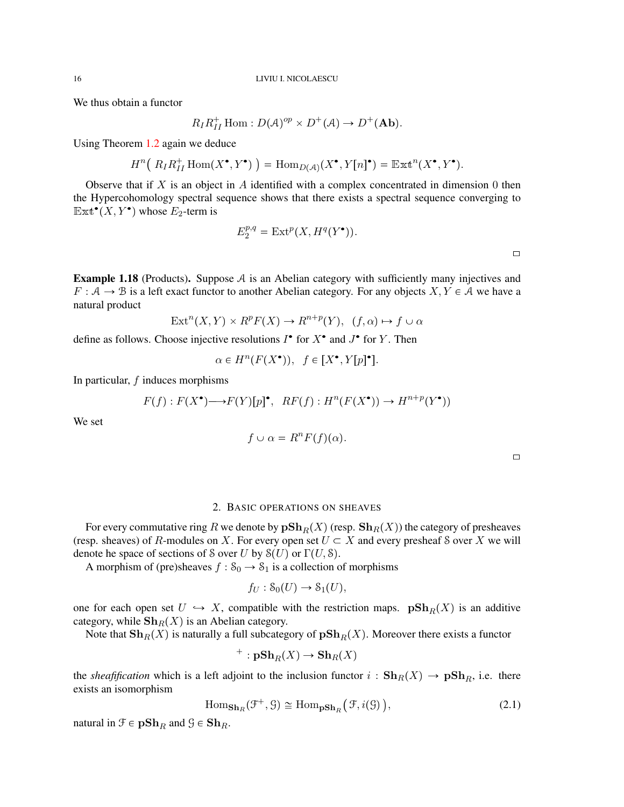We thus obtain a functor

$$
R_I R_{II}^+ \operatorname{Hom}: D(\mathcal{A})^{op} \times D^+(\mathcal{A}) \to D^+(\mathbf{Ab}).
$$

Using Theorem [1.2](#page-3-0) again we deduce

$$
H^n\big(\ R_I R_{II}^+ \operatorname{Hom}(X^\bullet,Y^\bullet)\big) = \operatorname{Hom}_{D(\mathcal{A})}(X^\bullet,Y[n]^\bullet) = \operatorname{Ext}^n(X^\bullet,Y^\bullet).
$$

Observe that if  $X$  is an object in  $A$  identified with a complex concentrated in dimension 0 then the Hypercohomology spectral sequence shows that there exists a spectral sequence converging to  $\mathbb{E} \mathbb{X} \mathbf{t}^{\bullet}(X, Y^{\bullet})$  whose  $E_2$ -term is

$$
E_2^{p,q} = \text{Ext}^p(X, H^q(Y^{\bullet})).
$$

**Example 1.18** (Products). Suppose  $A$  is an Abelian category with sufficiently many injectives and  $F : A \to B$  is a left exact functor to another Abelian category. For any objects  $X, Y \in A$  we have a natural product

$$
Ext^{n}(X,Y) \times R^{p}F(X) \to R^{n+p}(Y), \ (f,\alpha) \mapsto f \cup \alpha
$$

define as follows. Choose injective resolutions  $I^{\bullet}$  for  $X^{\bullet}$  and  $J^{\bullet}$  for  $Y$ . Then

$$
\alpha \in H^n(F(X^{\bullet})), \ f \in [X^{\bullet}, Y[p]^{\bullet}].
$$

In particular,  $f$  induces morphisms

$$
F(f): F(X^{\bullet}) \longrightarrow F(Y)[p]^{\bullet}, \quad RF(f): H^{n}(F(X^{\bullet})) \longrightarrow H^{n+p}(Y^{\bullet}))
$$

We set

$$
f \cup \alpha = R^n F(f)(\alpha).
$$

 $\Box$ 

## 2. BASIC OPERATIONS ON SHEAVES

<span id="page-15-0"></span>For every commutative ring R we denote by  $p\mathbf{Sh}_R(X)$  (resp.  $\mathbf{Sh}_R(X)$ ) the category of presheaves (resp. sheaves) of R-modules on X. For every open set  $U \subset X$  and every presheaf S over X we will denote he space of sections of S over U by  $S(U)$  or  $\Gamma(U, S)$ .

A morphism of (pre)sheaves  $f : S_0 \to S_1$  is a collection of morphisms

$$
f_U: \mathcal{S}_0(U) \to \mathcal{S}_1(U),
$$

one for each open set  $U \hookrightarrow X$ , compatible with the restriction maps.  $\mathbf{pSh}_R(X)$  is an additive category, while  $\mathbf{Sh}_R(X)$  is an Abelian category.

Note that  $\mathbf{Sh}_R(X)$  is naturally a full subcategory of  $\mathbf{pSh}_R(X)$ . Moreover there exists a functor

$$
^+:\mathbf{pSh}_R(X)\to\mathbf{Sh}_R(X)
$$

the *sheafification* which is a left adjoint to the inclusion functor  $i : \mathbf{Sh}_R(X) \to \mathbf{pSh}_R$ , i.e. there exists an isomorphism

<span id="page-15-1"></span>
$$
\text{Hom}_{\mathbf{Sh}_R}(\mathcal{F}^+, \mathcal{G}) \cong \text{Hom}_{\mathbf{pSh}_R}(\mathcal{F}, i(\mathcal{G})),\tag{2.1}
$$

natural in  $\mathfrak{F} \in \mathbf{pSh}_R$  and  $\mathfrak{G} \in \mathbf{Sh}_R$ .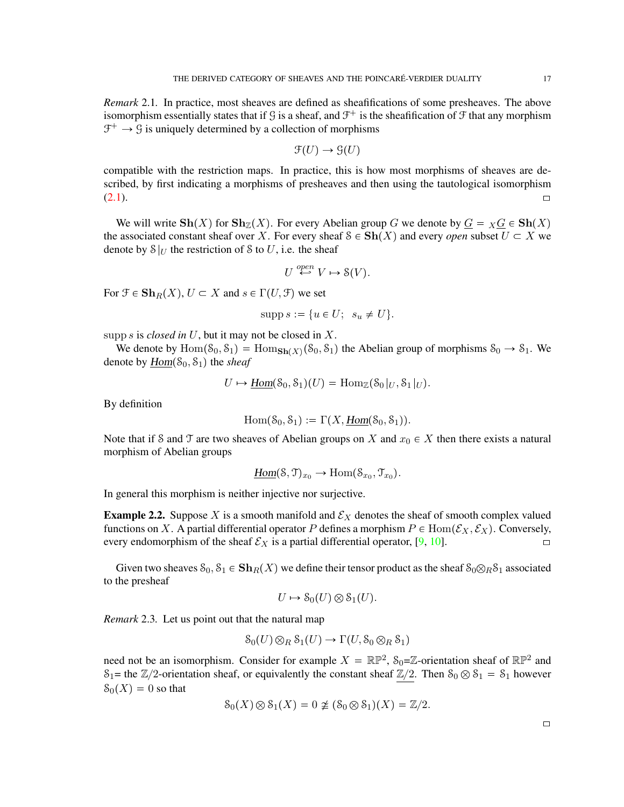*Remark* 2.1*.* In practice, most sheaves are defined as sheafifications of some presheaves. The above isomorphism essentially states that if  $\mathcal G$  is a sheaf, and  $\mathcal F^+$  is the sheafification of  $\mathcal F$  that any morphism  $\mathcal{F}^+ \to \mathcal{G}$  is uniquely determined by a collection of morphisms

$$
\mathfrak{F}(U) \to \mathfrak{G}(U)
$$

compatible with the restriction maps. In practice, this is how most morphisms of sheaves are described, by first indicating a morphisms of presheaves and then using the tautological isomorphism  $(2.1).$  $(2.1).$ 

We will write  $\mathbf{Sh}(X)$  for  $\mathbf{Sh}_{\mathbb{Z}}(X)$ . For every Abelian group G we denote by  $\underline{G} = \overline{X} \underline{G} \in \mathbf{Sh}(X)$ the associated constant sheaf over X. For every sheaf  $S \in Sh(X)$  and every *open* subset  $U \subset X$  we denote by  $S|_U$  the restriction of S to U, i.e. the sheaf

$$
U \stackrel{open}{\hookleftarrow} V \mapsto \mathcal{S}(V).
$$

For  $\mathfrak{F} \in \mathbf{Sh}_R(X)$ ,  $U \subset X$  and  $s \in \Gamma(U, \mathfrak{F})$  we set

$$
\operatorname{supp} s := \{ u \in U; \ \ s_u \neq U \}.
$$

supp s is *closed in U*, but it may not be closed in  $X$ .

We denote by  $\text{Hom}(S_0, S_1) = \text{Hom}_{\textbf{Sh}(X)}(S_0, S_1)$  the Abelian group of morphisms  $S_0 \to S_1$ . We denote by  $Hom(S_0, S_1)$  the *sheaf* 

$$
U \mapsto \underline{\text{Hom}}(\mathcal{S}_0, \mathcal{S}_1)(U) = \text{Hom}_{\mathbb{Z}}(\mathcal{S}_0|_U, \mathcal{S}_1|_U).
$$

By definition

$$
Hom(\mathcal{S}_0, \mathcal{S}_1) := \Gamma(X, \underline{Hom}(\mathcal{S}_0, \mathcal{S}_1)).
$$

Note that if S and T are two sheaves of Abelian groups on X and  $x_0 \in X$  then there exists a natural morphism of Abelian groups

$$
\underline{\text{Hom}}(\mathcal{S}, \mathcal{T})_{x_0} \to \text{Hom}(\mathcal{S}_{x_0}, \mathcal{T}_{x_0}).
$$

In general this morphism is neither injective nor surjective.

**Example 2.2.** Suppose X is a smooth manifold and  $\mathcal{E}_X$  denotes the sheaf of smooth complex valued functions on X. A partial differential operator P defines a morphism  $P \in Hom(\mathcal{E}_X, \mathcal{E}_X)$ . Conversely, every endomorphism of the sheaf  $\mathcal{E}_X$  is a partial differential operator, [\[9,](#page-71-6) [10\]](#page-71-7).

Given two sheaves  $S_0, S_1 \in \mathbf{Sh}_R(X)$  we define their tensor product as the sheaf  $S_0 \otimes_R S_1$  associated to the presheaf

$$
U \mapsto \mathcal{S}_0(U) \otimes \mathcal{S}_1(U).
$$

*Remark* 2.3*.* Let us point out that the natural map

$$
S_0(U) \otimes_R S_1(U) \to \Gamma(U, S_0 \otimes_R S_1)
$$

need not be an isomorphism. Consider for example  $X = \mathbb{RP}^2$ ,  $S_0 = \mathbb{Z}$ -orientation sheaf of  $\mathbb{RP}^2$  and  $S_1$ = the  $\mathbb{Z}/2$ -orientation sheaf, or equivalently the constant sheaf  $\mathbb{Z}/2$ . Then  $S_0 \otimes S_1 = S_1$  however  $S_0(X) = 0$  so that

$$
\mathcal{S}_0(X) \otimes \mathcal{S}_1(X) = 0 \not\cong (\mathcal{S}_0 \otimes \mathcal{S}_1)(X) = \mathbb{Z}/2.
$$

 $\Box$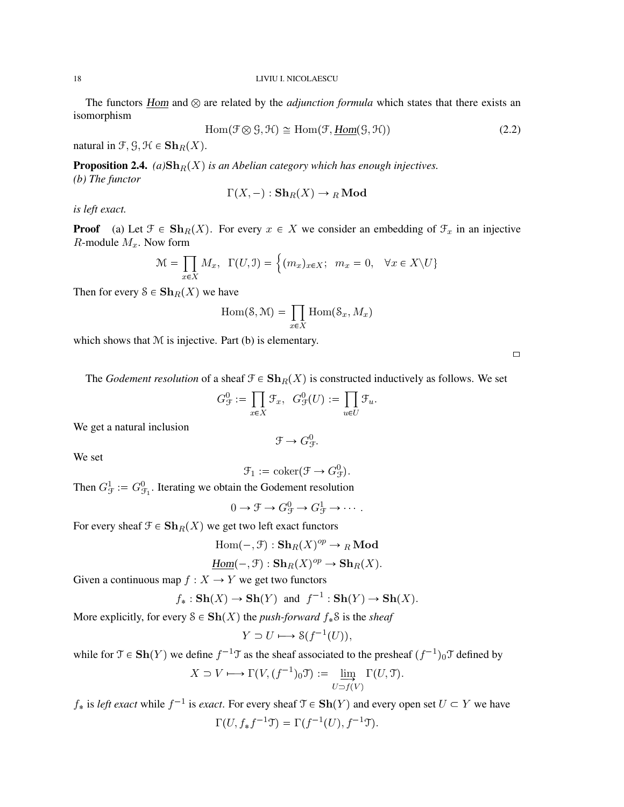## 18 LIVIU I. NICOLAESCU

The functors  $Hom$  and  $\otimes$  are related by the *adjunction formula* which states that there exists an isomorphism

$$
Hom(\mathcal{F} \otimes \mathcal{G}, \mathcal{H}) \cong Hom(\mathcal{F}, \underline{Hom}(\mathcal{G}, \mathcal{H}))
$$
\n(2.2)

natural in  $\mathcal{F}, \mathcal{G}, \mathcal{H} \in \mathbf{Sh}_R(X)$ .

**Proposition 2.4.** *(a)* $\mathbf{Sh}_R(X)$  *is an Abelian category which has enough injectives. (b) The functor*

$$
\Gamma(X, -) : \mathbf{Sh}_R(X) \to {}_R \mathbf{Mod}
$$

*is left exact.*

**Proof** (a) Let  $\mathcal{F} \in \mathbf{Sh}_R(X)$ . For every  $x \in X$  we consider an embedding of  $\mathcal{F}_x$  in an injective R-module  $M_x$ . Now form

$$
\mathcal{M} = \prod_{x \in X} M_x, \ \Gamma(U, \mathcal{I}) = \left\{ (m_x)_{x \in X}; \ \ m_x = 0, \ \ \forall x \in X \setminus U \right\}
$$

Then for every  $S \in \mathbf{Sh}_R(X)$  we have

$$
\operatorname{Hom}(\mathcal{S},\mathcal{M}) = \prod_{x \in X} \operatorname{Hom}(\mathcal{S}_x, M_x)
$$

which shows that  $M$  is injective. Part (b) is elementary.

 $\Box$ 

The *Godement resolution* of a sheaf  $\mathcal{F} \in \mathbf{Sh}_R(X)$  is constructed inductively as follows. We set

$$
G_{\mathcal{F}}^{0} := \prod_{x \in X} \mathcal{F}_x, \ \ G_{\mathcal{F}}^{0}(U) := \prod_{u \in U} \mathcal{F}_u.
$$

We get a natural inclusion

$$
\mathcal{F} \to G^0_{\mathcal{F}}.
$$

We set

 $\mathcal{F}_1 := \text{coker}(\mathcal{F} \to G^0_{\mathcal{F}}).$ 

Then  $G_{\mathcal{F}}^1 := G_{\mathcal{F}_1}^0$ . Iterating we obtain the Godement resolution

$$
0 \to \mathcal{F} \to G^0_{\mathcal{F}} \to G^1_{\mathcal{F}} \to \cdots.
$$

For every sheaf  $\mathcal{F} \in \mathbf{Sh}_R(X)$  we get two left exact functors

$$
\mathrm{Hom}(-,\mathcal{F}):\mathbf{Sh}_R(X)^{op}\to {}_R\mathbf{Mod}
$$

$$
\underline{\text{Hom}}(-,\mathcal{F}): \mathbf{Sh}_R(X)^{op} \to \mathbf{Sh}_R(X).
$$

Given a continuous map  $f : X \to Y$  we get two functors

$$
f_* : \mathbf{Sh}(X) \to \mathbf{Sh}(Y) \text{ and } f^{-1} : \mathbf{Sh}(Y) \to \mathbf{Sh}(X).
$$

More explicitly, for every  $S \in Sh(X)$  the *push-forward*  $f_*S$  is the *sheaf* 

$$
Y \supset U \longmapsto \mathcal{S}(f^{-1}(U)),
$$

while for  $\mathfrak{T} \in \mathbf{Sh}(Y)$  we define  $f^{-1}\mathfrak{T}$  as the sheaf associated to the presheaf  $(f^{-1})_0\mathfrak{T}$  defined by

$$
X \supset V \longmapsto \Gamma(V, (f^{-1})_0 \mathfrak{T}) := \varinjlim_{U \supset f(V)} \Gamma(U, \mathfrak{T}).
$$

 $f_*$  is *left exact* while  $f^{-1}$  is *exact*. For every sheaf  $\mathcal{T} \in \mathbf{Sh}(Y)$  and every open set  $U \subset Y$  we have  $\Gamma(U, f_* f^{-1} \mathfrak{T}) = \Gamma(f^{-1}(U), f^{-1} \mathfrak{T}).$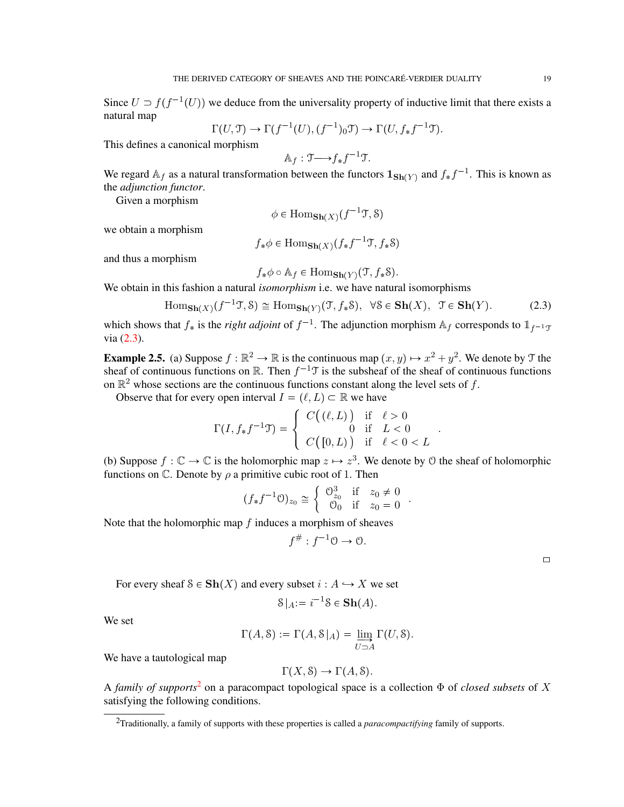Since  $U \supset f(f^{-1}(U))$  we deduce from the universality property of inductive limit that there exists a natural map

$$
\Gamma(U,\mathfrak{T}) \to \Gamma(f^{-1}(U), (f^{-1})_0 \mathfrak{T}) \to \Gamma(U, f_* f^{-1} \mathfrak{T}).
$$

This defines a canonical morphism

$$
\mathbb{A}_f: \mathfrak{I} \longrightarrow f_* f^{-1} \mathfrak{I}.
$$

We regard  $A_f$  as a natural transformation between the functors  $1_{\text{Sh}(Y)}$  and  $f_* f^{-1}$ . This is known as the *adjunction functor*.

Given a morphism

$$
\phi \in \text{Hom}_{\mathbf{Sh}(X)}(f^{-1}\mathfrak{T}, \mathcal{S})
$$

we obtain a morphism

$$
f_*\phi \in \text{Hom}_{\mathbf{Sh}(X)}(f_*f^{-1}\mathfrak{T}, f_*\mathcal{S})
$$

and thus a morphism

$$
f_*\phi \circ \mathbb{A}_f \in \text{Hom}_{\mathbf{Sh}(Y)}(\mathfrak{T}, f_*\mathcal{S}).
$$

We obtain in this fashion a natural *isomorphism* i.e. we have natural isomorphisms

<span id="page-18-0"></span>
$$
\text{Hom}_{\mathbf{Sh}(X)}(f^{-1}\mathcal{T}, \mathcal{S}) \cong \text{Hom}_{\mathbf{Sh}(Y)}(\mathcal{T}, f_*\mathcal{S}), \ \ \forall \mathcal{S} \in \mathbf{Sh}(X), \ \ \mathcal{T} \in \mathbf{Sh}(Y). \tag{2.3}
$$

.

.

which shows that  $f_*$  is the *right adjoint* of  $f^{-1}$ . The adjunction morphism  $\mathbb{A}_f$  corresponds to  $\mathbb{1}_{f^{-1}\mathcal{I}}$ via [\(2.3\)](#page-18-0).

**Example 2.5.** (a) Suppose  $f : \mathbb{R}^2 \to \mathbb{R}$  is the continuous map  $(x, y) \mapsto x^2 + y^2$ . We denote by T the sheaf of continuous functions on  $\mathbb{R}$ . Then  $f^{-1}\mathcal{T}$  is the subsheaf of the sheaf of continuous functions on  $\mathbb{R}^2$  whose sections are the continuous functions constant along the level sets of f.

Observe that for every open interval  $I = (\ell, L) \subset \mathbb{R}$  we have

$$
\Gamma(I, f_*f^{-1}\mathfrak{T}) = \left\{ \begin{array}{ccl} C\big((\ell, L)\big) & \text{if} & \ell > 0 \\ 0 & \text{if} & L < 0 \\ C\big([0, L)\big) & \text{if} & \ell < 0 < L \end{array} \right.
$$

(b) Suppose  $f : \mathbb{C} \to \mathbb{C}$  is the holomorphic map  $z \mapsto z^3$ . We denote by  $\mathcal O$  the sheaf of holomorphic functions on  $\mathbb C$ . Denote by  $\rho$  a primitive cubic root of 1. Then

$$
(f_*f^{-1}\mathcal{O})_{z_0} \cong \left\{ \begin{array}{ll} \mathcal{O}_{z_0}^3 & \text{if } z_0 \neq 0\\ \mathcal{O}_0 & \text{if } z_0 = 0 \end{array} \right.
$$

Note that the holomorphic map  $f$  induces a morphism of sheaves

$$
f^{\#}: f^{-1}\mathcal{O} \to \mathcal{O}.
$$

|  | $J \cdot J \cdot \cup \rightarrow \cup.$ |  |
|--|------------------------------------------|--|
|  |                                          |  |

For every sheaf  $S \in Sh(X)$  and every subset  $i : A \hookrightarrow X$  we set

$$
\mathcal{S}|_{A} := i^{-1} \mathcal{S} \in \mathbf{Sh}(A).
$$

We set

$$
\Gamma(A, \mathcal{S}) := \Gamma(A, \mathcal{S}|_A) = \varinjlim_{U \supset A} \Gamma(U, \mathcal{S}).
$$

We have a tautological map

$$
\Gamma(X, \mathcal{S}) \to \Gamma(A, \mathcal{S}).
$$

A *family of supports*<sup>[2](#page-18-1)</sup> on a paracompact topological space is a collection  $\Phi$  of *closed subsets* of X satisfying the following conditions.

 $\Box$ 

<span id="page-18-1"></span><sup>2</sup>Traditionally, a family of supports with these properties is called a *paracompactifying* family of supports.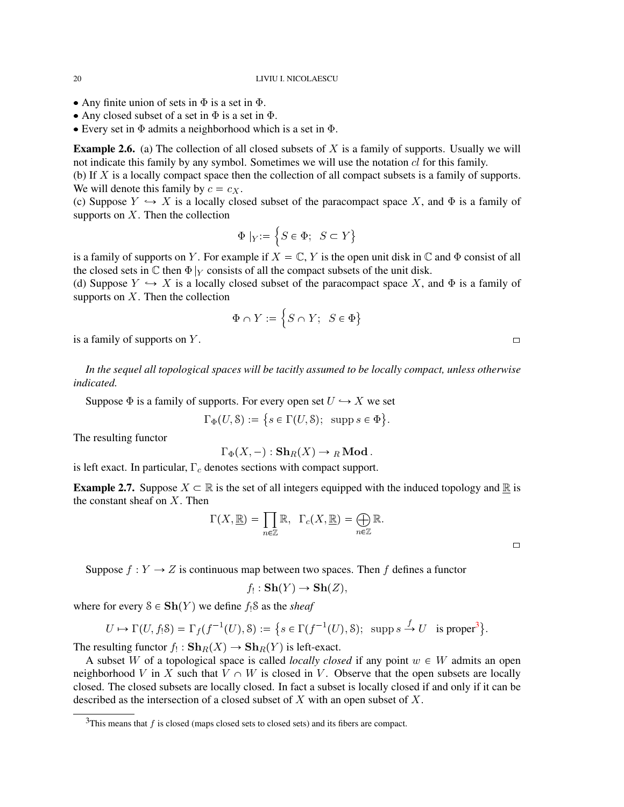## 20 LIVIU I. NICOLAESCU

- Any finite union of sets in  $\Phi$  is a set in  $\Phi$ .
- Any closed subset of a set in  $\Phi$  is a set in  $\Phi$ .
- Every set in  $\Phi$  admits a neighborhood which is a set in  $\Phi$ .

**Example 2.6.** (a) The collection of all closed subsets of  $X$  is a family of supports. Usually we will not indicate this family by any symbol. Sometimes we will use the notation cl for this family.

(b) If X is a locally compact space then the collection of all compact subsets is a family of supports. We will denote this family by  $c = c_X$ .

(c) Suppose  $Y \hookrightarrow X$  is a locally closed subset of the paracompact space X, and  $\Phi$  is a family of supports on  $X$ . Then the collection

$$
\Phi |_{Y} := \left\{ S \in \Phi; \ S \subset Y \right\}
$$

is a family of supports on Y. For example if  $X = \mathbb{C}$ , Y is the open unit disk in  $\mathbb{C}$  and  $\Phi$  consist of all the closed sets in  $\mathbb C$  then  $\Phi|_Y$  consists of all the compact subsets of the unit disk.

(d) Suppose  $Y \hookrightarrow X$  is a locally closed subset of the paracompact space X, and  $\Phi$  is a family of supports on  $X$ . Then the collection

$$
\Phi \cap Y := \Big\{S \cap Y; \ S \in \Phi \big\}
$$

is a family of supports on Y.

*In the sequel all topological spaces will be tacitly assumed to be locally compact, unless otherwise indicated.*

Suppose  $\Phi$  is a family of supports. For every open set  $U \hookrightarrow X$  we set

$$
\Gamma_{\Phi}(U, \mathcal{S}) := \{ s \in \Gamma(U, \mathcal{S}); \ \ \text{supp } s \in \Phi \}.
$$

The resulting functor

$$
\Gamma_{\Phi}(X,-):{\mathbf{Sh}}_R(X)\to {}_R\mathbf{Mod}.
$$

is left exact. In particular,  $\Gamma_c$  denotes sections with compact support.

**Example 2.7.** Suppose  $X \subset \mathbb{R}$  is the set of all integers equipped with the induced topology and  $\mathbb{R}$  is the constant sheaf on  $X$ . Then

$$
\Gamma(X, \underline{\mathbb{R}}) = \prod_{n \in \mathbb{Z}} \mathbb{R}, \ \ \Gamma_c(X, \underline{\mathbb{R}}) = \bigoplus_{n \in \mathbb{Z}} \mathbb{R}.
$$

Suppose  $f: Y \to Z$  is continuous map between two spaces. Then f defines a functor

$$
f_! : \mathbf{Sh}(Y) \to \mathbf{Sh}(Z),
$$

where for every  $S \in Sh(Y)$  we define  $f_!S$  as the *sheaf* 

$$
U \mapsto \Gamma(U, f_! {\mathcal S}) = \Gamma_f(f^{-1}(U), {\mathcal S}) := \big\{ s \in \Gamma(f^{-1}(U), {\mathcal S}) ; \ \text{ supp } s \xrightarrow{f} U \ \text{ is proper}^3 \big\}.
$$

The resulting functor  $f_! : \mathbf{Sh}_R(X) \to \mathbf{Sh}_R(Y)$  is left-exact.

A subset W of a topological space is called *locally closed* if any point  $w \in W$  admits an open neighborhood V in X such that  $V \cap W$  is closed in V. Observe that the open subsets are locally closed. The closed subsets are locally closed. In fact a subset is locally closed if and only if it can be described as the intersection of a closed subset of  $X$  with an open subset of  $X$ .

 $\Box$ 

<span id="page-19-0"></span> $3$ This means that  $f$  is closed (maps closed sets to closed sets) and its fibers are compact.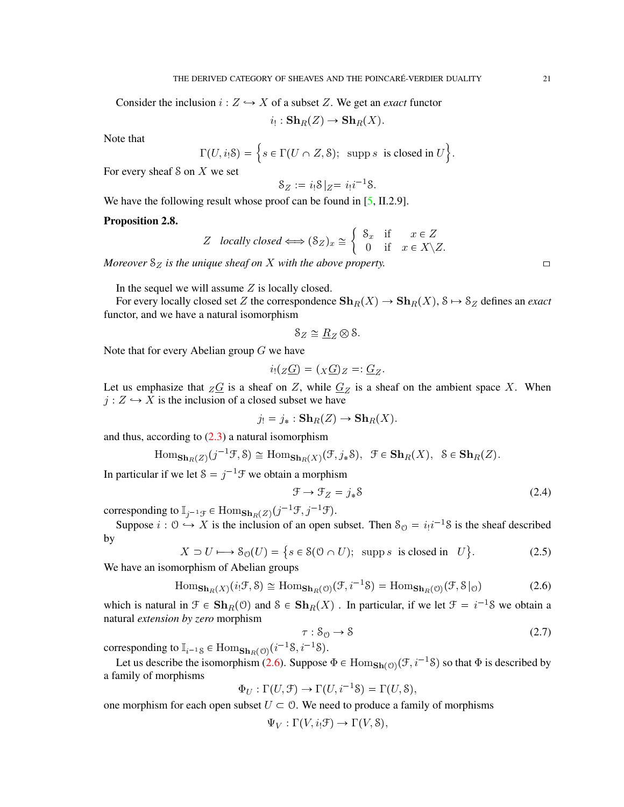Consider the inclusion  $i: Z \hookrightarrow X$  of a subset Z. We get an *exact* functor

 $i_!:\mathbf{Sh}_R(Z)\to\mathbf{Sh}_R(X).$ 

Note that

$$
\Gamma(U, i_!\mathcal{S}) = \Big\{ s \in \Gamma(U \cap Z, \mathcal{S}); \text{ supp } s \text{ is closed in } U \Big\}.
$$

For every sheaf  $S$  on  $X$  we set

$$
\mathcal{S}_Z := i_!\mathcal{S}|_Z = i_!\mathcal{i}^{-1}\mathcal{S}.
$$

We have the following result whose proof can be found in [\[5,](#page-71-8) II.2.9].

## Proposition 2.8.

Z locally closed 
$$
\Longleftrightarrow
$$
  $(\mathcal{S}_Z)_x \cong \begin{cases} \mathcal{S}_x & \text{if } x \in Z \\ 0 & \text{if } x \in X \setminus Z. \end{cases}$ 

*Moreover*  $S_Z$  *is the unique sheaf on* X *with the above property.* 

In the sequel we will assume  $Z$  is locally closed.

For every locally closed set Z the correspondence  $\mathbf{Sh}_R(X) \to \mathbf{Sh}_R(X)$ ,  $S \mapsto S_Z$  defines an *exact* functor, and we have a natural isomorphism

$$
\mathcal{S}_Z \cong \underline{R}_Z \otimes \mathcal{S}.
$$

Note that for every Abelian group  $G$  we have

$$
i_!(Z\underline{G})=(X\underline{G})Z=:\underline{G}_Z.
$$

Let us emphasize that  $Z\overline{G}$  is a sheaf on Z, while  $G_Z$  is a sheaf on the ambient space X. When  $j: Z \hookrightarrow X$  is the inclusion of a closed subset we have

$$
j_! = j_* : \mathbf{Sh}_R(Z) \to \mathbf{Sh}_R(X).
$$

and thus, according to  $(2.3)$  a natural isomorphism

$$
\mathrm{Hom}_{\mathbf{Sh}_R(Z)}(j^{-1}\mathcal{F},\mathcal{S})\cong \mathrm{Hom}_{\mathbf{Sh}_R(X)}(\mathcal{F},j_*\mathcal{S}),\ \ \mathcal{F}\in\mathbf{Sh}_R(X),\ \ \mathcal{S}\in\mathbf{Sh}_R(Z).
$$

In particular if we let  $S = j^{-1} \mathcal{F}$  we obtain a morphism

$$
\mathcal{F} \to \mathcal{F}_Z = j_* \mathcal{S} \tag{2.4}
$$

corresponding to  $\mathbb{I}_{j^{-1}\mathcal{F}} \in \text{Hom}_{\mathbf{Sh}_R(Z)}(j^{-1}\mathcal{F}, j^{-1}\mathcal{F}).$ 

Suppose  $i: 0 \rightarrow X$  is the inclusion of an open subset. Then  $S_0 = i_1 i^{-1} S$  is the sheaf described by

$$
X \supset U \longmapsto \mathcal{S}_{\mathcal{O}}(U) = \{ s \in \mathcal{S}(\mathcal{O} \cap U); \text{ supp } s \text{ is closed in } U \}. \tag{2.5}
$$

We have an isomorphism of Abelian groups

<span id="page-20-0"></span>
$$
\text{Hom}_{\mathbf{Sh}_R(X)}(i_!\mathcal{F}, \mathcal{S}) \cong \text{Hom}_{\mathbf{Sh}_R(\mathcal{O})}(\mathcal{F}, i^{-1}\mathcal{S}) = \text{Hom}_{\mathbf{Sh}_R(\mathcal{O})}(\mathcal{F}, \mathcal{S}|_{\mathcal{O}}) \tag{2.6}
$$

which is natural in  $\mathcal{F} \in \mathbf{Sh}_R(\mathcal{O})$  and  $\mathcal{S} \in \mathbf{Sh}_R(X)$ . In particular, if we let  $\mathcal{F} = i^{-1} \mathcal{S}$  we obtain a natural *extension by zero* morphism

<span id="page-20-1"></span>
$$
\tau: \mathcal{S}_{\mathcal{O}} \to \mathcal{S} \tag{2.7}
$$

corresponding to  $\mathbb{I}_{i^{-1}S} \in \text{Hom}_{\mathbf{Sh}_R(\mathcal{O})}(i^{-1}S, i^{-1}S)$ .

Let us describe the isomorphism [\(2.6\)](#page-20-0). Suppose  $\Phi \in \text{Hom}_{\textbf{Sh}(\mathcal{O})}(\mathcal{F}, i^{-1}S)$  so that  $\Phi$  is described by a family of morphisms

$$
\Phi_U : \Gamma(U, \mathcal{F}) \to \Gamma(U, i^{-1}\mathcal{S}) = \Gamma(U, \mathcal{S}),
$$

one morphism for each open subset  $U \subset \mathcal{O}$ . We need to produce a family of morphisms

$$
\Psi_V : \Gamma(V, i_! \mathcal{F}) \to \Gamma(V, \mathcal{S}),
$$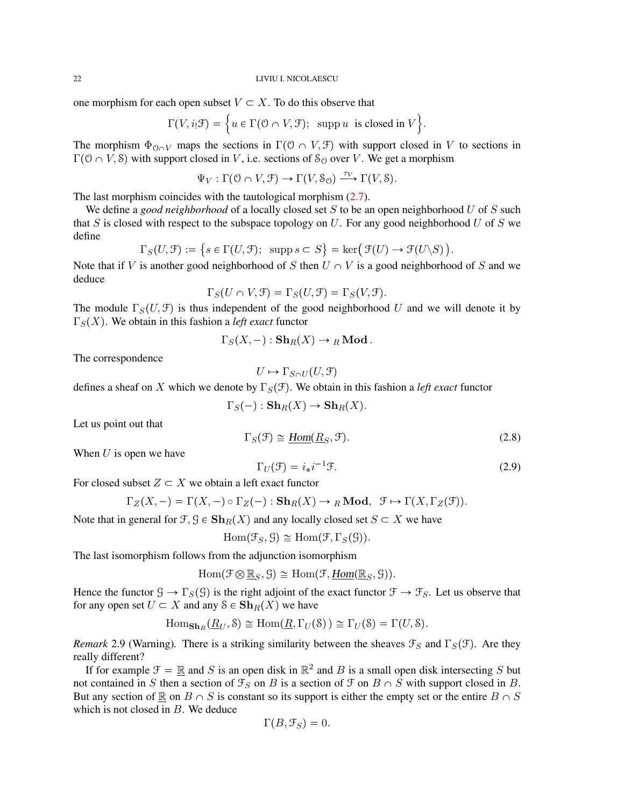one morphism for each open subset  $V \subset X$ . To do this observe that

$$
\Gamma(V, i_! \mathcal{F}) = \Big\{ u \in \Gamma(\mathcal{O} \cap V, \mathcal{F}); \text{ supp } u \text{ is closed in } V \Big\}.
$$

The morphism  $\Phi_{\mathcal{O} \cap V}$  maps the sections in  $\Gamma(\mathcal{O} \cap V, \mathcal{F})$  with support closed in V to sections in  $\Gamma(0 \cap V, \mathcal{S})$  with support closed in V, i.e. sections of  $\mathcal{S}_0$  over V. We get a morphism

$$
\Psi_V : \Gamma(0 \cap V, \mathcal{F}) \to \Gamma(V, \mathcal{S}_0) \xrightarrow{\tau_V} \Gamma(V, \mathcal{S}).
$$

The last morphism coincides with the tautological morphism [\(2.7\)](#page-20-1).

We define a *good neighborhood* of a locally closed set S to be an open neighborhood U of S such that S is closed with respect to the subspace topology on U. For any good neighborhood U of S we define

$$
\Gamma_S(U, \mathcal{F}) := \{ s \in \Gamma(U, \mathcal{F}); \text{ supp } s \subset S \} = \ker(\mathcal{F}(U) \to \mathcal{F}(U \backslash S))
$$

Note that if V is another good neighborhood of S then  $U \cap V$  is a good neighborhood of S and we deduce

$$
\Gamma_S(U \cap V, \mathcal{F}) = \Gamma_S(U, \mathcal{F}) = \Gamma_S(V, \mathcal{F}).
$$

The module  $\Gamma_S(U, \mathcal{F})$  is thus independent of the good neighborhood U and we will denote it by  $\Gamma_S(X)$ . We obtain in this fashion a *left exact* functor

$$
\Gamma_S(X, -) : \mathbf{Sh}_R(X) \to {}_R\mathbf{Mod}.
$$

The correspondence

$$
U \mapsto \Gamma_{S \cap U}(U, \mathcal{F})
$$

defines a sheaf on X which we denote by  $\Gamma_S(\mathcal{F})$ . We obtain in this fashion a *left exact* functor

$$
\Gamma_S(-): \mathbf{Sh}_R(X) \to \mathbf{Sh}_R(X).
$$

Let us point out that

$$
\Gamma_S(\mathcal{F}) \cong \underline{\text{Hom}}(\underline{R}_S, \mathcal{F}).\tag{2.8}
$$

When  $U$  is open we have

$$
\Gamma_U(\mathcal{F}) = i_* i^{-1} \mathcal{F}.
$$
\n(2.9)

For closed subset  $Z \subset X$  we obtain a left exact functor

$$
\Gamma_Z(X, -) = \Gamma(X, -) \circ \Gamma_Z(-) : \mathbf{Sh}_R(X) \to_R \mathbf{Mod}, \ \mathcal{F} \mapsto \Gamma(X, \Gamma_Z(\mathcal{F})).
$$

Note that in general for  $\mathcal{F}, \mathcal{G} \in \mathbf{Sh}_R(X)$  and any locally closed set  $S \subset X$  we have

$$
Hom(\mathcal{F}_S, \mathcal{G}) \cong Hom(\mathcal{F}, \Gamma_S(\mathcal{G})).
$$

The last isomorphism follows from the adjunction isomorphism

 $\text{Hom}(\mathcal{F}\otimes \underline{\mathbb{R}}_S,\mathcal{G})\cong \text{Hom}(\mathcal{F},\underline{\text{Hom}}(\underline{\mathbb{R}}_S,\mathcal{G})).$ 

Hence the functor  $\mathcal{G} \to \Gamma_S(\mathcal{G})$  is the right adjoint of the exact functor  $\mathcal{F} \to \mathcal{F}_S$ . Let us observe that for any open set  $U \subset X$  and any  $S \in \mathbf{Sh}_R(X)$  we have

$$
\mathrm{Hom}_{\mathbf{Sh}_R}(\underline{R}_U, \mathcal{S}) \cong \mathrm{Hom}(\underline{R}, \Gamma_U(\mathcal{S})) \cong \Gamma_U(\mathcal{S}) = \Gamma(U, \mathcal{S}).
$$

<span id="page-21-0"></span>*Remark* 2.9 (Warning). There is a striking similarity between the sheaves  $\mathcal{F}_S$  and  $\Gamma_S(\mathcal{F})$ . Are they really different?

If for example  $\mathcal{F} = \mathbb{R}$  and S is an open disk in  $\mathbb{R}^2$  and B is a small open disk intersecting S but not contained in S then a section of  $\mathcal{F}_S$  on B is a section of  $\mathcal{F}$  on  $B \cap S$  with support closed in B. But any section of  $\mathbb R$  on  $B \cap S$  is constant so its support is either the empty set or the entire  $B \cap S$ which is not closed in B. We deduce

$$
\Gamma(B,\mathcal{F}_S)=0.
$$

.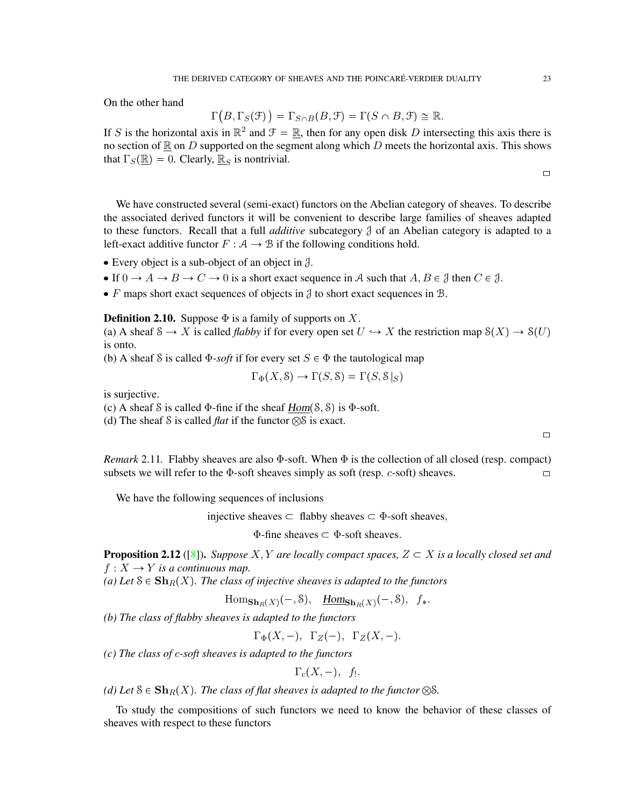On the other hand

$$
\Gamma(B,\Gamma_S(\mathcal{F})) = \Gamma_{S \cap B}(B,\mathcal{F}) = \Gamma(S \cap B,\mathcal{F}) \cong \mathbb{R}.
$$

If S is the horizontal axis in  $\mathbb{R}^2$  and  $\mathcal{F} = \mathbb{R}$ , then for any open disk D intersecting this axis there is no section of  $\mathbb R$  on D supported on the segment along which D meets the horizontal axis. This shows that  $\Gamma_S(\mathbb{R}) = 0$ . Clearly,  $\mathbb{R}_S$  is nontrivial.

 $\Box$ 

We have constructed several (semi-exact) functors on the Abelian category of sheaves. To describe the associated derived functors it will be convenient to describe large families of sheaves adapted to these functors. Recall that a full *additive* subcategory J of an Abelian category is adapted to a left-exact additive functor  $F : A \rightarrow B$  if the following conditions hold.

- Every object is a sub-object of an object in  $\beta$ .
- If  $0 \to A \to B \to C \to 0$  is a short exact sequence in A such that  $A, B \in \mathcal{J}$  then  $C \in \mathcal{J}$ .
- $\bullet$  F maps short exact sequences of objects in  $\beta$  to short exact sequences in  $\beta$ .

**Definition 2.10.** Suppose  $\Phi$  is a family of supports on X.

(a) A sheaf  $S \to X$  is called *flabby* if for every open set  $U \hookrightarrow X$  the restriction map  $\mathcal{S}(X) \to \mathcal{S}(U)$ is onto.

(b) A sheaf S is called  $\Phi$ -*soft* if for every set  $S \in \Phi$  the tautological map

$$
\Gamma_{\Phi}(X, \mathcal{S}) \to \Gamma(S, \mathcal{S}) = \Gamma(S, \mathcal{S}|_S)
$$

is surjective.

(c) A sheaf S is called  $\Phi$ -fine if the sheaf  $Hom(S, S)$  is  $\Phi$ -soft.

(d) The sheaf S is called *flat* if the functor  $\otimes$ S is exact.

*Remark* 2.11. Flabby sheaves are also  $\Phi$ -soft. When  $\Phi$  is the collection of all closed (resp. compact) subsets we will refer to the  $\Phi$ -soft sheaves simply as soft (resp. *c*-soft) sheaves.

We have the following sequences of inclusions

injective sheaves  $\subset$  flabby sheaves  $\subset$   $\Phi$ -soft sheaves,

 $\Phi$ -fine sheaves  $\subset \Phi$ -soft sheaves.

**Proposition 2.12** ([\[8\]](#page-71-4)). *Suppose* X, Y are locally compact spaces,  $Z \subset X$  is a locally closed set and  $f: X \to Y$  *is a continuous map.* 

(a) Let  $S \in \mathbf{Sh}_R(X)$ *. The class of injective sheaves is adapted to the functors* 

Hom $\mathbf{Sh}_R(X)$  $\left(-, \mathcal{S}\right)$ ,  $\underline{Hom}_{\mathbf{Sh}_R(X)}(-, \mathcal{S})$ ,  $f_*$ .

*(b) The class of flabby sheaves is adapted to the functors*

 $\Gamma_{\Phi}(X,-), \ \Gamma_{Z}(-), \ \Gamma_{Z}(X,-).$ 

*(c) The class of* c*-soft sheaves is adapted to the functors*

$$
\Gamma_c(X,-),\ \ f_!.
$$

*(d)* Let  $S \in \mathbf{Sh}_R(X)$ *. The class of flat sheaves is adapted to the functor*  $\otimes S$ *.* 

To study the compositions of such functors we need to know the behavior of these classes of sheaves with respect to these functors

 $\Box$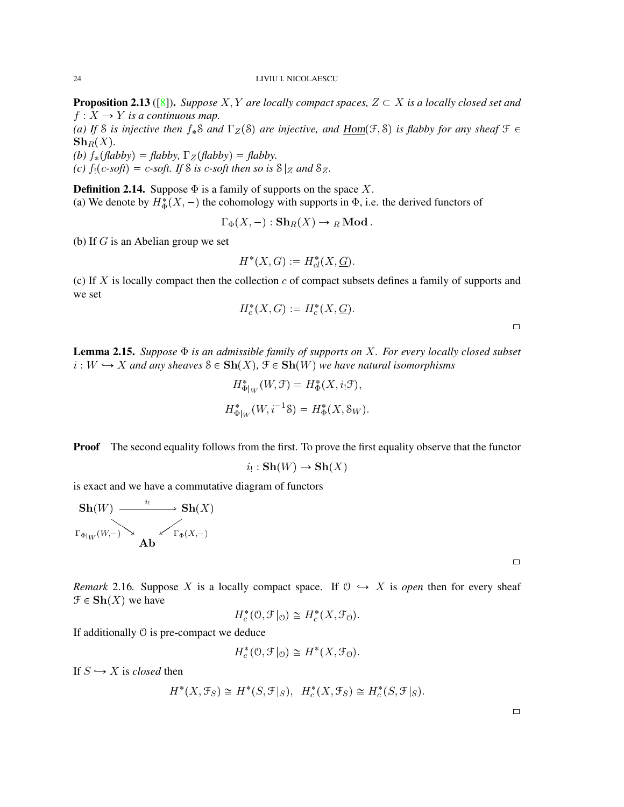**Proposition 2.13** ([\[8\]](#page-71-4)). *Suppose* X, Y are locally compact spaces,  $Z \subset X$  is a locally closed set and  $f: X \to Y$  *is a continuous map.* 

*(a)* If *S is injective then*  $f_*S$  *and*  $\Gamma_Z(S)$  *are injective, and*  $\underline{Hom}(\mathcal{F}, S)$  *is flabby for any sheaf*  $\mathcal{F} \in$  $\mathbf{Sh}_R(X)$ .

*(b)*  $f_*(\text{f}(\text{ab}(\text{b})) = \text{f}(\text{ab}(\text{b}))$ ,  $\Gamma_Z(\text{f}(\text{b}(\text{b})) = \text{f}(\text{b}(\text{b}))$ .

*(c)*  $f_1(c\text{-}soft) = c\text{-}soft.$  If S is *c*-soft then so is  $S|Z$  *and*  $SZ$ .

**Definition 2.14.** Suppose  $\Phi$  is a family of supports on the space X.

(a) We denote by  $H^*_{\Phi}(X, -)$  the cohomology with supports in  $\Phi$ , i.e. the derived functors of

 $\Gamma_{\Phi}(X, -) : \mathbf{Sh}_R(X) \to {}_R \mathbf{Mod}.$ 

(b) If  $G$  is an Abelian group we set

$$
H^*(X, G) := H^*_{cl}(X, \underline{G}).
$$

(c) If  $X$  is locally compact then the collection  $c$  of compact subsets defines a family of supports and we set

$$
H_c^*(X, G) := H_c^*(X, \underline{G}).
$$

 $\Box$ 

<span id="page-23-0"></span>Lemma 2.15. *Suppose* Φ *is an admissible family of supports on* X*. For every locally closed subset*  $i: W \hookrightarrow X$  and any sheaves  $S \in Sh(X), \mathcal{F} \in Sh(W)$  we have natural isomorphisms

$$
H_{\Phi|_W}^*(W, \mathcal{F}) = H_{\Phi}^*(X, i_! \mathcal{F}),
$$
  

$$
H_{\Phi|_W}^*(W, i^{-1} \mathcal{S}) = H_{\Phi}^*(X, \mathcal{S}_W).
$$

**Proof** The second equality follows from the first. To prove the first equality observe that the functor

$$
i_! : \mathbf{Sh}(W) \to \mathbf{Sh}(X)
$$

is exact and we have a commutative diagram of functors

$$
\mathbf{Sh}(W) \xrightarrow{\qquad i_!} \mathbf{Sh}(X)
$$
  
 $\Gamma_{\Phi|_W}(W, -)$   
**Ab**

| ۰ |  |  |
|---|--|--|
|   |  |  |
|   |  |  |

<span id="page-23-1"></span>*Remark* 2.16*.* Suppose X is a locally compact space. If  $\mathcal{O} \hookrightarrow X$  is *open* then for every sheaf  $\mathfrak{F} \in \mathbf{Sh}(X)$  we have

$$
H_c^*(0, \mathcal{F}|_0) \cong H_c^*(X, \mathcal{F}_0).
$$

If additionally O is pre-compact we deduce

$$
H_c^*(0, \mathcal{F}|_0) \cong H^*(X, \mathcal{F}_0).
$$

If  $S \hookrightarrow X$  is *closed* then

$$
H^*(X, \mathcal{F}_S) \cong H^*(S, \mathcal{F}|_S), \quad H^*_c(X, \mathcal{F}_S) \cong H^*_c(S, \mathcal{F}|_S).
$$

| ۰ |  |  |
|---|--|--|
|   |  |  |
|   |  |  |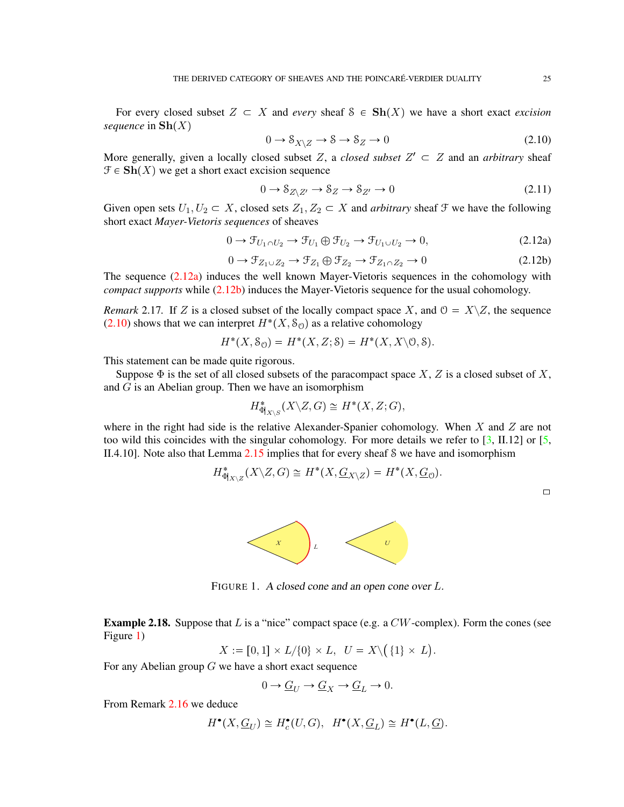For every closed subset  $Z \subset X$  and *every* sheaf  $S \in Sh(X)$  we have a short exact *excision sequence* in  $\mathbf{Sh}(X)$ 

<span id="page-24-2"></span>
$$
0 \to \mathcal{S}_{X \setminus Z} \to \mathcal{S} \to \mathcal{S}_Z \to 0 \tag{2.10}
$$

More generally, given a locally closed subset Z, a *closed subset*  $Z' \subset Z$  and an *arbitrary* sheaf  $\mathcal{F} \in \mathbf{Sh}(X)$  we get a short exact excision sequence

$$
0 \to \mathcal{S}_{Z \setminus Z'} \to \mathcal{S}_Z \to \mathcal{S}_{Z'} \to 0 \tag{2.11}
$$

Given open sets  $U_1, U_2 \subset X$ , closed sets  $Z_1, Z_2 \subset X$  and *arbitrary* sheaf  $\mathcal F$  we have the following short exact *Mayer-Vietoris sequences* of sheaves

<span id="page-24-0"></span>
$$
0 \to \mathcal{F}_{U_1 \cap U_2} \to \mathcal{F}_{U_1} \oplus \mathcal{F}_{U_2} \to \mathcal{F}_{U_1 \cup U_2} \to 0,
$$
\n(2.12a)

<span id="page-24-1"></span>
$$
0 \to \mathcal{F}_{Z_1 \cup Z_2} \to \mathcal{F}_{Z_1} \oplus \mathcal{F}_{Z_2} \to \mathcal{F}_{Z_1 \cap Z_2} \to 0 \tag{2.12b}
$$

The sequence  $(2.12a)$  induces the well known Mayer-Vietoris sequences in the cohomology with *compact supports* while [\(2.12b\)](#page-24-1) induces the Mayer-Vietoris sequence for the usual cohomology.

*Remark* 2.17. If Z is a closed subset of the locally compact space X, and  $\mathcal{O} = X \setminus Z$ , the sequence  $(2.10)$  shows that we can interpret  $H^*(X, \mathcal{S}_{\mathcal{O}})$  as a relative cohomology

$$
H^*(X, S_{\mathcal{O}}) = H^*(X, Z; \mathcal{S}) = H^*(X, X \backslash \mathcal{O}, \mathcal{S}).
$$

This statement can be made quite rigorous.

Suppose  $\Phi$  is the set of all closed subsets of the paracompact space X, Z is a closed subset of X, and  $G$  is an Abelian group. Then we have an isomorphism

$$
H^*_{\Phi|_{X \backslash S}}(X \backslash Z, G) \cong H^*(X, Z; G),
$$

where in the right had side is the relative Alexander-Spanier cohomology. When  $X$  and  $Z$  are not too wild this coincides with the singular cohomology. For more details we refer to  $\lceil 3, \text{ II.12} \rceil$  or  $\lceil 5, \text{ II.12} \rceil$ II.4.10]. Note also that Lemma [2.15](#page-23-0) implies that for every sheaf S we have and isomorphism

$$
H^*_{\Phi|_{X \setminus Z}}(X \setminus Z, G) \cong H^*(X, \underline{G}_{X \setminus Z}) = H^*(X, \underline{G}_{\mathcal{O}}).
$$

 $\Box$ 



<span id="page-24-3"></span>FIGURE 1. A closed cone and an open cone over L.

<span id="page-24-4"></span>**Example 2.18.** Suppose that L is a "nice" compact space (e.g. a  $CW$ -complex). Form the cones (see Figure [1\)](#page-24-3)

$$
X:=\llbracket 0,1\rrbracket \times L/\{0\} \times L, \ \ U=X\backslash \big(\ \{1\} \times \ Lbig).
$$

For any Abelian group  $G$  we have a short exact sequence

$$
0 \to \underline{G}_U \to \underline{G}_X \to \underline{G}_L \to 0.
$$

From Remark [2.16](#page-23-1) we deduce

$$
H^{\bullet}(X, \underline{G}_U) \cong H^{\bullet}_c(U, G), \quad H^{\bullet}(X, \underline{G}_L) \cong H^{\bullet}(L, \underline{G}).
$$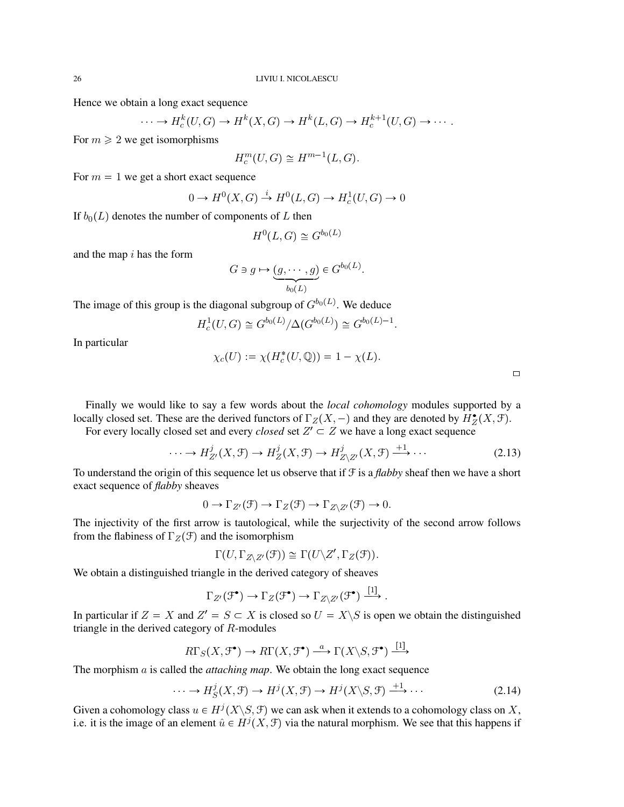Hence we obtain a long exact sequence

$$
\cdots \to H_c^k(U, G) \to H^k(X, G) \to H^k(L, G) \to H_c^{k+1}(U, G) \to \cdots.
$$

For  $m \geq 2$  we get isomorphisms

$$
H_c^m(U, G) \cong H^{m-1}(L, G).
$$

For  $m = 1$  we get a short exact sequence

$$
0 \to H^0(X, G) \stackrel{i}{\to} H^0(L, G) \to H^1_c(U, G) \to 0
$$

If  $b_0(L)$  denotes the number of components of L then

$$
H^0(L, G) \cong G^{b_0(L)}
$$

and the map  $i$  has the form

$$
G \ni g \mapsto \underbrace{(g, \cdots, g)}_{b_0(L)} \in G^{b_0(L)}
$$

The image of this group is the diagonal subgroup of  $G^{b_0(L)}$ . We deduce

$$
H_c^1(U,G) \cong G^{b_0(L)}/\Delta(G^{b_0(L)}) \cong G^{b_0(L)-1}
$$

In particular

$$
\chi_c(U) := \chi(H_c^*(U, \mathbb{Q})) = 1 - \chi(L).
$$

| ۰ |  |
|---|--|
|   |  |

Finally we would like to say a few words about the *local cohomology* modules supported by a locally closed set. These are the derived functors of  $\Gamma_Z(X, -)$  and they are denoted by  $H_Z^{\bullet}(X, \mathcal{F})$ .

For every locally closed set and every *closed* set  $Z' \subset Z$  we have a long exact sequence

$$
\cdots \to H^j_{Z'}(X,\mathcal{F}) \to H^j_Z(X,\mathcal{F}) \to H^j_{Z\setminus Z'}(X,\mathcal{F}) \xrightarrow{+1} \cdots \tag{2.13}
$$

.

.

To understand the origin of this sequence let us observe that if F is a *flabby* sheaf then we have a short exact sequence of *flabby* sheaves

$$
0 \to \Gamma_{Z'}(\mathcal{F}) \to \Gamma_Z(\mathcal{F}) \to \Gamma_{Z \setminus Z'}(\mathcal{F}) \to 0.
$$

The injectivity of the first arrow is tautological, while the surjectivity of the second arrow follows from the flabiness of  $\Gamma_Z(\mathcal{F})$  and the isomorphism

$$
\Gamma(U,\Gamma_{Z\setminus Z'}(\mathfrak{F}))\cong\Gamma(U\setminus Z',\Gamma_{Z}(\mathfrak{F})).
$$

We obtain a distinguished triangle in the derived category of sheaves

$$
\Gamma_{Z'}(\mathcal{F}^{\bullet}) \to \Gamma_Z(\mathcal{F}^{\bullet}) \to \Gamma_{Z \setminus Z'}(\mathcal{F}^{\bullet}) \xrightarrow{[1]}.
$$

In particular if  $Z = X$  and  $Z' = S \subset X$  is closed so  $U = X \setminus S$  is open we obtain the distinguished triangle in the derived category of R-modules

$$
R\Gamma_S(X, \mathcal{F}^\bullet) \to R\Gamma(X, \mathcal{F}^\bullet) \stackrel{a}{\longrightarrow} \Gamma(X \backslash S, \mathcal{F}^\bullet) \stackrel{[1]}{\longrightarrow}
$$

The morphism a is called the *attaching map*. We obtain the long exact sequence

<span id="page-25-0"></span>
$$
\cdots \to H_S^j(X, \mathcal{F}) \to H^j(X, \mathcal{F}) \to H^j(X \backslash S, \mathcal{F}) \xrightarrow{+1} \cdots \tag{2.14}
$$

r<sub>1</sub>s

Given a cohomology class  $u \in H^{j}(X \backslash S, \mathcal{F})$  we can ask when it extends to a cohomology class on X, i.e. it is the image of an element  $\hat{u} \in H^j(X, \mathcal{F})$  via the natural morphism. We see that this happens if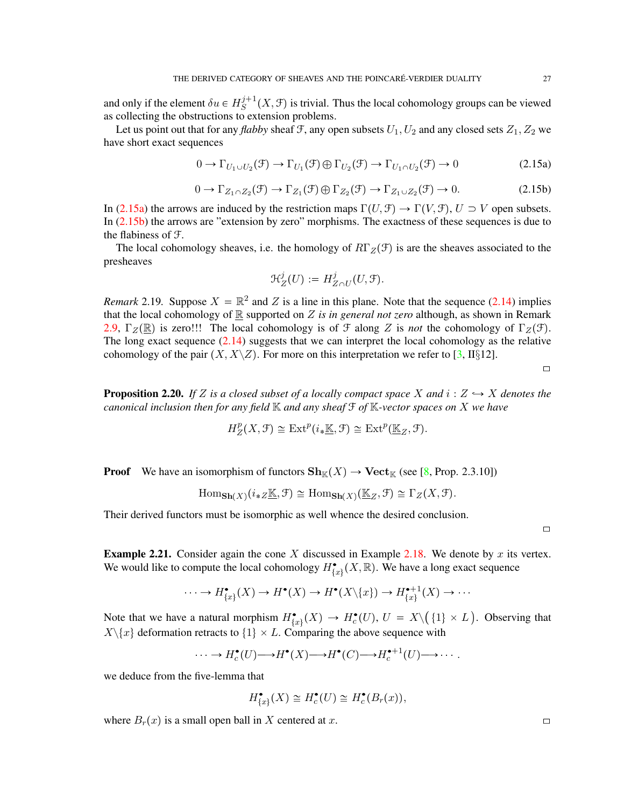and only if the element  $\delta u \in H_S^{j+1}$  $S^{j+1}(X, \mathcal{F})$  is trivial. Thus the local cohomology groups can be viewed as collecting the obstructions to extension problems.

Let us point out that for any *flabby* sheaf F, any open subsets  $U_1, U_2$  and any closed sets  $Z_1, Z_2$  we have short exact sequences

<span id="page-26-0"></span>
$$
0 \to \Gamma_{U_1 \cup U_2}(\mathcal{F}) \to \Gamma_{U_1}(\mathcal{F}) \oplus \Gamma_{U_2}(\mathcal{F}) \to \Gamma_{U_1 \cap U_2}(\mathcal{F}) \to 0
$$
\n(2.15a)

<span id="page-26-1"></span>
$$
0 \to \Gamma_{Z_1 \cap Z_2}(\mathcal{F}) \to \Gamma_{Z_1}(\mathcal{F}) \oplus \Gamma_{Z_2}(\mathcal{F}) \to \Gamma_{Z_1 \cup Z_2}(\mathcal{F}) \to 0. \tag{2.15b}
$$

In [\(2.15a\)](#page-26-0) the arrows are induced by the restriction maps  $\Gamma(U, \mathcal{F}) \to \Gamma(V, \mathcal{F}), U \supset V$  open subsets. In [\(2.15b\)](#page-26-1) the arrows are "extension by zero" morphisms. The exactness of these sequences is due to the flabiness of F.

The local cohomology sheaves, i.e. the homology of  $R\Gamma_Z(\mathcal{F})$  is are the sheaves associated to the presheaves

$$
\mathcal{H}^j_Z(U):=H^j_{Z\cap U}(U,\mathcal{F}).
$$

*Remark* 2.19. Suppose  $X = \mathbb{R}^2$  and Z is a line in this plane. Note that the sequence [\(2.14\)](#page-25-0) implies that the local cohomology of  $\mathbb R$  supported on  $Z$  *is in general not zero* although, as shown in Remark [2.9,](#page-21-0)  $\Gamma_Z(\mathbb{R})$  is zero!!! The local cohomology is of  $\mathcal F$  along Z is *not* the cohomology of  $\Gamma_Z(\mathcal F)$ . The long exact sequence  $(2.14)$  suggests that we can interpret the local cohomology as the relative cohomology of the pair  $(X, X\setminus Z)$ . For more on this interpretation we refer to [\[3,](#page-71-9) II§12].

 $\Box$ 

**Proposition 2.20.** If Z is a closed subset of a locally compact space X and  $i: Z \rightarrow X$  denotes the *canonical inclusion then for any field* K *and any sheaf* F *of* K*-vector spaces on* X *we have*

$$
H_Z^p(X, \mathcal{F}) \cong \text{Ext}^p(i_*\underline{\mathbb{K}}, \mathcal{F}) \cong \text{Ext}^p(\underline{\mathbb{K}}_Z, \mathcal{F}).
$$

**Proof** We have an isomorphism of functors  $\mathbf{Sh}_{\mathbb{K}}(X) \to \mathbf{Vect}_{\mathbb{K}}$  (see [\[8,](#page-71-4) Prop. 2.3.10])

$$
\mathrm{Hom}_{\mathbf{Sh}(X)}(i_{*Z} \underline{\mathbb{K}}, \mathcal{F}) \cong \mathrm{Hom}_{\mathbf{Sh}(X)}(\underline{\mathbb{K}}_{Z}, \mathcal{F}) \cong \Gamma_{Z}(X, \mathcal{F}).
$$

Their derived functors must be isomorphic as well whence the desired conclusion.

 $\Box$ 

**Example 2.21.** Consider again the cone X discussed in Example [2.18.](#page-24-4) We denote by x its vertex. We would like to compute the local cohomology  $H_{\{x\}}^{\bullet}(X,\mathbb{R})$ . We have a long exact sequence

$$
\cdots \to H_{\{x\}}^{\bullet}(X) \to H^{\bullet}(X) \to H^{\bullet}(X \backslash \{x\}) \to H_{\{x\}}^{\bullet+1}(X) \to \cdots
$$

Note that we have a natural morphism  $H^{\bullet}_{\{x\}}(X) \to H^{\bullet}_c(U), U = X \setminus (1 \times L)$ . Observing that  $X\backslash\{x\}$  deformation retracts to  $\{1\} \times L$ . Comparing the above sequence with

$$
\cdots \to H_c^{\bullet}(U) \longrightarrow H^{\bullet}(X) \longrightarrow H^{\bullet}(C) \longrightarrow H_c^{\bullet+1}(U) \longrightarrow \cdots.
$$

we deduce from the five-lemma that

$$
H_{\{x\}}^{\bullet}(X) \cong H_c^{\bullet}(U) \cong H_c^{\bullet}(B_r(x)),
$$

where  $B_r(x)$  is a small open ball in X centered at x.  $\Box$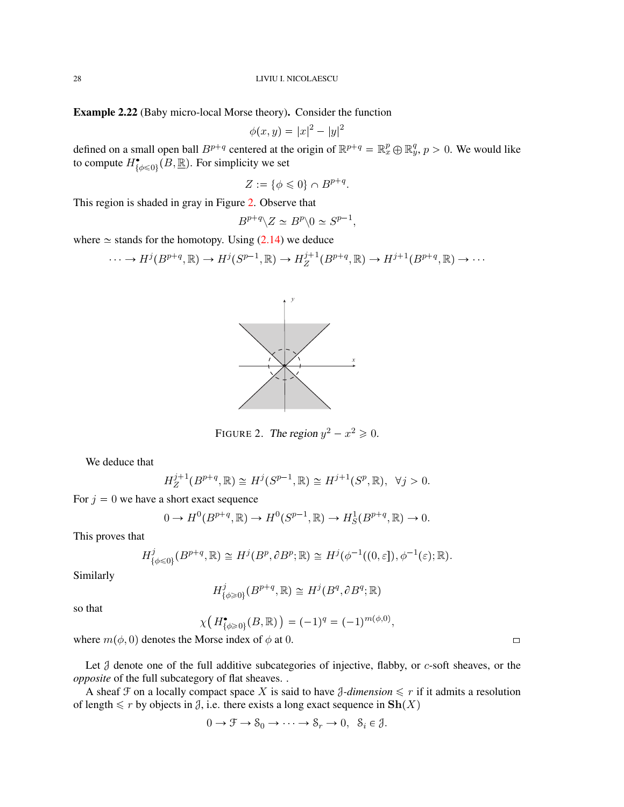Example 2.22 (Baby micro-local Morse theory). Consider the function

$$
\phi(x, y) = |x|^2 - |y|^2
$$

defined on a small open ball  $B^{p+q}$  centered at the origin of  $\mathbb{R}^{p+q} = \mathbb{R}^p_x \oplus \mathbb{R}^q_y$ ,  $p > 0$ . We would like to compute  $H^{\bullet}_{\{\phi \leq 0\}}(B, \underline{\mathbb{R}})$ . For simplicity we set

$$
Z := \{ \phi \leq 0 \} \cap B^{p+q}.
$$

This region is shaded in gray in Figure [2.](#page-27-0) Observe that

$$
B^{p+q} \backslash Z \simeq B^p \backslash 0 \simeq S^{p-1},
$$

where  $\simeq$  stands for the homotopy. Using [\(2.14\)](#page-25-0) we deduce

$$
\cdots \to H^j(B^{p+q}, \mathbb{R}) \to H^j(S^{p-1}, \mathbb{R}) \to H^{j+1}_Z(B^{p+q}, \mathbb{R}) \to H^{j+1}(B^{p+q}, \mathbb{R}) \to \cdots
$$



<span id="page-27-0"></span>FIGURE 2. The region  $y^2 - x^2 \ge 0$ .

We deduce that

$$
H_Z^{j+1}(B^{p+q}, \mathbb{R}) \cong H^j(S^{p-1}, \mathbb{R}) \cong H^{j+1}(S^p, \mathbb{R}), \ \forall j > 0.
$$

For  $j = 0$  we have a short exact sequence

$$
0 \to H^0(B^{p+q}, \mathbb{R}) \to H^0(S^{p-1}, \mathbb{R}) \to H_S^1(B^{p+q}, \mathbb{R}) \to 0.
$$

This proves that

$$
H^j_{\{\phi \leq 0\}}(B^{p+q}, \mathbb{R}) \cong H^j(B^p, \partial B^p; \mathbb{R}) \cong H^j(\phi^{-1}((0, \varepsilon]), \phi^{-1}(\varepsilon); \mathbb{R}).
$$

Similarly

$$
H^j_{\{\phi\geq 0\}}(B^{p+q},\mathbb{R})\cong H^j(B^q,\partial B^q;\mathbb{R})
$$

so that

$$
\chi\big(H_{\{\phi\geq 0\}}^{\bullet}(B,\mathbb{R})\big)=(-1)^{q}=(-1)^{m(\phi,0)},
$$

where  $m(\phi, 0)$  denotes the Morse index of  $\phi$  at 0.

Let  $\beta$  denote one of the full additive subcategories of injective, flabby, or  $c$ -soft sheaves, or the *opposite* of the full subcategory of flat sheaves. .

A sheaf  $\mathcal F$  on a locally compact space X is said to have  $\mathcal J$ -dimension  $\leq r$  if it admits a resolution of length  $\leq r$  by objects in  $\beta$ , i.e. there exists a long exact sequence in  $\mathbf{Sh}(X)$ 

$$
0 \to \mathcal{F} \to \mathcal{S}_0 \to \cdots \to \mathcal{S}_r \to 0, \ \ \mathcal{S}_i \in \mathcal{J}.
$$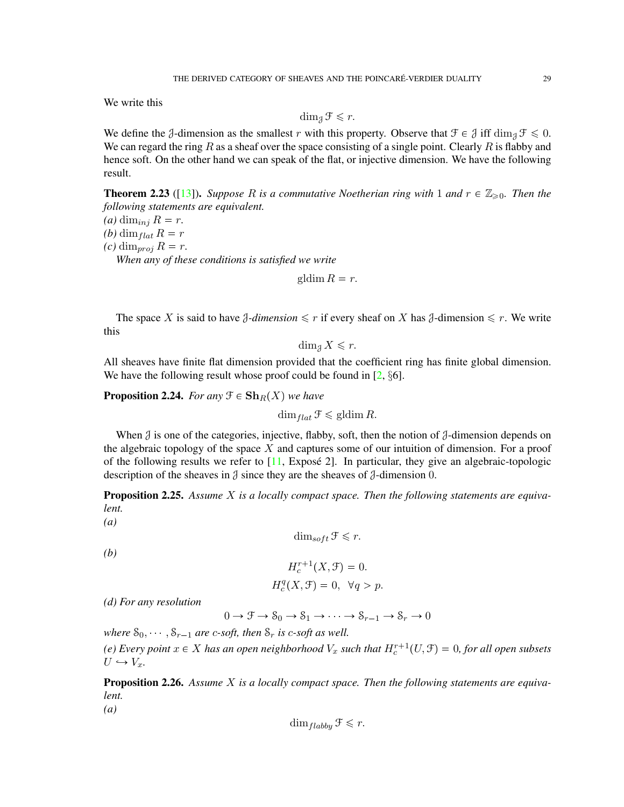We write this

$$
\dim_{\mathcal{J}} \mathcal{F} \leq r.
$$

We define the J-dimension as the smallest r with this property. Observe that  $\mathcal{F} \in \mathcal{J}$  iff  $\dim_{\mathcal{J}} \mathcal{F} \leq 0$ . We can regard the ring R as a sheaf over the space consisting of a single point. Clearly R is flabby and hence soft. On the other hand we can speak of the flat, or injective dimension. We have the following result.

**Theorem 2.23** ([\[13\]](#page-71-10)). Suppose R is a commutative Noetherian ring with 1 and  $r \in \mathbb{Z}_{\geq 0}$ . Then the *following statements are equivalent.*

 $(a)$  dim<sub>inj</sub>  $R = r$ . *(b)* dim<sub>flat</sub>  $R = r$  $(c)$  dim<sub>proj</sub>  $R = r$ . *When any of these conditions is satisfied we write*

gldim  $R = r$ .

The space X is said to have  $\beta$ -dimension  $\leq r$  if every sheaf on X has  $\beta$ -dimension  $\leq r$ . We write this

 $\dim_{\mathfrak{A}} X \leqslant r$ .

All sheaves have finite flat dimension provided that the coefficient ring has finite global dimension. We have the following result whose proof could be found in  $[2, §6]$  $[2, §6]$ .

**Proposition 2.24.** *For any*  $\mathcal{F} \in \mathbf{Sh}_R(X)$  *we have* 

 $\dim_{flat} \mathcal{F} \leq \mathrm{gldim}\, R.$ 

When  $\mathcal J$  is one of the categories, injective, flabby, soft, then the notion of  $\mathcal J$ -dimension depends on the algebraic topology of the space  $X$  and captures some of our intuition of dimension. For a proof of the following results we refer to  $[11, 11]$  $[11, 11]$ , Exposé 2]. In particular, they give an algebraic-topologic description of the sheaves in  $\beta$  since they are the sheaves of  $\beta$ -dimension 0.

<span id="page-28-0"></span>Proposition 2.25. *Assume* X *is a locally compact space. Then the following statements are equivalent.*

*(a)*

 $\dim_{soft} \mathcal{F} \leq r.$ 

*(b)*

*(a)*

$$
H_c^{r+1}(X, \mathcal{F}) = 0.
$$
  

$$
H_c^q(X, \mathcal{F}) = 0, \quad \forall q > p.
$$

*(d) For any resolution*

 $0 \to \mathcal{F} \to \mathcal{S}_0 \to \mathcal{S}_1 \to \cdots \to \mathcal{S}_{r-1} \to \mathcal{S}_r \to 0$ 

*where*  $S_0$ ,  $\ldots$ ,  $S_{r-1}$  *are c-soft, then*  $S_r$  *is c-soft as well.* 

(e) Every point  $x \in X$  has an open neighborhood  $V_x$  such that  $H_c^{r+1}(U, \mathcal{F}) = 0$ , for all open subsets  $U \hookrightarrow V_x$ .

Proposition 2.26. *Assume* X *is a locally compact space. Then the following statements are equivalent.*

 $\dim_{\text{flabbu}} \mathfrak{F} \leqslant r.$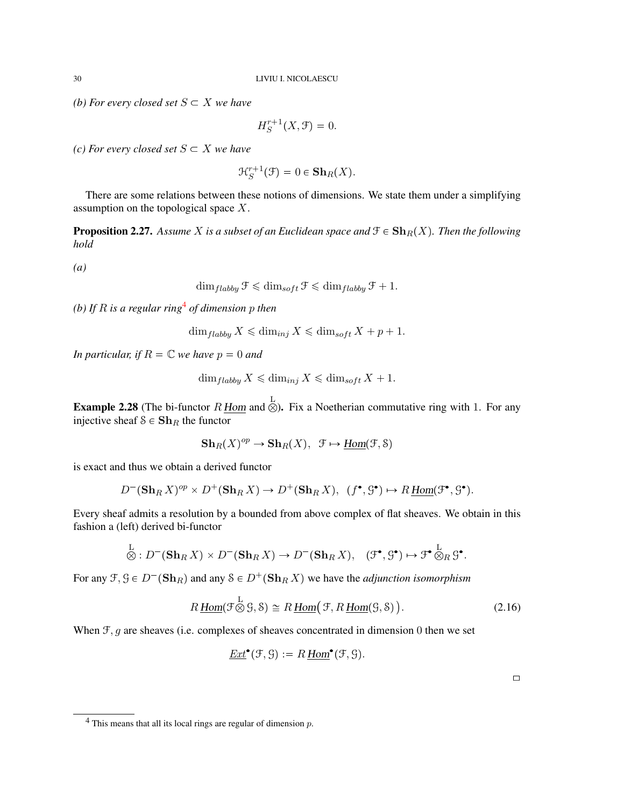*(b) For every closed set*  $S \subset X$  *we have* 

$$
H_S^{r+1}(X,\mathcal{F})=0.
$$

*(c) For every closed set*  $S \subset X$  *we have* 

$$
\mathcal{H}_S^{r+1}(\mathcal{F}) = 0 \in \mathbf{Sh}_R(X).
$$

There are some relations between these notions of dimensions. We state them under a simplifying assumption on the topological space X.

**Proposition 2.27.** Assume X is a subset of an Euclidean space and  $\mathcal{F} \in \mathbf{Sh}_R(X)$ . Then the following *hold*

*(a)*

$$
\dim_{flabby} \mathcal{F} \leq \dim_{soft} \mathcal{F} \leq \dim_{flabby} \mathcal{F} + 1.
$$

*(b) If* R *is a regular ring*[4](#page-29-0) *of dimension* p *then*

$$
\dim_{flabby} X \leq \dim_{inj} X \leq \dim_{soft} X + p + 1.
$$

*In particular, if*  $R = \mathbb{C}$  *we have*  $p = 0$  *and* 

$$
\dim_{flabby} X \leq \dim_{inj} X \leq \dim_{soft} X + 1.
$$

**Example 2.28** (The bi-functor  $R$  <u>Hom</u> and  $\otimes$ ). Fix a Noetherian commutative ring with 1. For any injective sheaf  $S \in Sh_R$  the functor

$$
\mathbf{Sh}_R(X)^{op} \to \mathbf{Sh}_R(X), \ \ \mathcal{F} \mapsto \underline{\mathrm{Hom}}(\mathcal{F}, \mathcal{S})
$$

is exact and thus we obtain a derived functor

$$
D^{-}(\mathbf{Sh}_R X)^{op} \times D^{+}(\mathbf{Sh}_R X) \to D^{+}(\mathbf{Sh}_R X), \ \ (f^{\bullet}, \mathcal{G}^{\bullet}) \mapsto R\underline{Hom}(\mathcal{F}^{\bullet}, \mathcal{G}^{\bullet}).
$$

Every sheaf admits a resolution by a bounded from above complex of flat sheaves. We obtain in this fashion a (left) derived bi-functor

$$
\stackrel{\mathbf{L}}{\otimes}: D^{-}(\mathbf{Sh}_{R}X) \times D^{-}(\mathbf{Sh}_{R}X) \to D^{-}(\mathbf{Sh}_{R}X), \quad (\mathfrak{F}^{\bullet}, \mathfrak{S}^{\bullet}) \mapsto \mathfrak{F}^{\bullet} \stackrel{\mathbf{L}}{\otimes}_{R} \mathfrak{S}^{\bullet}.
$$

For any  $\mathfrak{F}, \mathfrak{G} \in D^{-}(\mathbf{Sh}_R)$  and any  $S \in D^{+}(\mathbf{Sh}_R X)$  we have the *adjunction isomorphism* 

$$
R\underline{\text{Hom}}(\mathcal{F}\overset{\mathcal{L}}{\otimes}\mathcal{G},\mathcal{S})\cong R\underline{\text{Hom}}(\mathcal{F},R\underline{\text{Hom}}(\mathcal{G},\mathcal{S})).\tag{2.16}
$$

When  $F, g$  are sheaves (i.e. complexes of sheaves concentrated in dimension 0 then we set

$$
\underline{Ext}^{\bullet}(\mathcal{F}, \mathcal{G}) := R \underline{Hom}^{\bullet}(\mathcal{F}, \mathcal{G}).
$$

<span id="page-29-0"></span> $4$  This means that all its local rings are regular of dimension  $p$ .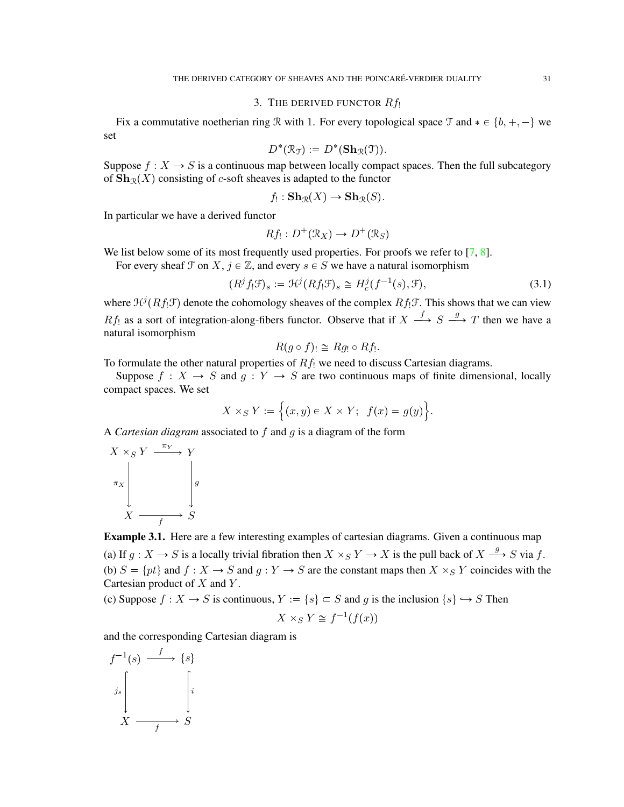## 3. THE DERIVED FUNCTOR  $Rf_1$

<span id="page-30-0"></span>Fix a commutative noetherian ring R with 1. For every topological space T and  $* \in \{b, +, -\}$  we set

$$
D^*(\mathfrak{R}_{\mathfrak{I}}):=D^*(\mathbf{Sh}_{\mathfrak{R}}(\mathfrak{I})).
$$

Suppose  $f : X \to S$  is a continuous map between locally compact spaces. Then the full subcategory of  $\mathbf{Sh}_{\mathcal{R}}(X)$  consisting of c-soft sheaves is adapted to the functor

$$
f_! : \mathbf{Sh}_{\mathcal{R}}(X) \to \mathbf{Sh}_{\mathcal{R}}(S).
$$

In particular we have a derived functor

$$
Rf_! : D^+(\mathcal{R}_X) \to D^+(\mathcal{R}_S)
$$

We list below some of its most frequently used properties. For proofs we refer to  $[7, 8]$  $[7, 8]$  $[7, 8]$ .

For every sheaf  $\mathcal F$  on  $X, j \in \mathbb Z$ , and every  $s \in S$  we have a natural isomorphism

<span id="page-30-2"></span>
$$
(Rjf1\mathcal{F})s := \mathcal{H}j(Rf1\mathcal{F})s \cong Hcj(f-1(s), \mathcal{F}),
$$
\n(3.1)

where  $\mathcal{H}^{j}(Rf, \mathcal{F})$  denote the cohomology sheaves of the complex  $Rf_{!}\mathcal{F}$ . This shows that we can view  $Rf_1$  as a sort of integration-along-fibers functor. Observe that if  $X \stackrel{f}{\longrightarrow} S \stackrel{g}{\longrightarrow} T$  then we have a natural isomorphism

$$
R(g\circ f)_{!}\cong Rg_{!}\circ Rf_{!}.
$$

To formulate the other natural properties of  $Rf_1$  we need to discuss Cartesian diagrams.

Suppose  $f : X \to S$  and  $g : Y \to S$  are two continuous maps of finite dimensional, locally compact spaces. We set

$$
X \times_S Y := \Big\{ (x, y) \in X \times Y; \ \ f(x) = g(y) \Big\}.
$$

A *Cartesian diagram* associated to f and g is a diagram of the form

$$
\begin{array}{ccc}\nX \times_S Y & \xrightarrow{\pi_Y} & Y \\
\pi_X & & & g \\
X & \xrightarrow{f} & S\n\end{array}
$$

<span id="page-30-1"></span>Example 3.1. Here are a few interesting examples of cartesian diagrams. Given a continuous map (a) If  $g: X \to S$  is a locally trivial fibration then  $X \times_S Y \to X$  is the pull back of  $X \stackrel{g}{\longrightarrow} S$  via f. (b)  $S = \{pt\}$  and  $f : X \to S$  and  $g : Y \to S$  are the constant maps then  $X \times_S Y$  coincides with the Cartesian product of  $X$  and  $Y$ .

(c) Suppose  $f : X \to S$  is continuous,  $Y := \{s\} \subset S$  and g is the inclusion  $\{s\} \hookrightarrow S$  Then

$$
X \times_S Y \cong f^{-1}(f(x))
$$

and the corresponding Cartesian diagram is

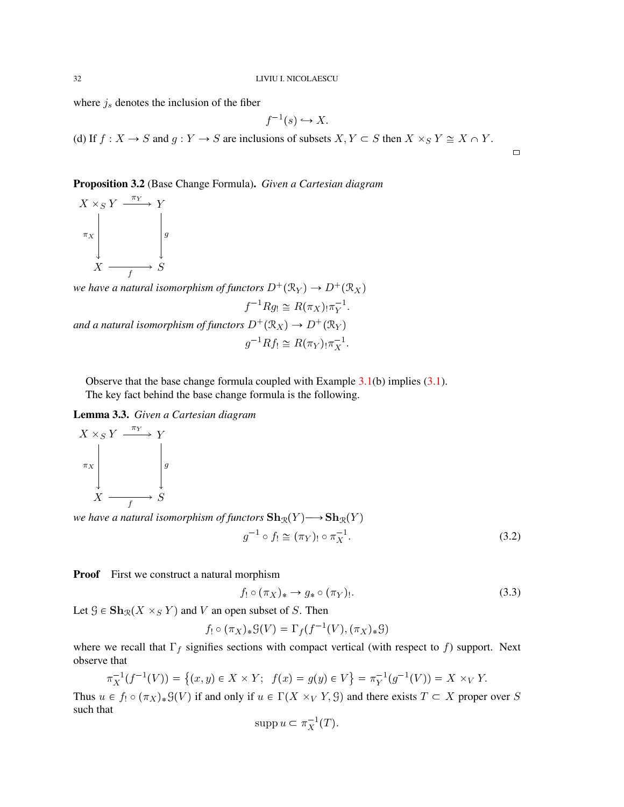where  $j_s$  denotes the inclusion of the fiber

$$
f^{-1}(s) \hookrightarrow X.
$$

(d) If  $f: X \to S$  and  $g: Y \to S$  are inclusions of subsets  $X, Y \subset S$  then  $X \times_S Y \cong X \cap Y$ .

Proposition 3.2 (Base Change Formula). *Given a Cartesian diagram*

$$
\begin{array}{ccc}\nX \times_S Y & \xrightarrow{\pi_Y} & Y \\
\pi_X & & \downarrow \\
X & \xrightarrow{f} & S\n\end{array}
$$

*we have a natural isomorphism of functors*  $D^+(\mathcal{R}_Y) \to D^+(\mathcal{R}_X)$  $f^{-1}Rg_! \cong R(\pi_X)_{!}\pi_Y^{-1}.$ *and a natural isomorphism of functors*  $D^+(\mathcal{R}_X) \to D^+(\mathcal{R}_Y)$ 

$$
g^{-1}Rf_! \cong R(\pi_Y)_{!}\pi_X^{-1}.
$$

Observe that the base change formula coupled with Example  $3.1(b)$  $3.1(b)$  implies  $(3.1)$ . The key fact behind the base change formula is the following.

Lemma 3.3. *Given a Cartesian diagram*



*we have a natural isomorphism of functors*  $\mathbf{Sh}_{\mathcal{R}}(Y) \longrightarrow \mathbf{Sh}_{\mathcal{R}}(Y)$ 

<span id="page-31-0"></span>
$$
g^{-1} \circ f_! \cong (\pi_Y)_! \circ \pi_X^{-1}.
$$
\n
$$
(3.2)
$$

 $\Box$ 

**Proof** First we construct a natural morphism

<span id="page-31-1"></span>
$$
f_! \circ (\pi_X)_* \to g_* \circ (\pi_Y)_! . \tag{3.3}
$$

Let  $\mathcal{G} \in \mathbf{Sh}_{\mathcal{R}}(X \times_S Y)$  and V an open subset of S. Then

$$
f_! \circ (\pi_X)_* \mathcal{G}(V) = \Gamma_f(f^{-1}(V), (\pi_X)_* \mathcal{G})
$$

where we recall that  $\Gamma_f$  signifies sections with compact vertical (with respect to f) support. Next observe that

$$
\pi_X^{-1}(f^{-1}(V)) = \{(x, y) \in X \times Y; \ f(x) = g(y) \in V\} = \pi_Y^{-1}(g^{-1}(V)) = X \times_V Y.
$$

Thus  $u \in f_! \circ (\pi_X)_* \mathcal{G}(V)$  if and only if  $u \in \Gamma(X \times_V Y, \mathcal{G})$  and there exists  $T \subset X$  proper over S such that

$$
\operatorname{supp} u \subset \pi_X^{-1}(T).
$$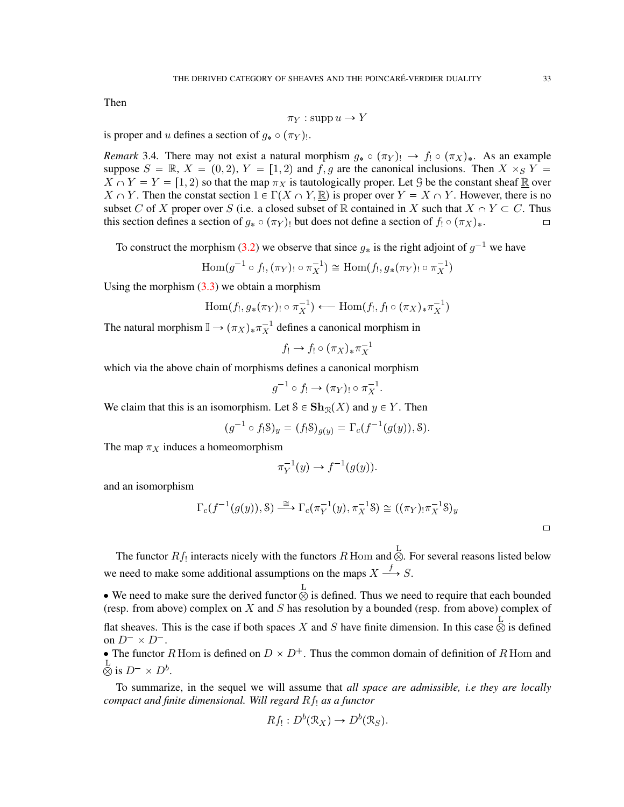Then

$$
\pi_Y : \operatorname{supp} u \to Y
$$

is proper and u defines a section of  $g_* \circ (\pi_Y)$ .

*Remark* 3.4. There may not exist a natural morphism  $g_* \circ (\pi_Y)_! \to f_! \circ (\pi_X)_*$ . As an example suppose  $S = \mathbb{R}$ ,  $X = (0, 2)$ ,  $Y = [1, 2)$  and  $f, g$  are the canonical inclusions. Then  $X \times_S Y =$  $X \cap Y = Y = [1, 2)$  so that the map  $\pi_X$  is tautologically proper. Let G be the constant sheaf R over  $X \cap Y$ . Then the constat section  $1 \in \Gamma(X \cap Y, \mathbb{R})$  is proper over  $Y = X \cap Y$ . However, there is no subset C of X proper over S (i.e. a closed subset of R contained in X such that  $X \cap Y \subset C$ . Thus this section defines a section of  $g_* \circ (\pi_Y)$  but does not define a section of  $f_! \circ (\pi_X)_*$ .

To construct the morphism [\(3.2\)](#page-31-0) we observe that since  $g_*$  is the right adjoint of  $g^{-1}$  we have

$$
\operatorname{Hom}(g^{-1} \circ f_!, (\pi_Y)_! \circ \pi_X^{-1}) \cong \operatorname{Hom}(f_!, g_*(\pi_Y)_! \circ \pi_X^{-1})
$$

Using the morphism  $(3.3)$  we obtain a morphism

$$
\operatorname{Hom}(f_!,g_*(\pi_Y)_! \circ \pi_X^{-1}) \longleftarrow \operatorname{Hom}(f_!,f_! \circ (\pi_X)_*\pi_X^{-1})
$$

The natural morphism  $\mathbb{I} \to (\pi_X)_* \pi_X^{-1}$  defines a canonical morphism in

$$
f_! \to f_! \circ (\pi_X)_* \pi_X^{-1}
$$

which via the above chain of morphisms defines a canonical morphism

$$
g^{-1} \circ f_! \to (\pi_Y)_! \circ \pi_X^{-1}.
$$

We claim that this is an isomorphism. Let  $S \in \mathbf{Sh}_{\mathcal{R}}(X)$  and  $y \in Y$ . Then

$$
(g^{-1} \circ f_! \mathcal{S})_y = (f_! \mathcal{S})_{g(y)} = \Gamma_c(f^{-1}(g(y)), \mathcal{S}).
$$

The map  $\pi_X$  induces a homeomorphism

$$
\pi_Y^{-1}(y) \to f^{-1}(g(y)).
$$

and an isomorphism

$$
\Gamma_c(f^{-1}(g(y)), \mathcal{S}) \stackrel{\cong}{\longrightarrow} \Gamma_c(\pi_Y^{-1}(y), \pi_X^{-1}\mathcal{S}) \cong ((\pi_Y)_! \pi_X^{-1}\mathcal{S})_y
$$

 $\Box$ 

The functor  $Rf_!$  interacts nicely with the functors  $R$  Hom and  $\overset{\mathbf{L}}{\otimes}$ . For several reasons listed below we need to make some additional assumptions on the maps  $X \stackrel{f}{\longrightarrow} S$ .

• We need to make sure the derived functor  $\otimes$  is defined. Thus we need to require that each bounded (resp. from above) complex on  $X$  and  $S$  has resolution by a bounded (resp. from above) complex of flat sheaves. This is the case if both spaces X and S have finite dimension. In this case  $\otimes$  is defined on  $D^- \times D^-$ .

• The functor R Hom is defined on  $D \times D^+$ . Thus the common domain of definition of R Hom and  $\stackrel{\rm L}{\otimes}$  is  $D^- \times D^b$ .

To summarize, in the sequel we will assume that *all space are admissible, i.e they are locally compact and finite dimensional. Will regard Rf<sub>!</sub> as a functor* 

$$
Rf_! : D^b(\mathcal{R}_X) \to D^b(\mathcal{R}_S).
$$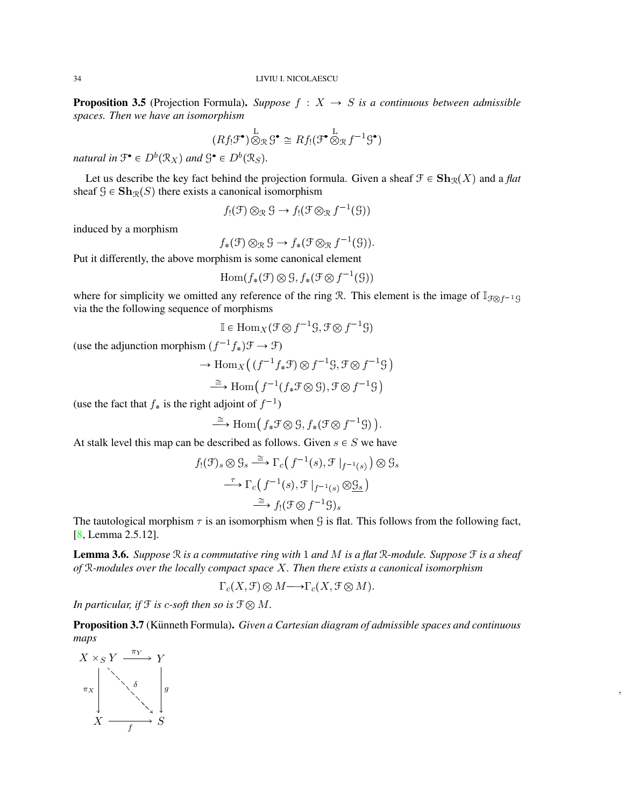**Proposition 3.5** (Projection Formula). *Suppose*  $f : X \rightarrow S$  *is a continuous between admissible spaces. Then we have an isomorphism*

$$
(Rf_! \mathfrak{F}^{\bullet}) \overset{\mathbf{L}}{\otimes}_{\mathcal{R}} \mathcal{G}^{\bullet} \cong Rf_! (\mathfrak{F}^{\bullet} \overset{\mathbf{L}}{\otimes}_{\mathcal{R}} f^{-1} \mathcal{G}^{\bullet})
$$

natural in  $\mathfrak{F}^{\bullet} \in D^b(\mathfrak{R}_X)$  and  $\mathfrak{G}^{\bullet} \in D^b(\mathfrak{R}_S)$ .

Let us describe the key fact behind the projection formula. Given a sheaf  $\mathcal{F} \in \mathbf{Sh}_{\mathcal{R}}(X)$  and a *flat* sheaf  $\mathcal{G} \in \mathbf{Sh}_{\mathcal{R}}(S)$  there exists a canonical isomorphism

$$
f_!(\mathfrak{F}) \otimes_{\mathcal{R}} \mathcal{G} \to f_!(\mathfrak{F} \otimes_{\mathcal{R}} f^{-1}(\mathcal{G}))
$$

induced by a morphism

$$
f_*(\mathfrak{F}) \otimes_{\mathcal{R}} \mathcal{G} \to f_*(\mathfrak{F} \otimes_{\mathcal{R}} f^{-1}(\mathcal{G})).
$$

Put it differently, the above morphism is some canonical element

$$
\mathrm{Hom}(f_*(\mathfrak{F}) \otimes \mathfrak{S}, f_*(\mathfrak{F} \otimes f^{-1}(\mathfrak{S}))
$$

where for simplicity we omitted any reference of the ring R. This element is the image of  $\mathbb{I}_{\mathcal{F}\otimes f^{-1}\mathcal{G}}$ via the the following sequence of morphisms

$$
\mathbb{I} \in \text{Hom}_X(\mathcal{F} \otimes f^{-1}\mathcal{G}, \mathcal{F} \otimes f^{-1}\mathcal{G})
$$

(use the adjunction morphism  $(f^{-1}f_*)\mathcal{F} \to \mathcal{F}$ )

$$
\to \mathrm{Hom}_X\big(\,(f^{-1}f_*\mathcal{F})\otimes f^{-1}\mathcal{G},\mathcal{F}\otimes f^{-1}\mathcal{G}\,\big)
$$

$$
\xrightarrow{\cong} \text{Hom}(f^{-1}(f_*\mathfrak{F} \otimes \mathfrak{S}), \mathfrak{F} \otimes f^{-1}\mathfrak{S})
$$

(use the fact that  $f_*$  is the right adjoint of  $f^{-1}$ )

$$
\xrightarrow{\cong} \text{Hom}(\, f_*\mathcal{F} \otimes \mathcal{G}, f_*(\mathcal{F} \otimes f^{-1}\mathcal{G})\,).
$$

At stalk level this map can be described as follows. Given  $s \in S$  we have

$$
f_!(\mathcal{F})_s \otimes \mathcal{G}_s \xrightarrow{\cong} \Gamma_c(f^{-1}(s), \mathcal{F}|_{f^{-1}(s)}) \otimes \mathcal{G}_s
$$

$$
\xrightarrow{\tau} \Gamma_c(f^{-1}(s), \mathcal{F}|_{f^{-1}(s)} \otimes \mathcal{G}_s)
$$

$$
\xrightarrow{\cong} f_!(\mathcal{F} \otimes f^{-1}\mathcal{G})_s
$$

The tautological morphism  $\tau$  is an isomorphism when G is flat. This follows from the following fact, [\[8,](#page-71-4) Lemma 2.5.12].

Lemma 3.6. *Suppose* R *is a commutative ring with* 1 *and* M *is a flat* R*-module. Suppose* F *is a sheaf of* R*-modules over the locally compact space* X*. Then there exists a canonical isomorphism*

$$
\Gamma_c(X,\mathcal{F}) \otimes M \longrightarrow \Gamma_c(X,\mathcal{F} \otimes M).
$$

*In particular, if*  $\mathcal{F}$  *is c-soft then so is*  $\mathcal{F} \otimes M$ *.* 

Proposition 3.7 (Künneth Formula). *Given a Cartesian diagram of admissible spaces and continuous maps*

,

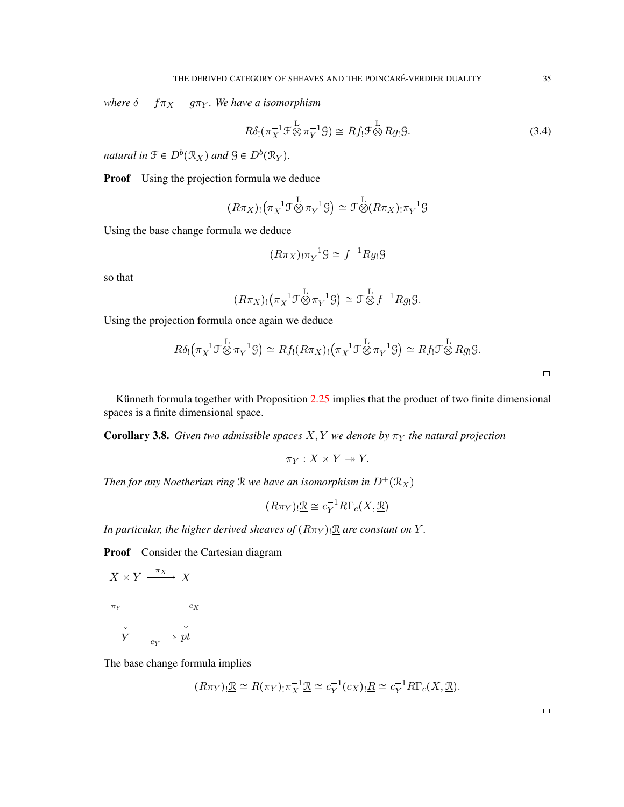*where*  $\delta = f \pi_X = g \pi_Y$ *. We have a isomorphism* 

$$
R\delta_!(\pi_X^{-1}\mathcal{F}\overset{\mathcal{L}}{\otimes}\pi_Y^{-1}\mathcal{G})\cong Rf_!\mathcal{F}\overset{\mathcal{L}}{\otimes}Rg_!\mathcal{G}.
$$
\n(3.4)

*natural in*  $\mathfrak{F} \in D^b(\mathcal{R}_X)$  and  $\mathfrak{G} \in D^b(\mathcal{R}_Y)$ .

**Proof** Using the projection formula we deduce

$$
(R\pi_X)_! (\pi_X^{-1} \mathcal{F}^{\mathcal{L}} \otimes \pi_Y^{-1} \mathcal{G}) \cong \mathcal{F}^{\mathcal{L}} \otimes (R\pi_X)_! \pi_Y^{-1} \mathcal{G}
$$

Using the base change formula we deduce

$$
(R\pi_X)_! \pi_Y^{-1} \mathcal{G} \cong f^{-1} R g_! \mathcal{G}
$$

so that

$$
(R\pi_X)_! (\pi_X^{-1} \mathcal{F}^{\mathcal{L}} \otimes \pi_Y^{-1} \mathcal{G}) \cong \mathcal{F}^{\mathcal{L}} \otimes f^{-1} R g_! \mathcal{G}.
$$

Using the projection formula once again we deduce

$$
R\delta_! (\pi_X^{-1} \mathcal{F}^{\mathcal{L}} \otimes \pi_Y^{-1} \mathcal{G}) \cong Rf_! (R\pi_X)_! (\pi_X^{-1} \mathcal{F}^{\mathcal{L}} \otimes \pi_Y^{-1} \mathcal{G}) \cong Rf_! \mathcal{F}^{\mathcal{L}} \otimes Rg_! \mathcal{G}.
$$

Künneth formula together with Proposition  $2.25$  implies that the product of two finite dimensional spaces is a finite dimensional space.

**Corollary 3.8.** *Given two admissible spaces*  $X, Y$  *we denote by*  $\pi_Y$  *the natural projection* 

$$
\pi_Y: X \times Y \to Y.
$$

*Then for any Noetherian ring*  $\Re$  *we have an isomorphism in*  $D^+(\mathcal{R}_X)$ 

$$
(R\pi_Y)_! \underline{\mathcal{R}} \cong c_Y^{-1} R\Gamma_c(X, \underline{\mathcal{R}})
$$

*In particular, the higher derived sheaves of*  $(R\pi_Y)$  *R are constant on* Y.

Proof Consider the Cartesian diagram

$$
X \times Y \xrightarrow{\pi_X} X
$$
  
\n
$$
\pi_Y
$$
\n
$$
Y \xrightarrow{c_Y} pt
$$

The base change formula implies

$$
(R\pi_Y)_! \underline{\mathcal{R}} \cong R(\pi_Y)_! \pi_X^{-1} \underline{\mathcal{R}} \cong c_Y^{-1}(c_X)_! \underline{R} \cong c_Y^{-1} R \Gamma_c(X, \underline{\mathcal{R}}).
$$

 $\Box$ 

 $\Box$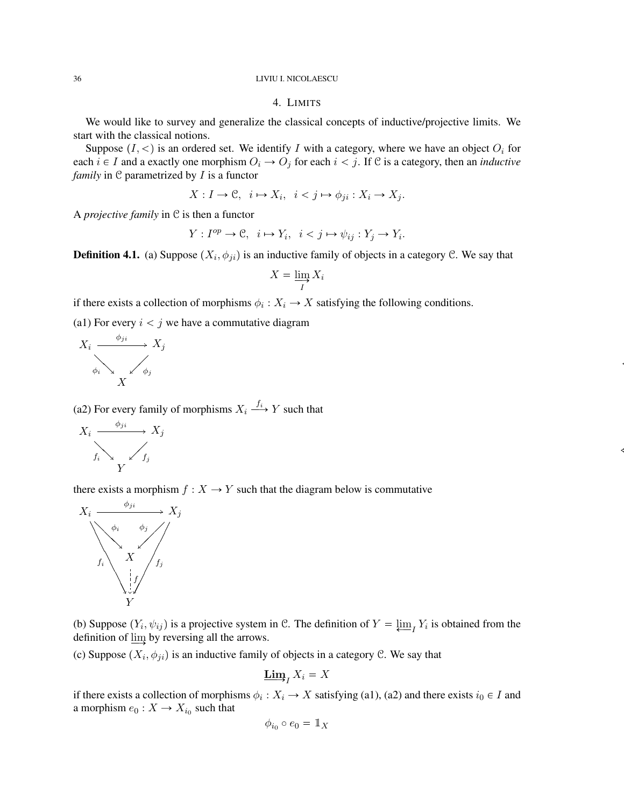## 4. LIMITS

<span id="page-35-0"></span>We would like to survey and generalize the classical concepts of inductive/projective limits. We start with the classical notions.

Suppose  $(I, \leq)$  is an ordered set. We identify I with a category, where we have an object  $O_i$  for each  $i \in I$  and a exactly one morphism  $O_i \to O_j$  for each  $i < j$ . If C is a category, then an *inductive family* in C parametrized by *I* is a functor

$$
X: I \to \mathcal{C}, \ i \mapsto X_i, \ i < j \mapsto \phi_{ji}: X_i \to X_j.
$$

A *projective family* in C is then a functor

$$
Y: I^{op} \to \mathcal{C}, \quad i \mapsto Y_i, \quad i < j \mapsto \psi_{ij} : Y_j \to Y_i.
$$

**Definition 4.1.** (a) Suppose  $(X_i, \phi_{ji})$  is an inductive family of objects in a category C. We say that

$$
X = \varinjlim_{I} X_{i}
$$

 $\ddot{\phantom{a}}$ 

 $\ddot{\phantom{}}$ 

if there exists a collection of morphisms  $\phi_i : X_i \to X$  satisfying the following conditions.

(a1) For every  $i < j$  we have a commutative diagram



(a2) For every family of morphisms  $X_i \stackrel{f_i}{\longrightarrow} Y$  such that



there exists a morphism  $f : X \to Y$  such that the diagram below is commutative



(b) Suppose  $(Y_i, \psi_{ij})$  is a projective system in C. The definition of  $Y = \varprojlim_{i} Y_i$  is obtained from the definition of  $\varinjlim$  by reversing all the arrows.

(c) Suppose  $(X_i, \phi_{ji})$  is an inductive family of objects in a category C. We say that

$$
\mathop{\underline{\mathbf{Lim}}}\nolimits_I X_i = X
$$

if there exists a collection of morphisms  $\phi_i: X_i \to X$  satisfying (a1), (a2) and there exists  $i_0 \in I$  and a morphism  $e_0: X \to X_{i_0}$  such that

$$
\phi_{i_0} \circ e_0 = \mathbb{1}_X
$$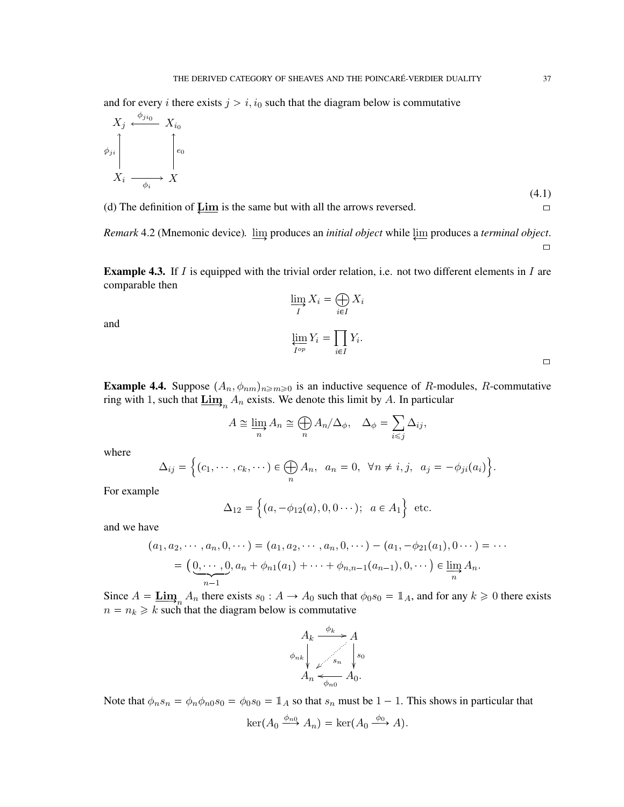and for every *i* there exists  $j > i$ ,  $i_0$  such that the diagram below is commutative

<span id="page-36-0"></span>
$$
X_j \xleftarrow{\phi_{ji_0}} X_{i_0}
$$
\n
$$
\phi_{ji} \qquad \qquad \downarrow e_0
$$
\n
$$
X_i \xrightarrow{\qquad \qquad \downarrow e_i} X
$$
\n(4.1)

(d) The definition of  $\varprojlim$  is the same but with all the arrows reversed.

*Remark* 4.2 (Mnemonic device).  $\underline{\lim}_{y}$  produces an *initial object* while  $\underline{\lim}_{y}$  produces a *terminal object*.  $\Box$ 

**Example 4.3.** If I is equipped with the trivial order relation, i.e. not two different elements in I are comparable then

and

$$
\varinjlim_{I} X_{i} = \bigoplus_{i \in I} X_{i}
$$
\n
$$
\varprojlim_{I^{op}} Y_{i} = \prod_{i \in I} Y_{i}.
$$

**Example 4.4.** Suppose  $(A_n, \phi_{nm})_{n \geq m \geq 0}$  is an inductive sequence of R-modules, R-commutative ring with 1, such that  $\underline{\lim}_{n} A_n$  exists. We denote this limit by A. In particular

$$
A \cong \varinjlim_{n} A_n \cong \bigoplus_{n} A_n/\Delta_{\phi}, \quad \Delta_{\phi} = \sum_{i \leq j} \Delta_{ij},
$$

where

$$
\Delta_{ij} = \Big\{ (c_1, \cdots, c_k, \cdots) \in \bigoplus_n A_n, \ \ a_n = 0, \ \ \forall n \neq i, j, \ \ a_j = -\phi_{ji}(a_i) \Big\}.
$$

For example

$$
\Delta_{12} = \left\{ (a, -\phi_{12}(a), 0, 0 \cdots); \ \ a \in A_1 \right\} \ \text{etc.}
$$

and we have

$$
(a_1, a_2, \cdots, a_n, 0, \cdots) = (a_1, a_2, \cdots, a_n, 0, \cdots) - (a_1, -\phi_{21}(a_1), 0 \cdots) = \cdots
$$
  
=  $(\underbrace{0, \cdots, 0}_{n-1}, a_n + \phi_{n1}(a_1) + \cdots + \phi_{n,n-1}(a_{n-1}), 0, \cdots) \in \varinjlim_n A_n.$ 

Since  $A = \underline{\text{Lim}}_n A_n$  there exists  $s_0 : A \to A_0$  such that  $\phi_0 s_0 = \mathbb{1}_A$ , and for any  $k \ge 0$  there exists  $n = n_k \ge k$  such that the diagram below is commutative



Note that  $\phi_n s_n = \phi_n \phi_{n0} s_0 = \phi_0 s_0 = \mathbb{1}_A$  so that  $s_n$  must be  $1 - 1$ . This shows in particular that  $\ker(A_0 \stackrel{\phi_{n0}}{\longrightarrow} A_n) = \ker(A_0 \stackrel{\phi_0}{\longrightarrow} A).$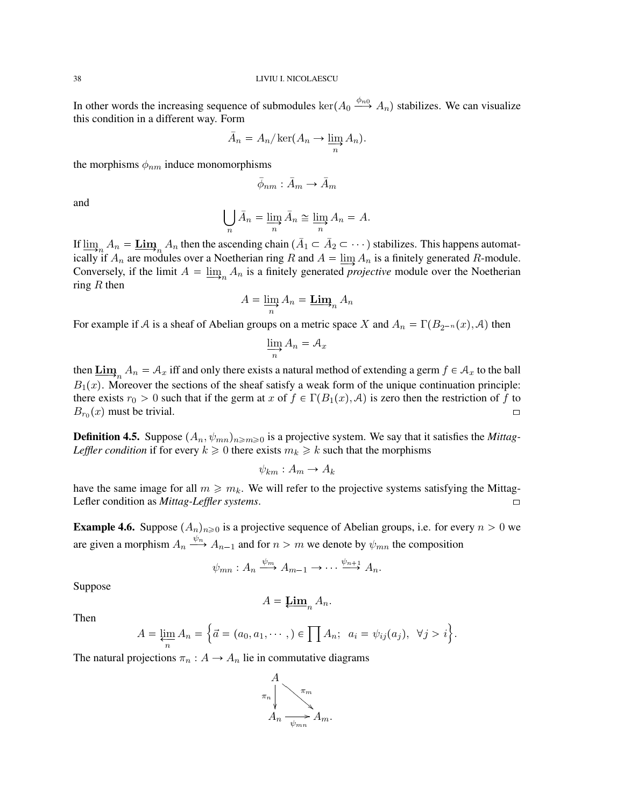In other words the increasing sequence of submodules  $\ker(A_0 \xrightarrow{\phi_{n0}} A_n)$  stabilizes. We can visualize this condition in a different way. Form

$$
\bar{A}_n = A_n / \ker(A_n \to \varinjlim_n A_n).
$$

the morphisms  $\phi_{nm}$  induce monomorphisms

$$
\bar{\phi}_{nm} : \bar{A}_m \to \bar{A}_m
$$

and

$$
\bigcup_{n} \bar{A}_n = \varinjlim_{n} \bar{A}_n \cong \varinjlim_{n} A_n = A.
$$

If  $\lim_{n \to \infty} A_n = \underline{\text{Lim}}_n A_n$  then the ascending chain  $(\bar{A}_1 \subset \bar{A}_2 \subset \cdots)$  stabilizes. This happens automatically if  $A_n$  are modules over a Noetherian ring R and  $A = \lim_{n \to \infty} A_n$  is a finitely generated R-module. Conversely, if the limit  $A = \underline{\lim}_{n} A_n$  is a finitely generated *projective* module over the Noetherian ring  $R$  then

$$
A = \varinjlim_{n} A_n = \operatorname{\mathbf{Lim}}_n A_n
$$

For example if A is a sheaf of Abelian groups on a metric space X and  $A_n = \Gamma(B_{2^{-n}}(x), A)$  then

$$
\varinjlim_{n} A_{n} = A_{x}
$$

then  $\underline{\text{Lim}}_n A_n = A_x$  iff and only there exists a natural method of extending a germ  $f \in A_x$  to the ball  $B_1(x)$ . Moreover the sections of the sheaf satisfy a weak form of the unique continuation principle: there exists  $r_0 > 0$  such that if the germ at x of  $f \in \Gamma(B_1(x), \mathcal{A})$  is zero then the restriction of f to  $B_{r_0}(x)$  must be trivial.

**Definition 4.5.** Suppose  $(A_n, \psi_{mn})_{n \geq n \geq 0}$  is a projective system. We say that it satisfies the *Mittag-Leffler condition* if for every  $k \geq 0$  there exists  $m_k \geq k$  such that the morphisms

$$
\psi_{km}: A_m \to A_k
$$

have the same image for all  $m \geq m_k$ . We will refer to the projective systems satisfying the Mittag-Lefler condition as *Mittag-Leffler systems*. [\

**Example 4.6.** Suppose  $(A_n)_{n\geq 0}$  is a projective sequence of Abelian groups, i.e. for every  $n > 0$  we are given a morphism  $A_n \xrightarrow{\psi_n} A_{n-1}$  and for  $n > m$  we denote by  $\psi_{mn}$  the composition

$$
\psi_{mn}: A_n \xrightarrow{\psi_m} A_{m-1} \to \cdots \xrightarrow{\psi_{n+1}} A_n.
$$

Suppose

$$
A = \underline{\mathbf{Lim}}_n A_n.
$$

Then

$$
A = \varprojlim_{n} A_{n} = \left\{ \vec{a} = (a_{0}, a_{1}, \cdots, ) \in \prod A_{n}; \ \ a_{i} = \psi_{ij}(a_{j}), \ \ \forall j > i \right\}.
$$

The natural projections  $\pi_n : A \to A_n$  lie in commutative diagrams

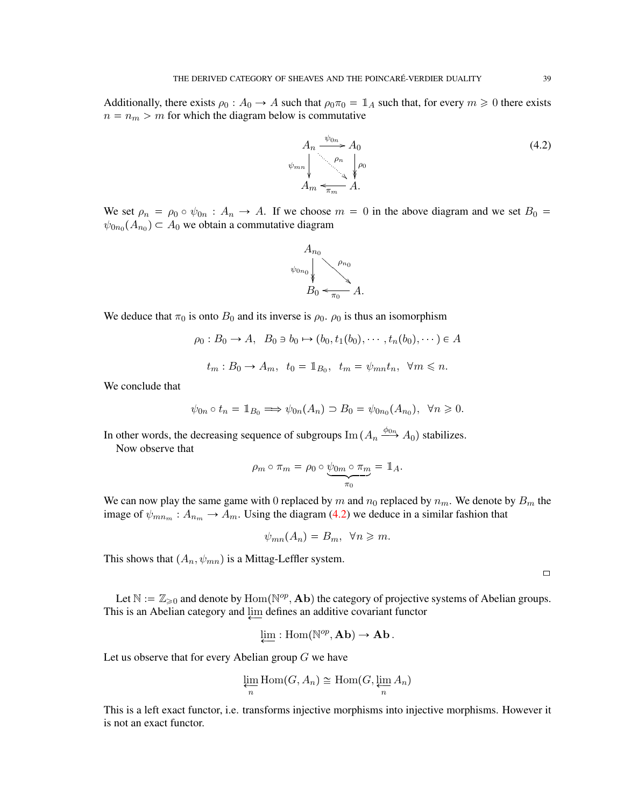Additionally, there exists  $\rho_0 : A_0 \to A$  such that  $\rho_0 \pi_0 = \mathbb{1}_A$  such that, for every  $m \geq 0$  there exists  $n = n_m > m$  for which the diagram below is commutative

<span id="page-38-0"></span>

We set  $\rho_n = \rho_0 \circ \psi_{0n} : A_n \to A$ . If we choose  $m = 0$  in the above diagram and we set  $B_0 =$  $\psi_{0n_0}(A_{n_0}) \subset A_0$  we obtain a commutative diagram



We deduce that  $\pi_0$  is onto  $B_0$  and its inverse is  $\rho_0$ .  $\rho_0$  is thus an isomorphism

$$
\rho_0: B_0 \to A, \quad B_0 \ni b_0 \mapsto (b_0, t_1(b_0), \cdots, t_n(b_0), \cdots) \in A
$$

$$
t_m: B_0 \to A_m, \quad t_0 = \mathbb{1}_{B_0}, \quad t_m = \psi_{mn} t_n, \quad \forall m \le n.
$$

We conclude that

$$
\psi_{0n} \circ t_n = \mathbb{1}_{B_0} \Longrightarrow \psi_{0n}(A_n) \supset B_0 = \psi_{0n_0}(A_{n_0}), \ \ \forall n \geq 0.
$$

In other words, the decreasing sequence of subgroups  $\text{Im}(A_n \xrightarrow{\phi_{0n}} A_0)$  stabilizes.

Now observe that

$$
\rho_m \circ \pi_m = \rho_0 \circ \underbrace{\psi_{0m} \circ \pi_m}_{\pi_0} = \mathbb{1}_A.
$$

We can now play the same game with 0 replaced by m and  $n_0$  replaced by  $n_m$ . We denote by  $B_m$  the image of  $\psi_{mn_m} : A_{n_m} \to A_m$ . Using the diagram [\(4.2\)](#page-38-0) we deduce in a similar fashion that

$$
\psi_{mn}(A_n) = B_m, \ \ \forall n \geqslant m.
$$

This shows that  $(A_n, \psi_{mn})$  is a Mittag-Leffler system.

 $\Box$ 

Let  $\mathbb{N} := \mathbb{Z}_{\geqslant 0}$  and denote by  $\text{Hom}(\mathbb{N}^{op}, \textbf{Ab})$  the category of projective systems of Abelian groups. This is an Abelian category and  $\downarrow$  defines an additive covariant functor

$$
\lim_{\longleftarrow} : \mathrm{Hom}(\mathbb{N}^{op}, \mathbf{Ab}) \to \mathbf{Ab}.
$$

Let us observe that for every Abelian group  $G$  we have

$$
\lim_{n} \text{Hom}(G, A_n) \cong \text{Hom}(G, \lim_{n} A_n)
$$

This is a left exact functor, i.e. transforms injective morphisms into injective morphisms. However it is not an exact functor.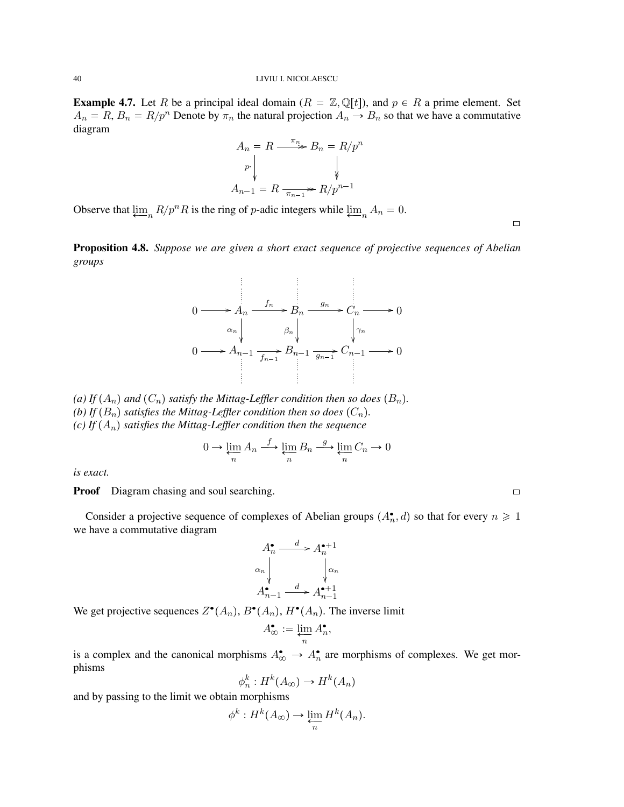### 40 LIVIU I. NICOLAESCU

**Example 4.7.** Let R be a principal ideal domain  $(R = \mathbb{Z}, \mathbb{Q}[t])$ , and  $p \in R$  a prime element. Set  $A_n = R$ ,  $B_n = R/p^n$  Denote by  $\pi_n$  the natural projection  $A_n \to B_n$  so that we have a commutative diagram

$$
A_n = R \xrightarrow{\pi_n} B_n = R/p^n
$$
  
\n
$$
P \downarrow \qquad \qquad \downarrow
$$
  
\n
$$
A_{n-1} = R \xrightarrow{\pi_{n-1}} R/p^{n-1}
$$

Observe that  $\lim_{n \to \infty} R/p^n R$  is the ring of p-adic integers while  $\lim_{n \to \infty} A_n = 0$ .

 $\Box$ 

<span id="page-39-0"></span>Proposition 4.8. *Suppose we are given a short exact sequence of projective sequences of Abelian groups*



*(a)* If  $(A_n)$  and  $(C_n)$  *satisfy the Mittag-Leffler condition then so does*  $(B_n)$ *. (b)* If  $(B_n)$  satisfies the Mittag-Leffler condition then so does  $(C_n)$ . *(c)* If  $(A_n)$  *satisfies the Mittag-Leffler condition then the sequence* 

$$
0 \to \varprojlim_{n} A_{n} \xrightarrow{f} \varprojlim_{n} B_{n} \xrightarrow{g} \varprojlim_{n} C_{n} \to 0
$$

*is exact.*

**Proof** Diagram chasing and soul searching.  $\Box$ 

Consider a projective sequence of complexes of Abelian groups  $(A_n^{\bullet}, d)$  so that for every  $n \geq 1$ we have a commutative diagram

$$
A_n^{\bullet} \xrightarrow{d} A_n^{\bullet+1}
$$
  
\n
$$
\alpha_n \downarrow \qquad \qquad \downarrow \alpha_n
$$
  
\n
$$
A_{n-1}^{\bullet} \xrightarrow{d} A_{n-1}^{\bullet+1}
$$

We get projective sequences  $Z^{\bullet}(A_n)$ ,  $B^{\bullet}(A_n)$ ,  $H^{\bullet}(A_n)$ . The inverse limit

$$
A_{\infty}^{\bullet} := \varprojlim_{n} A_{n}^{\bullet},
$$

is a complex and the canonical morphisms  $A_{\infty}^{\bullet} \to A_{n}^{\bullet}$  are morphisms of complexes. We get morphisms

$$
\phi_n^k: H^k(A_\infty) \to H^k(A_n)
$$

and by passing to the limit we obtain morphisms

$$
\phi^k: H^k(A_\infty) \to \varprojlim_n H^k(A_n).
$$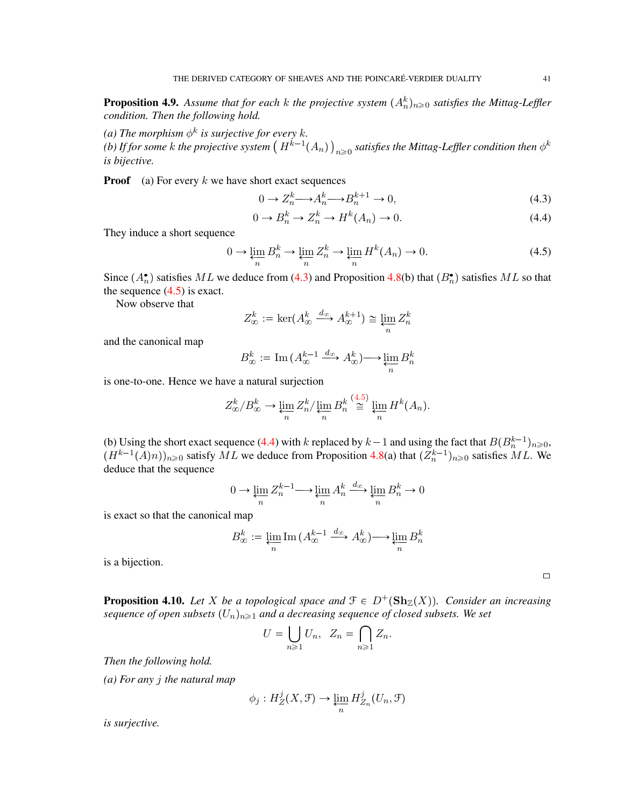<span id="page-40-3"></span>**Proposition 4.9.** Assume that for each  $k$  the projective system  $(A_n^k)_{n\geqslant0}$  satisfies the Mittag-Leffler *condition. Then the following hold.*

(a) The morphism  $\phi^k$  is surjective for every k.

(b) If for some  $k$  the projective system  $\left(H^{k-1}(A_n)\right)_{n\geqslant 0}$  satisfies the Mittag-Leffler condition then  $\phi^k$ *is bijective.*

**Proof** (a) For every  $k$  we have short exact sequences

<span id="page-40-0"></span>
$$
0 \to Z_n^k \longrightarrow A_n^k \longrightarrow B_n^{k+1} \to 0,
$$
\n
$$
(4.3)
$$

<span id="page-40-2"></span>
$$
0 \to B_n^k \to Z_n^k \to H^k(A_n) \to 0. \tag{4.4}
$$

They induce a short sequence

<span id="page-40-1"></span>
$$
0 \to \varprojlim_{n} B_{n}^{k} \to \varprojlim_{n} Z_{n}^{k} \to \varprojlim_{n} H^{k}(A_{n}) \to 0. \tag{4.5}
$$

Since  $(A_n)$  satisfies ML we deduce from [\(4.3\)](#page-40-0) and Proposition [4.8\(](#page-39-0)b) that  $(B_n)$  satisfies ML so that the sequence  $(4.5)$  is exact.

Now observe that

$$
Z_{\infty}^{k} := \ker(A_{\infty}^{k} \xrightarrow{d_{\infty}} A_{\infty}^{k+1}) \cong \varprojlim_{n} Z_{n}^{k}
$$

and the canonical map

$$
B_{\infty}^k:=\mathrm{Im}\,(A_{\infty}^{k-1}\xrightarrow{d_{\infty}}A_{\infty}^k)\!\longrightarrow\!\varprojlim_n B_{n}^k
$$

is one-to-one. Hence we have a natural surjection

$$
Z_{\infty}^{k}/B_{\infty}^{k} \to \varprojlim_{n} Z_{n}^{k}/\varprojlim_{n} B_{n}^{k} \stackrel{(4.5)}{\cong} \varprojlim_{n} H^{k}(A_{n}).
$$

(b) Using the short exact sequence [\(4.4\)](#page-40-2) with k replaced by  $k-1$  and using the fact that  $B(B_n^{k-1})_{n\geq 0}$ ,  $(H^{k-1}(A)n)|_{n\geqslant0}$  satisfy ML we deduce from Proposition [4.8\(](#page-39-0)a) that  $(Z_n^{k-1})_{n\geqslant0}$  satisfies ML. We deduce that the sequence

$$
0 \to \varprojlim_{n} Z_{n}^{k-1} \longrightarrow \varprojlim_{n} A_{n}^{k} \xrightarrow{d_{\infty}} \varprojlim_{n} B_{n}^{k} \to 0
$$

is exact so that the canonical map

$$
B_{\infty}^{k}:=\varprojlim_{n}\mathrm{Im}\,(A_{\infty}^{k-1}\xrightarrow{d_{\infty}}A_{\infty}^{k})\longrightarrow \varprojlim_{n}B_{n}^{k}
$$

is a bijection.

**Proposition 4.10.** Let X be a topological space and  $\mathcal{F} \in D^+(\mathbf{Sh}_{\mathbb{Z}}(X))$ . Consider an increasing *sequence of open subsets*  $(U_n)_{n\geq 1}$  *and a decreasing sequence of closed subsets. We set* 

$$
U = \bigcup_{n \geq 1} U_n, \ \ Z_n = \bigcap_{n \geq 1} Z_n.
$$

*Then the following hold.*

*(a) For any* j *the natural map*

$$
\phi_j: H^j_Z(X, \mathcal{F}) \to \varprojlim_n H^j_{Z_n}(U_n, \mathcal{F})
$$

*is surjective.*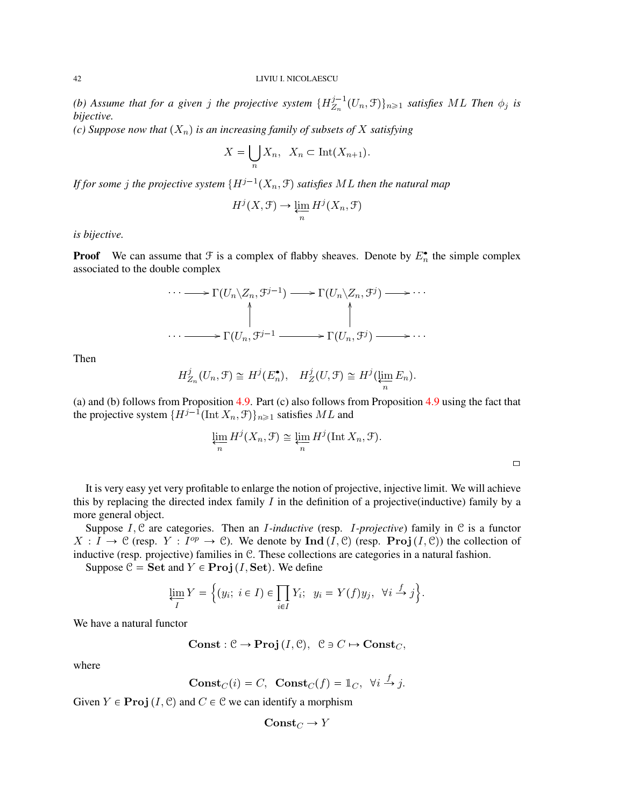(b) Assume that for a given j the projective system  $\{H_{Z_n}^{j-1}\}$  $\{Z_n^{j-1}(U_n, \mathcal{F})\}_{n \geq 1}$  *satisfies* ML Then  $\phi_j$  *is bijective.*

*(c) Suppose now that*  $(X_n)$  *is an increasing family of subsets of* X *satisfying* 

$$
X = \bigcup_{n} X_n, \ \ X_n \subset \text{Int}(X_{n+1}).
$$

If for some  $j$  the projective system  $\{H^{j-1}(X_n,\mathfrak{F})$  satisfies  $ML$  then the natural map

$$
H^j(X, \mathcal{F}) \to \varprojlim_n H^j(X_n, \mathcal{F})
$$

*is bijective.*

**Proof** We can assume that  $\mathcal F$  is a complex of flabby sheaves. Denote by  $E_n^{\bullet}$  the simple complex associated to the double complex

$$
\cdots \longrightarrow \Gamma(U_n \backslash Z_n, \mathcal{F}^{j-1}) \longrightarrow \Gamma(U_n \backslash Z_n, \mathcal{F}^j) \longrightarrow \cdots
$$
  

$$
\uparrow \qquad \qquad \uparrow
$$
  

$$
\cdots \longrightarrow \Gamma(U_n, \mathcal{F}^{j-1} \longrightarrow \Gamma(U_n, \mathcal{F}^j) \longrightarrow \cdots
$$

Then

$$
H_{Z_n}^j(U_n, \mathcal{F}) \cong H^j(E_n^{\bullet}), \quad H_Z^j(U, \mathcal{F}) \cong H^j(\varprojlim_n E_n).
$$

(a) and (b) follows from Proposition [4.9.](#page-40-3) Part (c) also follows from Proposition [4.9](#page-40-3) using the fact that the projective system  $\{H^{j-1}(\text{Int }X_n, \mathcal{F})\}_{n \geq 1}$  satisfies  $ML$  and

$$
\varprojlim_{n} H^{j}(X_{n}, \mathcal{F}) \cong \varprojlim_{n} H^{j}(\text{Int } X_{n}, \mathcal{F}).
$$

It is very easy yet very profitable to enlarge the notion of projective, injective limit. We will achieve this by replacing the directed index family  $I$  in the definition of a projective(inductive) family by a more general object.

Suppose I, C are categories. Then an I*-inductive* (resp. I*-projective*) family in C is a functor  $X: I \to \mathcal{C}$  (resp.  $Y: I^{op} \to \mathcal{C}$ ). We denote by  $\text{Ind}(I, \mathcal{C})$  (resp. Proj $(I, \mathcal{C})$ ) the collection of inductive (resp. projective) families in C. These collections are categories in a natural fashion.

Suppose  $C = Set$  and  $Y \in Proj (I, Set)$ . We define

$$
\varprojlim_{I} Y = \Big\{ (y_i; \ i \in I) \in \prod_{i \in I} Y_i; \ y_i = Y(f)y_j, \ \forall i \stackrel{f}{\to} j \Big\}.
$$

We have a natural functor

$$
Const: \mathcal{C} \to \text{Proj}(I, \mathcal{C}), \ \mathcal{C} \ni C \mapsto \text{Const}_C,
$$

where

$$
Const_C(i) = C, \quad Const_C(f) = \mathbb{1}_C, \quad \forall i \stackrel{f}{\to} j.
$$

Given  $Y \in \text{Proj}(I, \mathcal{C})$  and  $C \in \mathcal{C}$  we can identify a morphism

$$
\mathbf{Const}_C \to Y
$$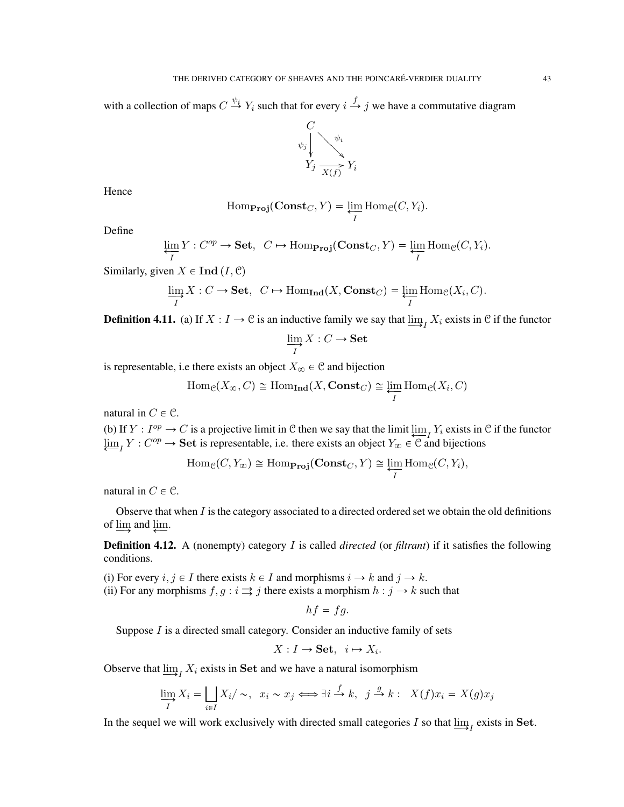with a collection of maps  $C \stackrel{\psi_i}{\to} Y_i$  such that for every  $i \stackrel{f}{\to} j$  we have a commutative diagram



Hence

Hom<sub>Proj</sub>
$$
(\text{Const}_C, Y) = \varprojlim_{I} \text{Hom}_{\mathcal{C}}(C, Y_i).
$$

Define

$$
\varprojlim_{I} Y : C^{op} \to \mathbf{Set}, \ C \mapsto \mathrm{Hom}_{\mathbf{Proj}}(\mathbf{Const}_C, Y) = \varprojlim_{I} \mathrm{Hom}_{\mathcal{C}}(C, Y_i).
$$

Similarly, given  $X \in \text{Ind} (I, \mathcal{C})$ 

$$
\varinjlim_{I} X : C \to \mathbf{Set}, \ \ C \mapsto \mathrm{Hom}_{\mathbf{Ind}}(X, \mathbf{Const}_C) = \varprojlim_{I} \mathrm{Hom}_{\mathcal{C}}(X_i, C).
$$

**Definition 4.11.** (a) If  $X: I \to \mathcal{C}$  is an inductive family we say that  $\varinjlim_I X_i$  exists in  $\mathcal{C}$  if the functor

$$
\varinjlim_{I} X : C \to \mathbf{Set}
$$

is representable, i.e there exists an object  $X_{\infty} \in \mathcal{C}$  and bijection

 $\text{Hom}_{\mathcal{C}}(X_{\infty}, C) \cong \text{Hom}_{\text{Ind}}(X, \text{Const}_C) \cong \varprojlim_{I} \text{Hom}_{\mathcal{C}}(X_i, C)$ 

natural in  $C \in \mathcal{C}$ .

(b) If  $Y : I^{op} \to C$  is a projective limit in C then we say that the limit  $\lim_{\epsilon \to 0} Y_i$  exists in C if the functor  $\lim_{\epsilon \to I} Y : C^{op} \to \mathbf{Set}$  is representable, i.e. there exists an object  $Y_{\infty} \in \mathcal{C}$  and bijections

$$
\text{Hom}_{\mathcal{C}}(C, Y_{\infty}) \cong \text{Hom}_{\text{Proj}}(\text{Const}_C, Y) \cong \varprojlim_{I} \text{Hom}_{\mathcal{C}}(C, Y_i),
$$

natural in  $C \in \mathcal{C}$ .

Observe that when  $I$  is the category associated to a directed ordered set we obtain the old definitions of  $\varinjlim$  and  $\varprojlim$ .

Definition 4.12. A (nonempty) category I is called *directed* (or *filtrant*) if it satisfies the following conditions.

(i) For every  $i, j \in I$  there exists  $k \in I$  and morphisms  $i \to k$  and  $j \to k$ . (ii) For any morphisms  $f, g : i \rightrightarrows j$  there exists a morphism  $h : j \to k$  such that

$$
hf = fg.
$$

Suppose  $I$  is a directed small category. Consider an inductive family of sets

$$
X: I \to \mathbf{Set}, \ i \mapsto X_i.
$$

Observe that  $\lim_{I} X_i$  exists in Set and we have a natural isomorphism

$$
\varinjlim_{I} X_{i} = \bigcup_{i \in I} X_{i} / \sim, \ \ x_{i} \sim x_{j} \Longleftrightarrow \exists i \stackrel{f}{\to} k, \ \ j \stackrel{g}{\to} k: \ \ X(f)x_{i} = X(g)x_{j}
$$

In the sequel we will work exclusively with directed small categories I so that  $\varinjlim_{I}$  exists in Set.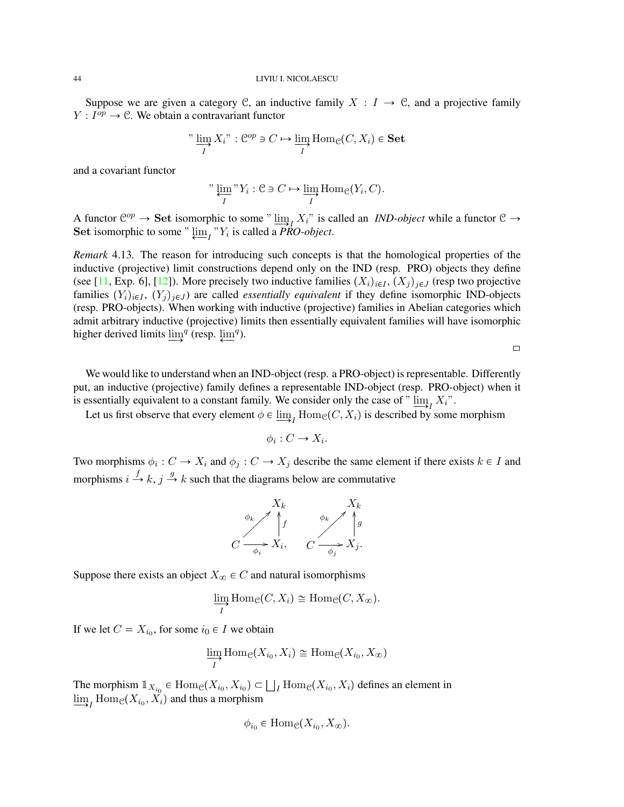### 44 LIVIU I. NICOLAESCU

Suppose we are given a category C, an inductive family  $X : I \to \mathcal{C}$ , and a projective family  $Y: I^{op} \to \mathcal{C}$ . We obtain a contravariant functor

"\n
$$
\lim_{I} X_i
$$
" :  $\mathcal{C}^{op} \ni C \mapsto \lim_{I} \text{Hom}_{\mathcal{C}}(C, X_i) \in \text{Set}$ 

and a covariant functor

"\n
$$
\varprojlim_{I} "Y_{i}: \mathcal{C} \ni C \mapsto \varinjlim_{I} \text{Hom}_{\mathcal{C}}(Y_{i}, C).
$$

A functor  $\mathcal{C}^{op} \to \mathbf{Set}$  isomorphic to some "  $\lim_{n \to \infty} X_i$ " is called an *IND-object* while a functor  $\mathcal{C} \to \mathcal{C}$ Set isomorphic to some "  $\varprojlim_{I}$  "Y<sub>i</sub> is called a *PRO-object*.

*Remark* 4.13*.* The reason for introducing such concepts is that the homological properties of the inductive (projective) limit constructions depend only on the IND (resp. PRO) objects they define (see [\[11,](#page-71-0) Exp. 6], [\[12\]](#page-71-1)). More precisely two inductive families  $(X_i)_{i\in I}$ ,  $(X_j)_{j\in J}$  (resp two projective families  $(Y_i)_{i \in I}$ ,  $(Y_j)_{j \in J}$  are called *essentially equivalent* if they define isomorphic IND-objects (resp. PRO-objects). When working with inductive (projective) families in Abelian categories which admit arbitrary inductive (projective) limits then essentially equivalent families will have isomorphic higher derived limits  $\lim_{n \to \infty} q$  (resp.  $\lim_{n \to \infty} q$ ).

 $\Box$ 

We would like to understand when an IND-object (resp. a PRO-object) is representable. Differently put, an inductive (projective) family defines a representable IND-object (resp. PRO-object) when it is essentially equivalent to a constant family. We consider only the case of " $\lim_{\longrightarrow I} X_i$ ".

Let us first observe that every element  $\phi \in \varinjlim_I$  Hom $e(C, X_i)$  is described by some morphism

$$
\phi_i : C \to X_i.
$$

Two morphisms  $\phi_i : C \to X_i$  and  $\phi_j : C \to X_j$  describe the same element if there exists  $k \in I$  and morphisms  $i \stackrel{f}{\rightarrow} k$ ,  $j \stackrel{g}{\rightarrow} k$  such that the diagrams below are commutative



Suppose there exists an object  $X_{\infty} \in C$  and natural isomorphisms

$$
\varinjlim_{I} \operatorname{Hom}_{\mathcal{C}}(C, X_{i}) \cong \operatorname{Hom}_{\mathcal{C}}(C, X_{\infty}).
$$

If we let  $C = X_{i_0}$ , for some  $i_0 \in I$  we obtain

$$
\varinjlim_{I} \mathrm{Hom}_{\mathcal{C}}(X_{i_0}, X_i) \cong \mathrm{Hom}_{\mathcal{C}}(X_{i_0}, X_{\infty})
$$

The morphism  $\mathbb{1}_{X_{i_0}} \in \text{Hom}_{\mathcal{C}}(X_{i_0}, X_{i_0}) \subset \bigsqcup_I \text{Hom}_{\mathcal{C}}(X_{i_0}, X_i)$  defines an element in  $\varinjlim_I \mathrm{Hom}_{\mathcal{C}}(X_{i_0}, X_i)$  and thus a morphism

$$
\phi_{i_0} \in \text{Hom}_{\mathcal{C}}(X_{i_0}, X_{\infty}).
$$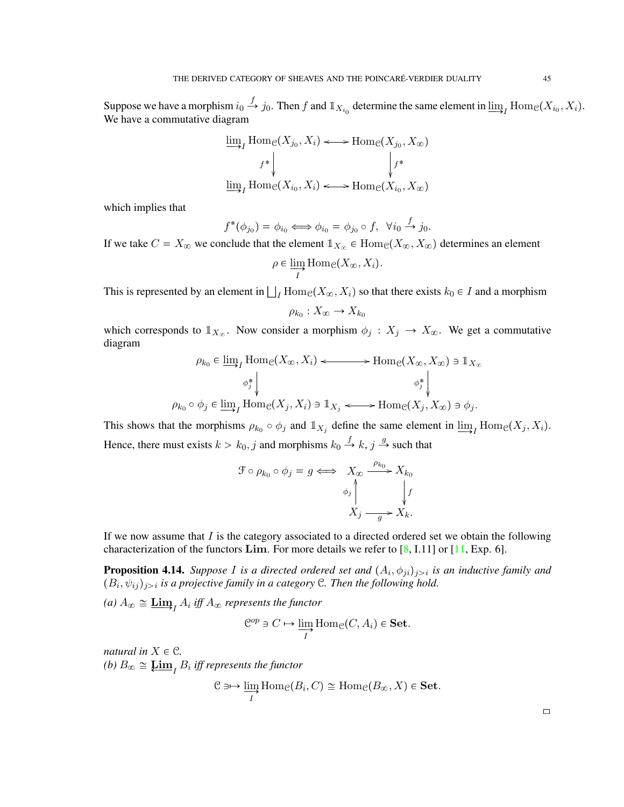Suppose we have a morphism  $i_0 \stackrel{f}{\rightarrow} j_0$ . Then f and  $\mathbb{1}_{X_{i_0}}$  determine the same element in  $\varinjlim_I$  Hom $e(X_{i_0}, X_i)$ . We have a commutative diagram

$$
\lim_{f^*} \text{Hom}_{\mathcal{C}}(X_{j_0}, X_i) \longleftrightarrow \text{Hom}_{\mathcal{C}}(X_{j_0}, X_{\infty})
$$
\n
$$
\downarrow^{f^*} \qquad \qquad \downarrow^{f^*}
$$
\n
$$
\lim_{I \to I} \text{Hom}_{\mathcal{C}}(X_{i_0}, X_i) \longleftrightarrow \text{Hom}_{\mathcal{C}}(X_{i_0}, X_{\infty})
$$

which implies that

$$
f^*(\phi_{j_0}) = \phi_{i_0} \iff \phi_{i_0} = \phi_{j_0} \circ f, \ \ \forall i_0 \stackrel{f}{\to} j_0.
$$

If we take  $C = X_{\infty}$  we conclude that the element  $\mathbb{1}_{X_{\infty}} \in \text{Hom}_{\mathcal{C}}(X_{\infty}, X_{\infty})$  determines an element

$$
\rho \in \varinjlim_{I} \operatorname{Hom}_{\mathcal{C}}(X_{\infty}, X_{i}).
$$

This is represented by an element in  $\bigsqcup_I \text{Hom}_{\mathcal{C}}(X_\infty, X_i)$  so that there exists  $k_0 \in I$  and a morphism

$$
\rho_{k_0}: X_{\infty} \to X_{k_0}
$$

which corresponds to  $1_{X_\infty}$ . Now consider a morphism  $\phi_j : X_j \to X_\infty$ . We get a commutative diagram

$$
\rho_{k_0} \in \varinjlim_I \text{Hom}_{\mathcal{C}}(X_{\infty}, X_i) \longleftrightarrow \text{Hom}_{\mathcal{C}}(X_{\infty}, X_{\infty}) \ni \mathbb{1}_{X_{\infty}}
$$

$$
\phi_j^* \downarrow \qquad \phi_j^* \downarrow
$$

$$
\rho_{k_0} \circ \phi_j \in \varinjlim_I \text{Hom}_{\mathcal{C}}(X_j, X_i) \ni \mathbb{1}_{X_j} \longleftrightarrow \text{Hom}_{\mathcal{C}}(X_j, X_{\infty}) \ni \phi_j.
$$

This shows that the morphisms  $\rho_{k_0} \circ \phi_j$  and  $\mathbb{1}_{X_j}$  define the same element in  $\varinjlim_I$  Hom $e(X_j, X_i)$ . Hence, there must exists  $k > k_0$ , j and morphisms  $k_0 \stackrel{f}{\rightarrow} k$ , j  $\stackrel{g}{\rightarrow}$  such that

$$
\mathcal{F} \circ \rho_{k_0} \circ \phi_j = g \iff X_{\infty} \xrightarrow{\rho_{k_0}} X_{k_0}
$$

$$
\phi_j \qquad \downarrow f
$$

$$
X_j \xrightarrow{g} X_k.
$$

If we now assume that  $I$  is the category associated to a directed ordered set we obtain the following characterization of the functors Lim. For more details we refer to  $[8, 1.11]$  $[8, 1.11]$  or  $[11, Exp. 6]$  $[11, Exp. 6]$ .

**Proposition 4.14.** Suppose I is a directed ordered set and  $(A_i, \phi_{ji})_{j>i}$  is an inductive family and  $(B_i, \psi_{ij})_{j>i}$  is a projective family in a category C. Then the following hold.

(a)  $A_{\infty} \cong \varinjlim_{I} A_{i}$  iff  $A_{\infty}$  represents the functor

$$
\mathcal{C}^{op} \ni C \mapsto \varinjlim_I \mathrm{Hom}_{\mathcal{C}}(C, A_i) \in \mathbf{Set}.
$$

*natural in*  $X \in \mathcal{C}$ *.* 

<span id="page-44-0"></span>(b)  $B_{\infty} \cong \mathop{\underline{\mathbf{Lim}}}\nolimits_I B_i$  iff represents the functor

$$
\mathcal{C} \ni\mapsto \varinjlim_I \mathrm{Hom}_{\mathcal{C}}(B_i, C) \cong \mathrm{Hom}_{\mathcal{C}}(B_{\infty}, X) \in \mathbf{Set}.
$$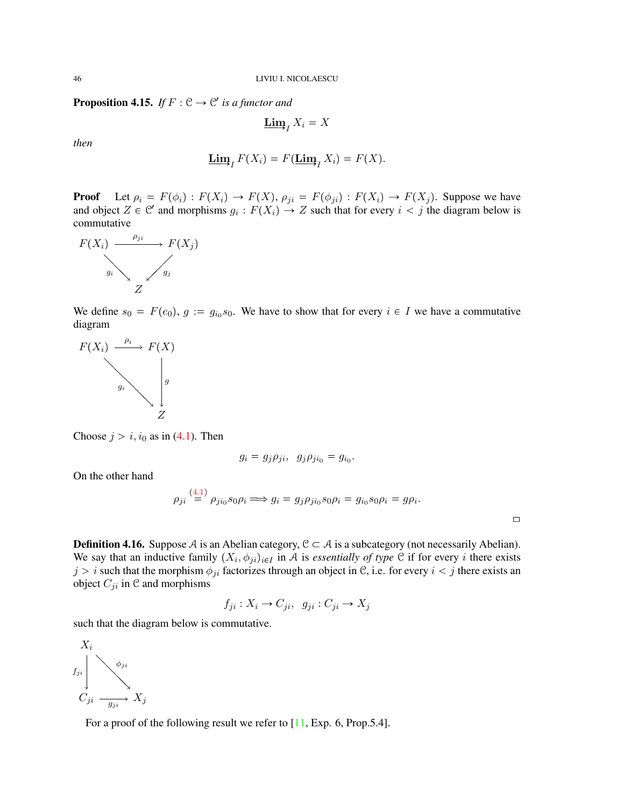**Proposition 4.15.** *If*  $F : \mathcal{C} \to \mathcal{C}'$  *is a functor and* 

$$
\mathbf{\underline{Lim}}_I X_i = X
$$

*then*

$$
\underline{\mathbf{Lim}}_I F(X_i) = F(\underline{\mathbf{Lim}}_I X_i) = F(X).
$$

**Proof** Let  $\rho_i = F(\phi_i) : F(X_i) \to F(X)$ ,  $\rho_{ji} = F(\phi_{ji}) : F(X_i) \to F(X_j)$ . Suppose we have and object  $Z \in \mathcal{C}'$  and morphisms  $g_i : F(X_i) \to Z$  such that for every  $i < j$  the diagram below is commutative



We define  $s_0 = F(e_0), g := g_{i_0} s_0$ . We have to show that for every  $i \in I$  we have a commutative diagram



Choose  $j > i$ ,  $i_0$  as in [\(4.1\)](#page-36-0). Then

$$
g_i = g_j \rho_{ji}, \quad g_j \rho_{ji_0} = g_{i_0}.
$$

On the other hand

$$
\rho_{ji} \stackrel{(4.1)}{=} \rho_{ji_0} s_0 \rho_i \Longrightarrow g_i = g_j \rho_{ji_0} s_0 \rho_i = g_{i_0} s_0 \rho_i = g \rho_i.
$$

 $\Box$ 

**Definition 4.16.** Suppose A is an Abelian category,  $C \subset A$  is a subcategory (not necessarily Abelian). We say that an inductive family  $(X_i, \phi_{ji})_{i \in I}$  in A is *essentially of type* C if for every i there exists  $j > i$  such that the morphism  $\phi_{ji}$  factorizes through an object in C, i.e. for every  $i < j$  there exists an object  $C_{ji}$  in  $C$  and morphisms

$$
f_{ji}: X_i \to C_{ji}, \ g_{ji}: C_{ji} \to X_j
$$

such that the diagram below is commutative.

 $X_i$  $\stackrel{\check{\bullet}}{C_{ji}} \stackrel{\simeq}{\longrightarrow} X_j$  $\diagdown$  $\diagdown$  $\searrow$  $f_{ji}$   $\phi_{ji}$ 

For a proof of the following result we refer to [\[11,](#page-71-0) Exp. 6, Prop.5.4].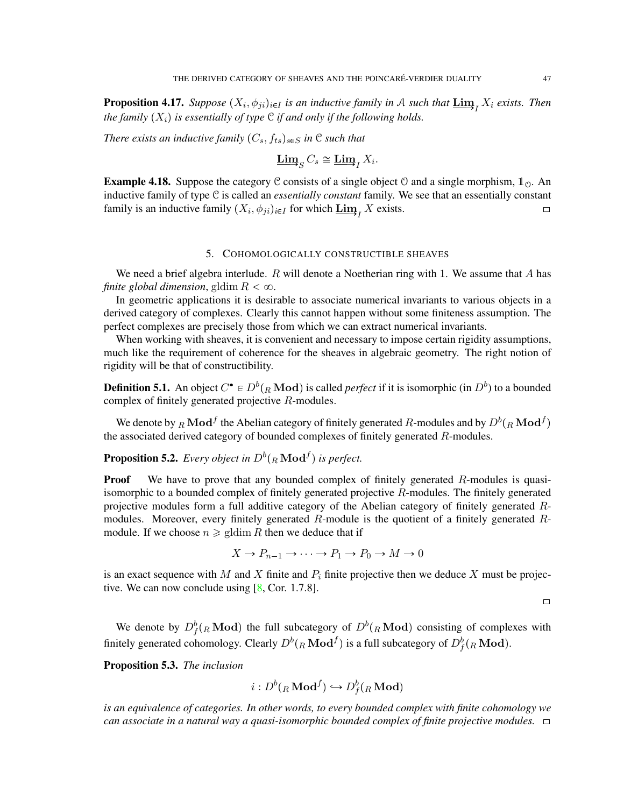**Proposition 4.17.** *Suppose*  $(X_i, \phi_{ji})_{i \in I}$  *is an inductive family in* A *such that*  $\underline{\text{Lim}}_I X_i$  *exists. Then the family*  $(X_i)$  *is essentially of type*  $C$  *if and only if the following holds.* 

*There exists an inductive family*  $(C_s, f_{ts})_{s \in S}$  *in* C *such that* 

$$
\underline{\mathbf{Lim}}_S C_s \cong \underline{\mathbf{Lim}}_I X_i.
$$

**Example 4.18.** Suppose the category C consists of a single object O and a single morphism,  $\mathbb{1}_0$ . An inductive family of type C is called an *essentially constant* family. We see that an essentially constant family is an inductive family  $(X_i, \phi_{ji})_{i \in I}$  for which  $\underline{\lim}_{I} X$  exists.

## 5. COHOMOLOGICALLY CONSTRUCTIBLE SHEAVES

<span id="page-46-0"></span>We need a brief algebra interlude. R will denote a Noetherian ring with 1. We assume that A has *finite global dimension*, gldim  $R < \infty$ .

In geometric applications it is desirable to associate numerical invariants to various objects in a derived category of complexes. Clearly this cannot happen without some finiteness assumption. The perfect complexes are precisely those from which we can extract numerical invariants.

When working with sheaves, it is convenient and necessary to impose certain rigidity assumptions, much like the requirement of coherence for the sheaves in algebraic geometry. The right notion of rigidity will be that of constructibility.

**Definition 5.1.** An object  $C^{\bullet} \in D^b({}_R\textbf{Mod})$  is called *perfect* if it is isomorphic (in  $D^b$ ) to a bounded complex of finitely generated projective R-modules.

We denote by  $_R\mathbf{Mod}^f$  the Abelian category of finitely generated  $R$ -modules and by  $D^b({}_R\mathbf{Mod}^f)$ the associated derived category of bounded complexes of finitely generated  $R$ -modules.

**Proposition 5.2.** Every object in  $D^b({}_R\operatorname{\bf Mod}^f)$  is perfect.

**Proof** We have to prove that any bounded complex of finitely generated  $R$ -modules is quasiisomorphic to a bounded complex of finitely generated projective R-modules. The finitely generated projective modules form a full additive category of the Abelian category of finitely generated Rmodules. Moreover, every finitely generated  $R$ -module is the quotient of a finitely generated  $R$ module. If we choose  $n \geq \text{gldim } R$  then we deduce that if

$$
X \to P_{n-1} \to \cdots \to P_1 \to P_0 \to M \to 0
$$

is an exact sequence with M and X finite and  $P_i$  finite projective then we deduce X must be projective. We can now conclude using  $[8, \text{Cor. } 1.7.8]$  $[8, \text{Cor. } 1.7.8]$ .

 $\Box$ 

We denote by  $D_f^b({}_R\textbf{Mod})$  the full subcategory of  $D^b({}_R\textbf{Mod})$  consisting of complexes with finitely generated cohomology. Clearly  $D^b({}_R\bf{Mod}^f)$  is a full subcategory of  $D^b_f({}_R\bf{Mod})$ .

Proposition 5.3. *The inclusion*

$$
i:D^b(_R\mathbf{Mod}^f)\hookrightarrow D^b_f(_R\mathbf{Mod})
$$

*is an equivalence of categories. In other words, to every bounded complex with finite cohomology we can associate in a natural way a quasi-isomorphic bounded complex of finite projective modules.* [\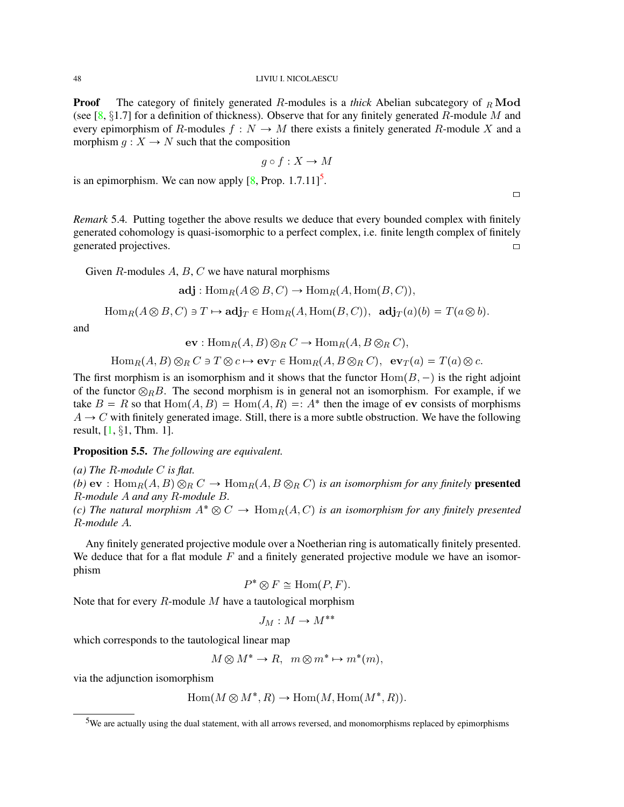**Proof** The category of finitely generated R-modules is a *thick* Abelian subcategory of  $<sub>B</sub>$  Mod</sub> (see [\[8,](#page-71-2)  $\S1.7$ ] for a definition of thickness). Observe that for any finitely generated R-module M and every epimorphism of R-modules  $f : N \to M$  there exists a finitely generated R-module X and a morphism  $q: X \to N$  such that the composition

$$
g \circ f : X \to M
$$

is an epimorphism. We can now apply  $[8, Prop. 1.7.11]$  $[8, Prop. 1.7.11]$ <sup>[5](#page-47-0)</sup>.

*Remark* 5.4*.* Putting together the above results we deduce that every bounded complex with finitely generated cohomology is quasi-isomorphic to a perfect complex, i.e. finite length complex of finitely generated projectives.  $\Box$ 

Given  $R$ -modules  $A, B, C$  we have natural morphisms

$$
\mathbf{adj}: \mathrm{Hom}_R(A \otimes B, C) \to \mathrm{Hom}_R(A, \mathrm{Hom}(B, C)),
$$

 $\text{Hom}_R(A \otimes B, C) \ni T \mapsto \text{adj}_T \in \text{Hom}_R(A, \text{Hom}(B, C)), \text{ adj}_T(a)(b) = T(a \otimes b).$ 

and

$$
\mathbf{ev}: \text{Hom}_{R}(A, B) \otimes_{R} C \to \text{Hom}_{R}(A, B \otimes_{R} C),
$$

 $\text{Hom}_R(A, B) \otimes_R C \ni T \otimes c \mapsto \text{ev}_T \in \text{Hom}_R(A, B \otimes_R C), \text{ev}_T(a) = T(a) \otimes c.$ 

The first morphism is an isomorphism and it shows that the functor  $Hom(B, -)$  is the right adjoint of the functor  $\otimes_R B$ . The second morphism is in general not an isomorphism. For example, if we take  $B = R$  so that  $Hom(A, B) = Hom(A, R) = A^*$  then the image of ev consists of morphisms  $A \rightarrow C$  with finitely generated image. Still, there is a more subtle obstruction. We have the following result,  $[1, §1, Thm. 1]$  $[1, §1, Thm. 1]$ .

Proposition 5.5. *The following are equivalent.*

*(a) The* R*-module* C *is flat. (b)* ev :  $\text{Hom}_R(A, B) \otimes_R C \to \text{Hom}_R(A, B \otimes_R C)$  *is an isomorphism for any finitely* presented R*-module* A *and any* R*-module* B*. (c) The natural morphism*  $A^* \otimes C \rightarrow \text{Hom}_R(A, C)$  *is an isomorphism for any finitely presented* R*-module* A*.*

Any finitely generated projective module over a Noetherian ring is automatically finitely presented. We deduce that for a flat module  $F$  and a finitely generated projective module we have an isomorphism

$$
P^* \otimes F \cong \text{Hom}(P, F).
$$

Note that for every  $R$ -module  $M$  have a tautological morphism

$$
J_M:M\to M^{**}
$$

which corresponds to the tautological linear map

$$
M \otimes M^* \to R, \ \ m \otimes m^* \mapsto m^*(m),
$$

via the adjunction isomorphism

$$
Hom(M \otimes M^*, R) \to Hom(M, Hom(M^*, R)).
$$

<span id="page-47-0"></span><sup>&</sup>lt;sup>5</sup>We are actually using the dual statement, with all arrows reversed, and monomorphisms replaced by epimorphisms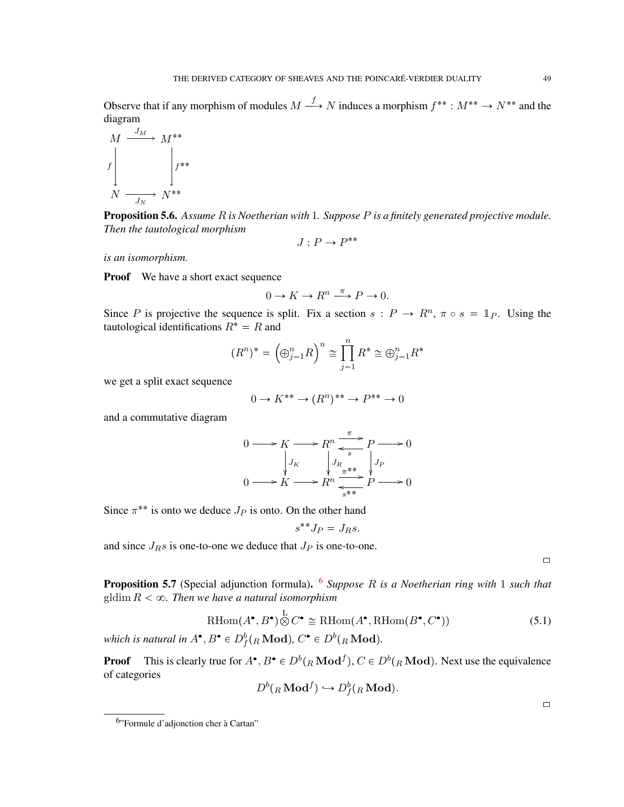Observe that if any morphism of modules  $M \stackrel{f}{\longrightarrow} N$  induces a morphism  $f^{**}: M^{**} \to N^{**}$  and the diagram

$$
\begin{array}{ccc}\nM & \xrightarrow{J_M} & M^{**} \\
\downarrow f & & \downarrow f^{**} \\
N & \xrightarrow{J_N} & N^{**}\n\end{array}
$$

Proposition 5.6. *Assume* R *is Noetherian with* 1*. Suppose* P *is a finitely generated projective module. Then the tautological morphism*

$$
J:P\to P^{**}
$$

*is an isomorphism.*

**Proof** We have a short exact sequence

$$
0 \to K \to R^n \xrightarrow{\pi} P \to 0.
$$

Since P is projective the sequence is split. Fix a section  $s : P \to R^n$ ,  $\pi \circ s = \mathbb{1}_P$ . Using the tautological identifications  $R^* = R$  and

$$
(R^n)^* = (\bigoplus_{j=1}^n R)^n \cong \prod_{j=1}^n R^* \cong \bigoplus_{j=1}^n R^*
$$

we get a split exact sequence

$$
0 \to K^{**} \to (R^n)^{**} \to P^{**} \to 0
$$

and a commutative diagram

$$
0 \longrightarrow K \longrightarrow R^n \xrightarrow{\pi} P \longrightarrow 0
$$
  
\n
$$
\downarrow J_K
$$
  
\n
$$
0 \longrightarrow K \longrightarrow R^n \xrightarrow{\pi} \downarrow J_P
$$
  
\n
$$
\downarrow J_R
$$
  
\n
$$
\downarrow J_P
$$
  
\n
$$
\downarrow J_P
$$
  
\n
$$
\downarrow J_P
$$
  
\n
$$
\downarrow J_P
$$
  
\n
$$
\downarrow J_P
$$

Since  $\pi^{**}$  is onto we deduce  $J_P$  is onto. On the other hand

$$
s^{\ast\ast}J_P=J_Rs.
$$

and since  $J_{R}s$  is one-to-one we deduce that  $J_{P}$  is one-to-one.

 $\Box$ 

 $\Box$ 

Proposition 5.7 (Special adjunction formula). [6](#page-48-0) *Suppose* R *is a Noetherian ring with* 1 *such that* gldim  $R < \infty$ . Then we have a natural isomorphism

$$
\mathrm{RHom}(A^{\bullet}, B^{\bullet}) \overset{\mathrm{L}}{\otimes} C^{\bullet} \cong \mathrm{RHom}(A^{\bullet}, \mathrm{RHom}(B^{\bullet}, C^{\bullet})) \tag{5.1}
$$

which is natural in  $A^{\bullet}, B^{\bullet} \in D_f^b({}_R\operatorname{\mathbf{Mod}})$ ,  $C^{\bullet} \in D^b({}_R\operatorname{\mathbf{Mod}})$ .

**Proof** This is clearly true for  $A^{\bullet}$ ,  $B^{\bullet} \in D^b({}_R\textbf{Mod}^f)$ ,  $C \in D^b({}_R\textbf{Mod})$ . Next use the equivalence of categories

$$
D^b({}_R\mathbf{Mod}^f)\hookrightarrow D^b_f({}_R\mathbf{Mod}).
$$

<span id="page-48-0"></span><sup>&</sup>lt;sup>6</sup>"Formule d'adjonction cher à Cartan"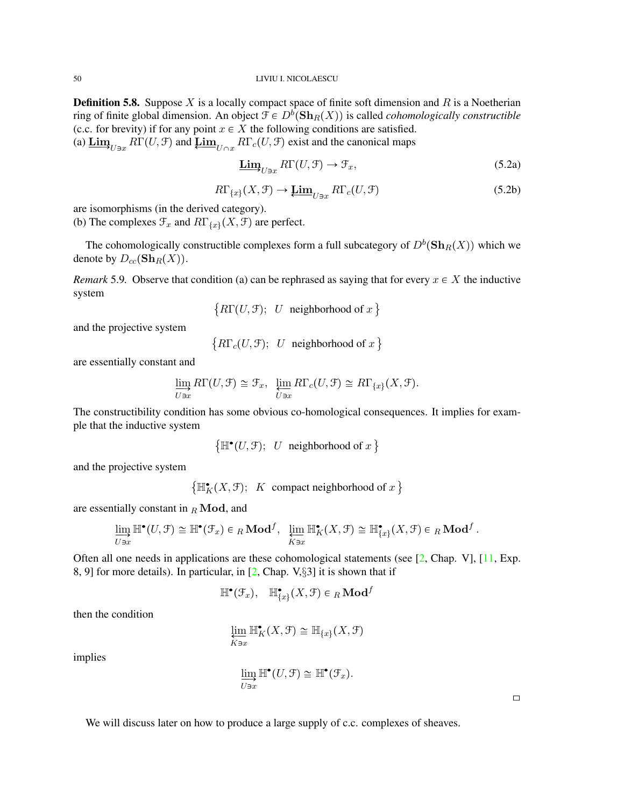**Definition 5.8.** Suppose  $X$  is a locally compact space of finite soft dimension and  $R$  is a Noetherian ring of finite global dimension. An object  $\mathcal{F} \in D^b(\mathbf{Sh}_R(X))$  is called *cohomologically constructible* (c.c. for brevity) if for any point  $x \in X$  the following conditions are satisfied. (a)  $\underline{\lim}_{U \ni x} R\Gamma(U, \mathcal{F})$  and  $\underline{\lim}_{U \cap x} R\Gamma_c(U, \mathcal{F})$  exist and the canonical maps

$$
\underline{\text{Lim}}_{U\ni x} R\Gamma(U, \mathcal{F}) \to \mathcal{F}_x,\tag{5.2a}
$$

$$
R\Gamma_{\{x\}}(X,\mathcal{F}) \to \underline{\mathbf{Lim}}_{U\ni x} R\Gamma_c(U,\mathcal{F})
$$
\n(5.2b)

are isomorphisms (in the derived category).

(b) The complexes  $\mathcal{F}_x$  and  $R\Gamma_{\{x\}}(X,\mathcal{F})$  are perfect.

The cohomologically constructible complexes form a full subcategory of  $D^b(\mathbf{Sh}_R(X))$  which we denote by  $D_{cc}(\mathbf{Sh}_R(X))$ .

*Remark* 5.9. Observe that condition (a) can be rephrased as saying that for every  $x \in X$  the inductive system

$$
\{R\Gamma(U, \mathcal{F}); U \text{ neighborhood of } x\}
$$

and the projective system

 $\{R\Gamma_c(U, \mathcal{F}); U \text{ neighborhood of } x\}$ 

are essentially constant and

$$
\varinjlim_{U\ni x} R\Gamma(U,\mathcal{F}) \cong \mathcal{F}_x, \ \varprojlim_{U\ni x} R\Gamma_c(U,\mathcal{F}) \cong R\Gamma_{\{x\}}(X,\mathcal{F}).
$$

The constructibility condition has some obvious co-homological consequences. It implies for example that the inductive system

 $\{\mathbb{H}^{\bullet}(U, \mathcal{F})\colon U \text{ neighborhood of } x\}$ 

and the projective system

 $\{\mathbb{H}_K^{\bullet}(X, \mathcal{F});$  K compact neighborhood of  $x\}$ 

are essentially constant in  $_R$  Mod, and

$$
\varinjlim_{U\ni x} \mathbb{H}^{\bullet}(U,\mathcal{F}) \cong \mathbb{H}^{\bullet}(\mathcal{F}_x) \in {}_R\textbf{Mod}^f, \ \ \varprojlim_{K\ni x} \mathbb{H}_K^{\bullet}(X,\mathcal{F}) \cong \mathbb{H}^{\bullet}_{\{x\}}(X,\mathcal{F}) \in {}_R\textbf{Mod}^f.
$$

Often all one needs in applications are these cohomological statements (see [\[2,](#page-71-4) Chap. V], [\[11,](#page-71-0) Exp. 8, 9] for more details). In particular, in [\[2,](#page-71-4) Chap. V,§3] it is shown that if

$$
\mathbb{H}^\bullet(\mathcal{F}_x), \quad \mathbb{H}^\bullet_{\{x\}}(X,\mathcal{F}) \in {}_R\mathbf{Mod}^f
$$

then the condition

$$
\varprojlim_{K\ni x}\mathbb H_K^{\bullet}(X,\mathcal F)\cong \mathbb H_{\{x\}}(X,\mathcal F)
$$

implies

$$
\varinjlim_{U\ni x} \mathbb{H}^\bullet(U, \mathcal{F}) \cong \mathbb{H}^\bullet(\mathcal{F}_x).
$$

 $\Box$ 

We will discuss later on how to produce a large supply of c.c. complexes of sheaves.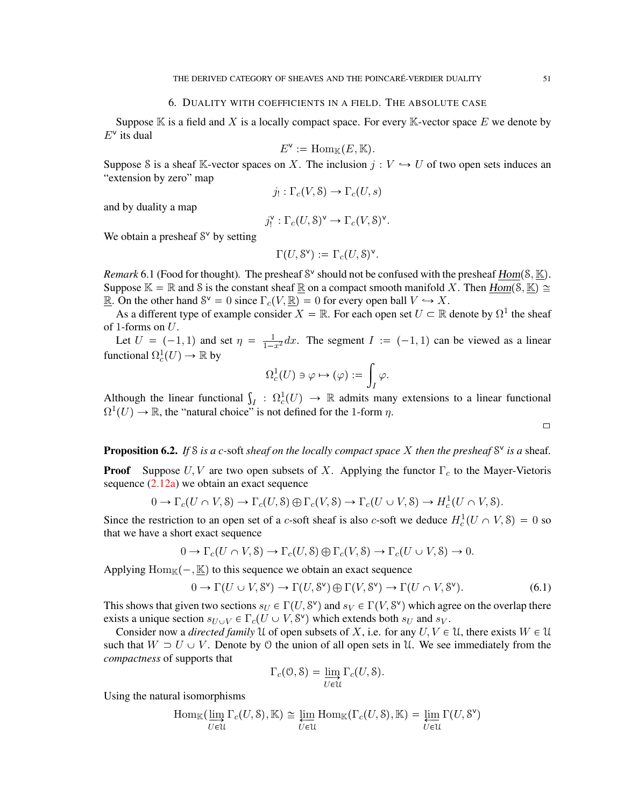### 6. DUALITY WITH COEFFICIENTS IN A FIELD. THE ABSOLUTE CASE

Suppose  $\mathbb K$  is a field and X is a locally compact space. For every  $\mathbb K$ -vector space E we denote by  $E^{\vee}$  its dual

$$
E^{\mathsf{v}} := \operatorname{Hom}_{\mathbb{K}}(E, \mathbb{K}).
$$

Suppose S is a sheaf K-vector spaces on X. The inclusion  $j: V \hookrightarrow U$  of two open sets induces an "extension by zero" map

$$
j_! : \Gamma_c(V, \mathcal{S}) \to \Gamma_c(U, s)
$$

and by duality a map

$$
j_!^{\mathsf{v}} : \Gamma_c(U, \mathsf{S})^{\mathsf{v}} \to \Gamma_c(V, \mathsf{S})^{\mathsf{v}}.
$$

We obtain a presheaf  $S^v$  by setting

$$
\Gamma(U, \mathcal{S}^{\mathsf{v}}) := \Gamma_c(U, \mathcal{S})^{\mathsf{v}}.
$$

*Remark* 6.1 (Food for thought). The presheaf  $S^{\vee}$  should not be confused with the presheaf  $\underline{Hom}(S, \underline{\mathbb{K}})$ . Suppose  $\mathbb{K} = \mathbb{R}$  and S is the constant sheaf  $\mathbb{R}$  on a compact smooth manifold X. Then  $Hom(\mathcal{S}, \mathbb{K}) \cong$ **R**. On the other hand  $S^{\vee} = 0$  since  $\Gamma_c(V, \mathbb{R}) = 0$  for every open ball  $V \hookrightarrow X$ .

As a different type of example consider  $X = \mathbb{R}$ . For each open set  $U \subset \mathbb{R}$  denote by  $\Omega^1$  the sheaf of 1-forms on  $U$ .

Let  $U = (-1, 1)$  and set  $\eta = \frac{1}{1-x^2} dx$ . The segment  $I := (-1, 1)$  can be viewed as a linear functional  $\Omega_c^1(U) \to \mathbb{R}$  by

$$
\Omega^1_c(U)\ni \varphi\mapsto (\varphi):=\int_I\varphi.
$$

Although the linear functional  $\int_I : \Omega_c^1(U) \to \mathbb{R}$  admits many extensions to a linear functional  $\Omega^1(U) \to \mathbb{R}$ , the "natural choice" is not defined for the 1-form  $\eta$ .

Proposition 6.2. If *S* is a c-soft sheaf on the locally compact space *X* then the presheaf S<sup>v</sup> is a sheaf.

**Proof** Suppose  $U, V$  are two open subsets of X. Applying the functor  $\Gamma_c$  to the Mayer-Vietoris sequence  $(2.12a)$  we obtain an exact sequence

$$
0 \to \Gamma_c(U \cap V, \mathcal{S}) \to \Gamma_c(U, \mathcal{S}) \oplus \Gamma_c(V, \mathcal{S}) \to \Gamma_c(U \cup V, \mathcal{S}) \to H_c^1(U \cap V, \mathcal{S}).
$$

Since the restriction to an open set of a c-soft sheaf is also c-soft we deduce  $H_c^1(U \cap V, \delta) = 0$  so that we have a short exact sequence

$$
0 \to \Gamma_c(U \cap V, \mathcal{S}) \to \Gamma_c(U, \mathcal{S}) \oplus \Gamma_c(V, \mathcal{S}) \to \Gamma_c(U \cup V, \mathcal{S}) \to 0.
$$

Applying  $\text{Hom}_{\mathbb{K}}(-, \underline{\mathbb{K}})$  to this sequence we obtain an exact sequence

<span id="page-50-0"></span>
$$
0 \to \Gamma(U \cup V, \mathcal{S}^{\vee}) \to \Gamma(U, \mathcal{S}^{\vee}) \oplus \Gamma(V, \mathcal{S}^{\vee}) \to \Gamma(U \cap V, \mathcal{S}^{\vee}). \tag{6.1}
$$

This shows that given two sections  $s_U \in \Gamma(U, S^{\vee})$  and  $s_V \in \Gamma(V, S^{\vee})$  which agree on the overlap there exists a unique section  $s_{U\cup V} \in \Gamma_c(U \cup V, \mathcal{S}^{\vee})$  which extends both  $s_U$  and  $s_V$ .

Consider now a *directed family* U of open subsets of X, i.e. for any  $U, V \in \mathcal{U}$ , there exists  $W \in \mathcal{U}$ such that  $W \supset U \cup V$ . Denote by 0 the union of all open sets in U. We see immediately from the *compactness* of supports that

$$
\Gamma_c(\mathcal{O}, \mathcal{S}) = \varinjlim_{U \in \mathcal{U}} \Gamma_c(U, \mathcal{S}).
$$

Using the natural isomorphisms

$$
\operatorname{Hom}_{\mathbb{K}}(\varinjlim_{U \in \mathcal{U}} \Gamma_c(U, \mathcal{S}), \mathbb{K}) \cong \varprojlim_{U \in \mathcal{U}} \operatorname{Hom}_{\mathbb{K}}(\Gamma_c(U, \mathcal{S}), \mathbb{K}) = \varprojlim_{U \in \mathcal{U}} \Gamma(U, \mathcal{S}^{\vee})
$$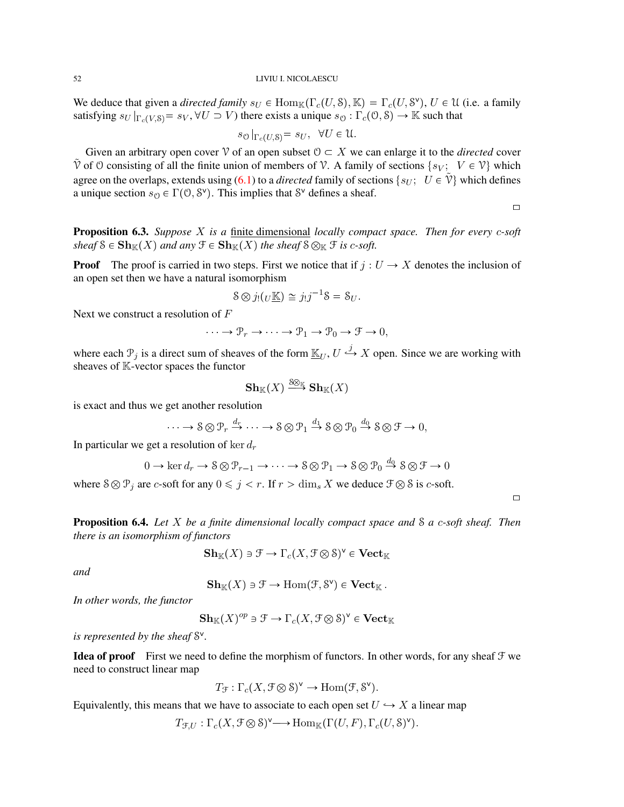We deduce that given a *directed family*  $s_U \in \text{Hom}_{\mathbb{K}}(\Gamma_c(U, \mathcal{S}), \mathbb{K}) = \Gamma_c(U, \mathcal{S}^{\vee}), U \in \mathcal{U}$  (i.e. a family satisfying  $s_U|_{\Gamma_c(V,S)} = s_V$ ,  $\forall U \supset V$  there exists a unique  $s_{\mathcal{O}} : \Gamma_c(\mathcal{O}, \mathcal{S}) \to \mathbb{K}$  such that

$$
s_{\mathcal{O}}|_{\Gamma_c(U,\mathbb{S})} = s_U, \quad \forall U \in \mathcal{U}.
$$

Given an arbitrary open cover  $\mathcal V$  of an open subset  $\mathcal O \subset X$  we can enlarge it to the *directed* cover  $\hat{V}$  of 0 consisting of all the finite union of members of V. A family of sections  $\{s_V; V \in \hat{V}\}\$  which agree on the overlaps, extends using [\(6.1\)](#page-50-0) to a *directed* family of sections  $\{s_U; U \in \tilde{V}\}\$ which defines a unique section  $s_{\mathcal{O}} \in \Gamma(\mathcal{O}, \mathcal{S}^{\vee})$ . This implies that  $\mathcal{S}^{\vee}$  defines a sheaf.

 $\Box$ 

Proposition 6.3. *Suppose* X *is a* finite dimensional *locally compact space. Then for every* c*-soft sheaf*  $S \in Sh_{\mathbb{K}}(X)$  *and any*  $\mathcal{F} \in Sh_{\mathbb{K}}(X)$  *the sheaf*  $S \otimes_{\mathbb{K}} \mathcal{F}$  *is c-soft.* 

**Proof** The proof is carried in two steps. First we notice that if  $j: U \to X$  denotes the inclusion of an open set then we have a natural isomorphism

$$
\mathcal{S}\otimes j_!(\underline{U}\underline{\mathbb{K}})\cong j_!j^{-1}\mathcal{S}=\mathcal{S}_U.
$$

Next we construct a resolution of F

$$
\cdots \to \mathcal{P}_r \to \cdots \to \mathcal{P}_1 \to \mathcal{P}_0 \to \mathcal{F} \to 0,
$$

where each  $\mathcal{P}_j$  is a direct sum of sheaves of the form  $\underline{\mathbb{K}}_U, U \stackrel{j}{\hookrightarrow} X$  open. Since we are working with sheaves of K-vector spaces the functor

$$
\mathbf{Sh}_{\mathbb{K}}(X) \stackrel{\text{S}\otimes_{\mathbb{K}}}{\longrightarrow} \mathbf{Sh}_{\mathbb{K}}(X)
$$

is exact and thus we get another resolution

$$
\cdots \to S \otimes \mathcal{P}_r \xrightarrow{d_r} \cdots \to S \otimes \mathcal{P}_1 \xrightarrow{d_1} S \otimes \mathcal{P}_0 \xrightarrow{d_0} S \otimes \mathcal{F} \to 0,
$$

In particular we get a resolution of ker  $d_r$ 

$$
0 \to \ker d_r \to \mathcal{S} \otimes \mathcal{P}_{r-1} \to \cdots \to \mathcal{S} \otimes \mathcal{P}_1 \to \mathcal{S} \otimes \mathcal{P}_0 \xrightarrow{d_0} \mathcal{S} \otimes \mathcal{F} \to 0
$$

where  $S \otimes P_j$  are c-soft for any  $0 \leq j < r$ . If  $r > \dim_s X$  we deduce  $\mathcal{F} \otimes S$  is c-soft.

 $\Box$ 

<span id="page-51-0"></span>Proposition 6.4. *Let* X *be a finite dimensional locally compact space and* S *a* c*-soft sheaf. Then there is an isomorphism of functors*

$$
\mathbf{Sh}_{\mathbb{K}}(X) \ni \mathfrak{F} \to \Gamma_c(X, \mathfrak{F} \otimes \mathcal{S})^{\vee} \in \mathbf{Vect}_{\mathbb{K}}
$$

*and*

$$
\mathbf{Sh}_{\mathbb{K}}(X) \ni \mathcal{F} \to \text{Hom}(\mathcal{F}, \mathcal{S}^{\vee}) \in \mathbf{Vect}_{\mathbb{K}}.
$$

*In other words, the functor*

$$
\mathbf{Sh}_{\mathbb{K}}(X)^{op}\ni\mathfrak{F}\to\Gamma_{c}(X,\mathfrak{F}\otimes\mathcal{S})^{\vee}\in\mathbf{Vect}_{\mathbb{K}}
$$

is represented by the sheaf  $S^{\vee}$ .

**Idea of proof** First we need to define the morphism of functors. In other words, for any sheaf  $\mathcal{F}$  we need to construct linear map

$$
T_{\mathcal{F}} : \Gamma_c(X, \mathcal{F} \otimes \mathcal{S})^{\vee} \to \text{Hom}(\mathcal{F}, \mathcal{S}^{\vee}).
$$

Equivalently, this means that we have to associate to each open set  $U \hookrightarrow X$  a linear map

$$
T_{\mathcal{F},U} : \Gamma_c(X, \mathcal{F} \otimes \mathcal{S})^{\vee} \longrightarrow \text{Hom}_{\mathbb{K}}(\Gamma(U, F), \Gamma_c(U, \mathcal{S})^{\vee}).
$$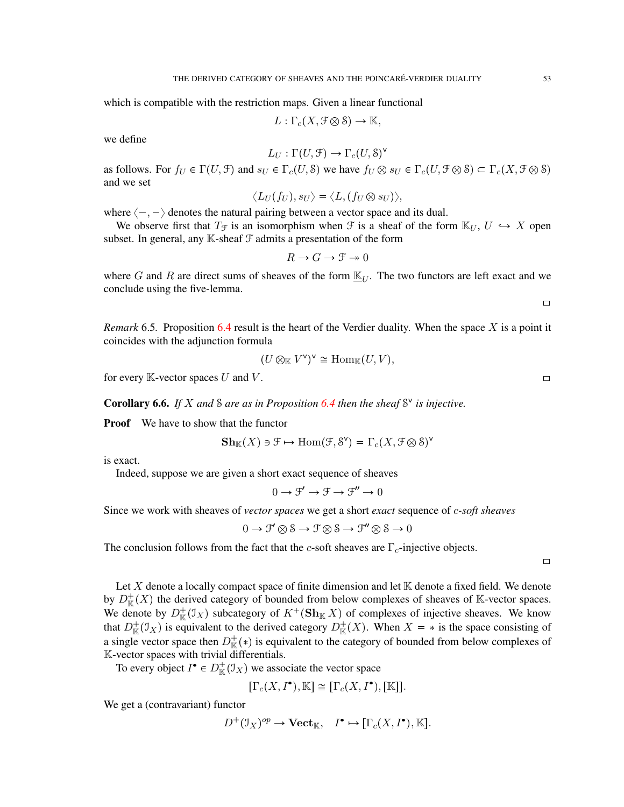which is compatible with the restriction maps. Given a linear functional

$$
L: \Gamma_c(X, \mathcal{F} \otimes \mathcal{S}) \to \mathbb{K},
$$

we define

$$
L_U: \Gamma(U, \mathcal{F}) \to \Gamma_c(U, \mathcal{S})^{\vee}
$$

as follows. For  $f_U \in \Gamma(U, \mathcal{F})$  and  $s_U \in \Gamma_c(U, \mathcal{S})$  we have  $f_U \otimes s_U \in \Gamma_c(U, \mathcal{F} \otimes \mathcal{S}) \subset \Gamma_c(X, \mathcal{F} \otimes \mathcal{S})$ and we set

$$
\langle L_U(f_U), s_U \rangle = \langle L, (f_U \otimes s_U) \rangle,
$$

where  $\langle -, - \rangle$  denotes the natural pairing between a vector space and its dual.

We observe first that  $T_f$  is an isomorphism when  $\mathcal F$  is a sheaf of the form  $\mathbb K_U, U \hookrightarrow X$  open subset. In general, any  $K$ -sheaf  $\mathcal F$  admits a presentation of the form

$$
R \to G \to \mathcal{F} \twoheadrightarrow 0
$$

where G and R are direct sums of sheaves of the form  $\underline{\mathbb{K}}_U$ . The two functors are left exact and we conclude using the five-lemma.

 $\Box$ 

*Remark* 6.5. Proposition [6.4](#page-51-0) result is the heart of the Verdier duality. When the space X is a point it coincides with the adjunction formula

$$
(U \otimes_{\mathbb{K}} V^{\vee})^{\vee} \cong \text{Hom}_{\mathbb{K}}(U, V),
$$

for every K-vector spaces U and V.  $\Box$ 

Corollary 6.6. If X and S are as in Proposition [6.4](#page-51-0) then the sheaf  $S^{\vee}$  is injective.

**Proof** We have to show that the functor

$$
\mathbf{Sh}_{\mathbb{K}}(X) \ni \mathcal{F} \mapsto \text{Hom}(\mathcal{F}, \mathcal{S}^{\vee}) = \Gamma_c(X, \mathcal{F} \otimes \mathcal{S})^{\vee}
$$

is exact.

Indeed, suppose we are given a short exact sequence of sheaves

 $0 \to \mathcal{F}' \to \mathcal{F} \to \mathcal{F}'' \to 0$ 

Since we work with sheaves of *vector spaces* we get a short *exact* sequence of c*-soft sheaves*

 $0 \to \mathcal{F}' \otimes \mathcal{S} \to \mathcal{F} \otimes \mathcal{S} \to \mathcal{F}'' \otimes \mathcal{S} \to 0$ 

The conclusion follows from the fact that the c-soft sheaves are  $\Gamma_c$ -injective objects.

 $\Box$ 

Let X denote a locally compact space of finite dimension and let  $K$  denote a fixed field. We denote by  $D^+_{\mathbb{K}}(X)$  the derived category of bounded from below complexes of sheaves of K-vector spaces. We denote by  $D^+_{\mathbb{K}}(\mathcal{I}_X)$  subcategory of  $K^+(\mathbf{Sh}_{\mathbb{K}} X)$  of complexes of injective sheaves. We know that  $D^+_{\mathbb{K}}(\mathcal{I}_X)$  is equivalent to the derived category  $D^+_{\mathbb{K}}(X)$ . When  $X = *$  is the space consisting of a single vector space then  $D^+_{\mathbb{K}}(*)$  is equivalent to the category of bounded from below complexes of K-vector spaces with trivial differentials.

To every object  $I^{\bullet} \in D_{\mathbb{K}}^{+}(\mathcal{I}_{X})$  we associate the vector space

$$
[\Gamma_c(X,I^{\bullet}),\mathbb{K}] \cong [\Gamma_c(X,I^{\bullet}),[\mathbb{K}]].
$$

We get a (contravariant) functor

$$
D^+(\mathfrak{I}_X)^{op}\to \mathbf{Vect}_\mathbb{K},\quad I^\bullet\mapsto [\Gamma_c(X,I^\bullet),\mathbb{K}].
$$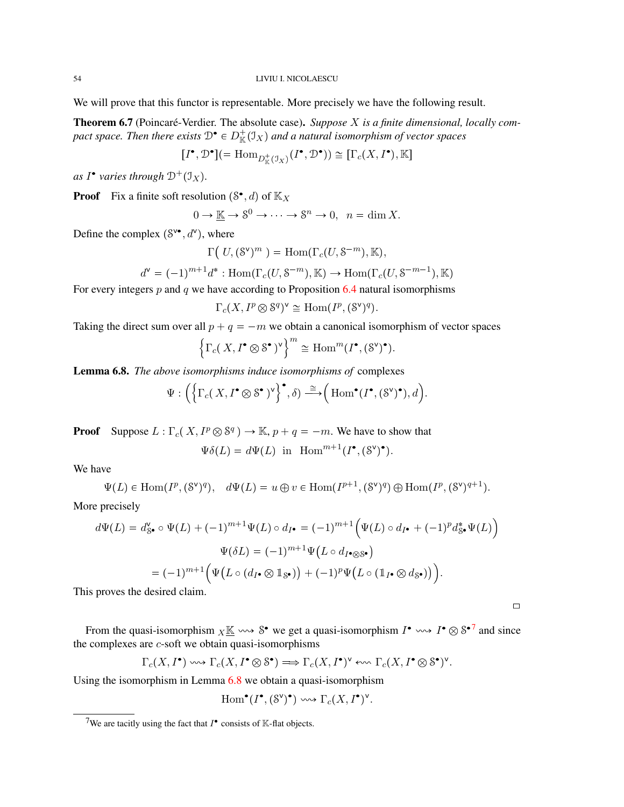We will prove that this functor is representable. More precisely we have the following result.

**Theorem 6.7** (Poincaré-Verdier. The absolute case). Suppose X is a finite dimensional, locally compact space. Then there exists  $\mathfrak{D}^\bullet \in D^+_{\mathbb{K}}({\mathfrak{I}}_X)$  and a natural isomorphism of vector spaces

$$
[I^{\bullet}, \mathcal{D}^{\bullet}] ( = \text{Hom}_{D^+_{\mathbb{K}}(\mathcal{I}_X)}(I^{\bullet}, \mathcal{D}^{\bullet})) \cong [\Gamma_c(X, I^{\bullet}), \mathbb{K}]
$$

*as*  $I^{\bullet}$  varies through  $\mathcal{D}^+(\mathcal{I}_X)$ .

**Proof** Fix a finite soft resolution  $(\mathcal{S}^{\bullet}, d)$  of  $\mathbb{K}_X$ 

$$
0 \to \underline{\mathbb{K}} \to \mathbb{S}^0 \to \cdots \to \mathbb{S}^n \to 0, \ \ n = \dim X.
$$

Define the complex  $(8^{\vee \bullet}, d^{\vee})$ , where

$$
\Gamma\big(\, U, (\mathcal{S}^{\vee})^m \,\,\big) = \text{Hom}(\Gamma_c(U, \mathcal{S}^{-m}), \mathbb{K}),
$$

$$
d^{\mathsf{v}} = (-1)^{m+1} d^* : \text{Hom}(\Gamma_c(U, \mathbb{S}^{-m}), \mathbb{K}) \to \text{Hom}(\Gamma_c(U, \mathbb{S}^{-m-1}), \mathbb{K})
$$

For every integers  $p$  and  $q$  we have according to Proposition [6.4](#page-51-0) natural isomorphisms

$$
\Gamma_c(X, I^p \otimes \mathcal{S}^q)^{\vee} \cong \text{Hom}(I^p, (\mathcal{S}^{\vee})^q).
$$

Taking the direct sum over all  $p + q = -m$  we obtain a canonical isomorphism of vector spaces

$$
\left\{\Gamma_c(X,I^{\bullet}\otimes \mathbf{S}^{\bullet})^{\vee}\right\}^m\cong \text{Hom}^m(I^{\bullet}, (\mathbf{S}^{\vee})^{\bullet}).
$$

<span id="page-53-1"></span>Lemma 6.8. *The above isomorphisms induce isomorphisms of* complexes

$$
\Psi:\Big(\Big\{\Gamma_c(\,X,I^\bullet\otimes S^\bullet\,)^{\sf v}\Big\}^\bullet,\delta)\stackrel{\cong}\longrightarrow\Big(\operatorname{Hom}^\bullet(I^\bullet,(S^{\sf v})^\bullet),d\Big).
$$

**Proof** Suppose  $L : \Gamma_c(X, I^p \otimes \mathcal{S}^q) \to \mathbb{K}$ ,  $p + q = -m$ . We have to show that

$$
\Psi \delta(L) = d\Psi(L) \text{ in } \operatorname{Hom}^{m+1}(I^{\bullet}, (S^{\vee})^{\bullet}).
$$

We have

$$
\Psi(L) \in \text{Hom}(I^p, (\mathbb{S}^{\vee})^q), \quad d\Psi(L) = u \oplus v \in \text{Hom}(I^{p+1}, (\mathbb{S}^{\vee})^q) \oplus \text{Hom}(I^p, (\mathbb{S}^{\vee})^{q+1}).
$$

More precisely

$$
d\Psi(L) = d_{\mathcal{S}^{\bullet}}^{\mathbf{v}} \circ \Psi(L) + (-1)^{m+1} \Psi(L) \circ d_{I^{\bullet}} = (-1)^{m+1} \Big( \Psi(L) \circ d_{I^{\bullet}} + (-1)^{p} d_{\mathcal{S}^{\bullet}}^* \Psi(L) \Big)
$$

$$
\Psi(\delta L) = (-1)^{m+1} \Psi\big( L \circ d_{I^{\bullet} \otimes \mathcal{S}^{\bullet}} \big)
$$

$$
= (-1)^{m+1} \Big( \Psi\big( L \circ (d_{I^{\bullet}} \otimes \mathbb{1}_{\mathcal{S}^{\bullet}}) \big) + (-1)^{p} \Psi\big( L \circ (\mathbb{1}_{I^{\bullet}} \otimes d_{\mathcal{S}^{\bullet}}) \big) \Big).
$$

This proves the desired claim.

From the quasi-isomorphism  $_X \underline{\mathbb{K}} \longrightarrow S^{\bullet}$  we get a quasi-isomorphism  $I^{\bullet} \longrightarrow I^{\bullet} \otimes S^{\bullet}{}^{7}$  $I^{\bullet} \longrightarrow I^{\bullet} \otimes S^{\bullet}{}^{7}$  $I^{\bullet} \longrightarrow I^{\bullet} \otimes S^{\bullet}{}^{7}$  and since the complexes are  $c$ -soft we obtain quasi-isomorphisms

 $\Box$ 

$$
\Gamma_c(X,I^{\bullet}) \longrightarrow \Gamma_c(X,I^{\bullet} \otimes S^{\bullet}) \Longrightarrow \Gamma_c(X,I^{\bullet})^{\vee} \leftrightsquigarrow \Gamma_c(X,I^{\bullet} \otimes S^{\bullet})^{\vee}.
$$

Using the isomorphism in Lemma [6.8](#page-53-1) we obtain a quasi-isomorphism

$$
\mathrm{Hom}^\bullet(I^\bullet, (\mathbf{S}^\vee)^\bullet) \leadsto \Gamma_c(X, I^\bullet)^\vee.
$$

<span id="page-53-0"></span><sup>&</sup>lt;sup>7</sup>We are tacitly using the fact that  $I^{\bullet}$  consists of K-flat objects.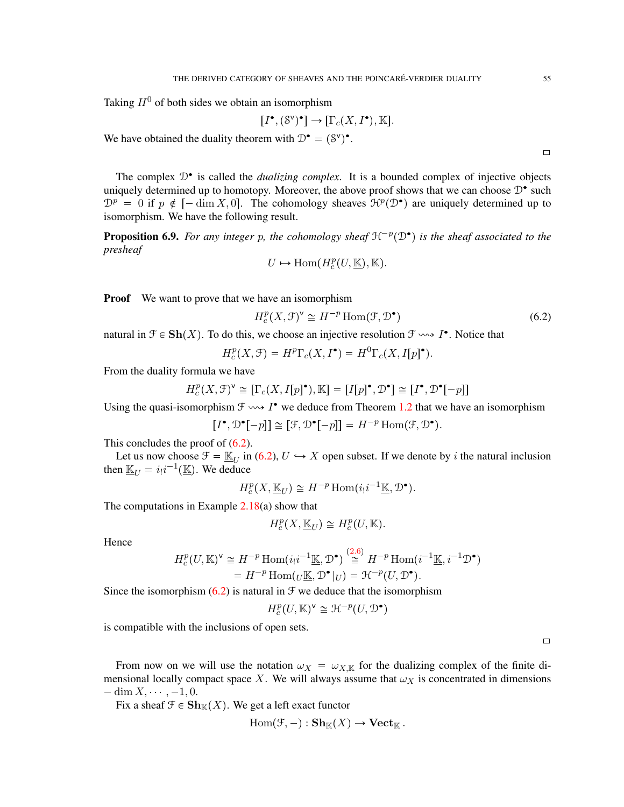Taking  $H^0$  of both sides we obtain an isomorphism

$$
[I^{\bullet}, (\mathcal{S}^{\vee})^{\bullet}] \to [\Gamma_c(X, I^{\bullet}), \mathbb{K}].
$$

We have obtained the duality theorem with  $\mathcal{D}^{\bullet} = (\mathcal{S}^{\vee})^{\bullet}$ .

The complex  $\mathcal{D}^{\bullet}$  is called the *dualizing complex*. It is a bounded complex of injective objects uniquely determined up to homotopy. Moreover, the above proof shows that we can choose  $\mathcal{D}^{\bullet}$  such  $\mathcal{D}^p = 0$  if  $p \notin [-\dim X, 0]$ . The cohomology sheaves  $\mathcal{H}^p(\mathcal{D}^{\bullet})$  are uniquely determined up to isomorphism. We have the following result.

<span id="page-54-1"></span>**Proposition 6.9.** For any integer p, the cohomology sheaf  $H^{-p}(\mathcal{D}^{\bullet})$  is the sheaf associated to the *presheaf*

$$
U \mapsto \text{Hom}(H_c^p(U,\underline{\mathbb{K}}),\mathbb{K}).
$$

**Proof** We want to prove that we have an isomorphism

<span id="page-54-0"></span>
$$
H_c^p(X, \mathcal{F})^{\vee} \cong H^{-p} \operatorname{Hom}(\mathcal{F}, \mathcal{D}^{\bullet})
$$
\n(6.2)

natural in  $\mathcal{F} \in \mathbf{Sh}(X)$ . To do this, we choose an injective resolution  $\mathcal{F} \rightsquigarrow I^{\bullet}$ . Notice that

$$
H_c^p(X, \mathcal{F}) = H^p \Gamma_c(X, I^{\bullet}) = H^0 \Gamma_c(X, I[p]^{\bullet}).
$$

From the duality formula we have

$$
H^p_c(X,\mathcal{F})^{\mathbf{v}}\cong [\Gamma_c(X,I[p]^\bullet),\mathbb{K}]=[I[p]^\bullet,\mathcal{D}^\bullet]\cong [I^\bullet,\mathcal{D}^\bullet[-p]]
$$

Using the quasi-isomorphism  $\mathcal{F} \rightarrow I^*$  we deduce from Theorem [1.2](#page-3-0) that we have an isomorphism

$$
[I^{\bullet}, \mathcal{D}^{\bullet}[-p]] \cong [\mathcal{F}, \mathcal{D}^{\bullet}[-p]] = H^{-p} \operatorname{Hom}(\mathcal{F}, \mathcal{D}^{\bullet}).
$$

This concludes the proof of  $(6.2)$ .

Let us now choose  $\mathcal{F} = \mathbb{K}_U$  in [\(6.2\)](#page-54-0),  $U \hookrightarrow X$  open subset. If we denote by i the natural inclusion then  $\underline{\mathbb{K}}_U = i_!i^{-1}(\underline{\mathbb{K}})$ . We deduce

 $H_c^p(X, \underline{\mathbb{K}}_U) \cong H^{-p} \text{Hom}(i_!i^{-1}\underline{\mathbb{K}}, \mathcal{D}^{\bullet}).$ 

The computations in Example  $2.18(a)$  $2.18(a)$  show that

$$
H_c^p(X, \underline{\mathbb{K}}_U) \cong H_c^p(U, \mathbb{K}).
$$

Hence

$$
H_c^p(U, \mathbb{K})^{\mathsf{v}} \cong H^{-p} \operatorname{Hom}(i_! i^{-1} \underline{\mathbb{K}}, \mathcal{D}^{\bullet}) \stackrel{(2.6)}{\cong} H^{-p} \operatorname{Hom}(i^{-1} \underline{\mathbb{K}}, i^{-1} \mathcal{D}^{\bullet})
$$
  
=  $H^{-p} \operatorname{Hom}(U \underline{\mathbb{K}}, \mathcal{D}^{\bullet}|_U) = \mathcal{H}^{-p}(U, \mathcal{D}^{\bullet}).$ 

 $\sqrt{2}$  $\sqrt{2}$  $\sqrt{2}$ .6 $\sqrt{2}$ 

Since the isomorphism  $(6.2)$  is natural in  $\mathcal F$  we deduce that the isomorphism

$$
H^p_c(U,\mathbb{K})^{\mathsf{v}} \cong \mathcal{H}^{-p}(U,\mathcal{D}^\bullet)
$$

is compatible with the inclusions of open sets.

 $\Box$ 

From now on we will use the notation  $\omega_X = \omega_{X,\mathbb{K}}$  for the dualizing complex of the finite dimensional locally compact space X. We will always assume that  $\omega_X$  is concentrated in dimensions  $-\dim X$ ,  $-1$ , 0.

Fix a sheaf  $\mathcal{F} \in \mathbf{Sh}_{\mathbb{K}}(X)$ . We get a left exact functor

$$
Hom(\mathcal{F}, -) : \mathbf{Sh}_{\mathbb{K}}(X) \to \mathbf{Vect}_{\mathbb{K}}.
$$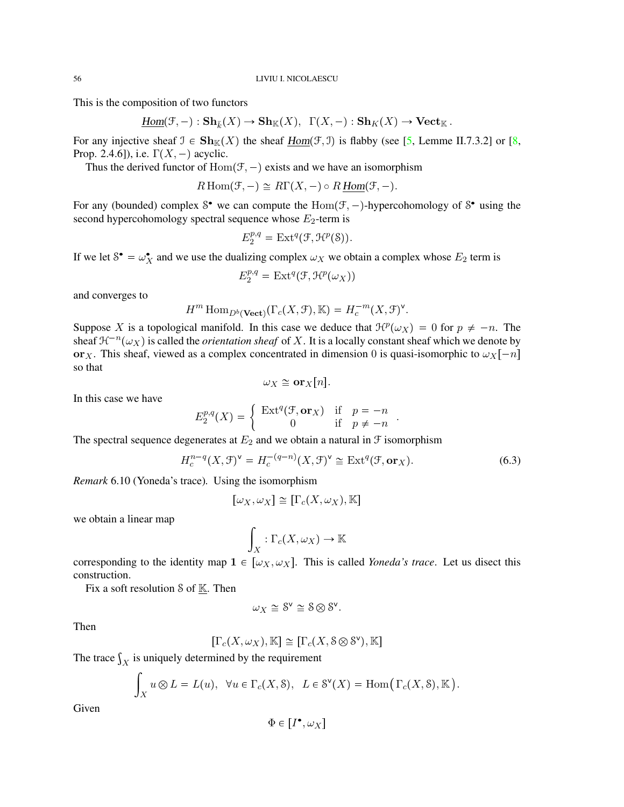This is the composition of two functors

$$
\underline{\mathrm{Hom}}(\mathfrak{F},-): \mathbf{Sh}_{\overline{k}}(X) \to \mathbf{Sh}_{\mathbb{K}}(X), \ \ \Gamma(X,-): \mathbf{Sh}_{K}(X) \to \mathbf{Vect}_{\mathbb{K}}.
$$

For any injective sheaf  $\mathfrak{I} \in \mathbf{Sh}_{\mathbb{K}}(X)$  the sheaf  $Hom(\mathfrak{F}, \mathfrak{I})$  is flabby (see [\[5,](#page-71-5) Lemme II.7.3.2] or [\[8,](#page-71-2) Prop. 2.4.6]), i.e.  $\Gamma(X, -)$  acyclic.

Thus the derived functor of  $Hom(\mathcal{F}, -)$  exists and we have an isomorphism

$$
R\operatorname{Hom}(\mathcal{F},-) \cong R\Gamma(X,-) \circ R\underline{\operatorname{Hom}}(\mathcal{F},-).
$$

For any (bounded) complex  $S^{\bullet}$  we can compute the  $Hom(\mathcal{F},-)$ -hypercohomology of  $S^{\bullet}$  using the second hypercohomology spectral sequence whose  $E_2$ -term is

$$
E_2^{p,q} = \text{Ext}^q(\mathcal{F}, \mathcal{H}^p(\mathcal{S})).
$$

If we let  $S^{\bullet} = \omega_X^{\bullet}$  and we use the dualizing complex  $\omega_X$  we obtain a complex whose  $E_2$  term is

$$
E_2^{p,q} = \mathrm{Ext}^q(\mathcal{F},\mathcal{H}^p(\omega_X))
$$

and converges to

$$
H^m \operatorname{Hom}_{D^b(\mathbf{Vect})}(\Gamma_c(X, \mathcal{F}), \mathbb{K}) = H_c^{-m}(X, \mathcal{F})^{\vee}.
$$

Suppose X is a topological manifold. In this case we deduce that  $\mathcal{H}^p(\omega_X) = 0$  for  $p \neq -n$ . The sheaf  $\mathcal{H}^{-n}(\omega_X)$  is called the *orientation sheaf* of X. It is a locally constant sheaf which we denote by or<sub>X</sub>. This sheaf, viewed as a complex concentrated in dimension 0 is quasi-isomorphic to  $\omega_X[-n]$ so that

$$
\omega_X \cong \mathbf{or}_X[n].
$$

In this case we have

$$
E_2^{p,q}(X) = \begin{cases} \operatorname{Ext}^q(\mathcal{F}, \mathbf{or}_X) & \text{if } p = -n \\ 0 & \text{if } p \neq -n \end{cases}.
$$

The spectral sequence degenerates at  $E_2$  and we obtain a natural in  $\mathcal F$  isomorphism

$$
H_c^{n-q}(X,\mathcal{F})^{\vee} = H_c^{-(q-n)}(X,\mathcal{F})^{\vee} \cong \text{Ext}^q(\mathcal{F},\text{or}_X). \tag{6.3}
$$

*Remark* 6.10 (Yoneda's trace)*.* Using the isomorphism

$$
[\omega_X, \omega_X] \cong [\Gamma_c(X, \omega_X), \mathbb{K}]
$$

we obtain a linear map

$$
\int_X : \Gamma_c(X, \omega_X) \to \mathbb{K}
$$

corresponding to the identity map  $1 \in [\omega_X, \omega_X]$ . This is called *Yoneda's trace*. Let us disect this construction.

Fix a soft resolution  $S$  of  $K$ . Then

$$
\omega_X\cong \mathbf{S}^{\mathbf{v}}\cong \mathbf{S}\otimes \mathbf{S}^{\mathbf{v}}.
$$

Then

$$
[\Gamma_c(X,\omega_X),\mathbb{K}]\,\cong\, [\Gamma_c(X,\mathbf{S}\otimes \mathbf{S}^{\vee}),\mathbb{K}]
$$

The trace  $\int_X$  is uniquely determined by the requirement

$$
\int_X u \otimes L = L(u), \quad \forall u \in \Gamma_c(X, \mathcal{S}), \quad L \in \mathcal{S}^{\vee}(X) = \text{Hom}(\Gamma_c(X, \mathcal{S}), \mathbb{K}).
$$

Given

$$
\Phi\in\left[I^\bullet,\omega_X\right]
$$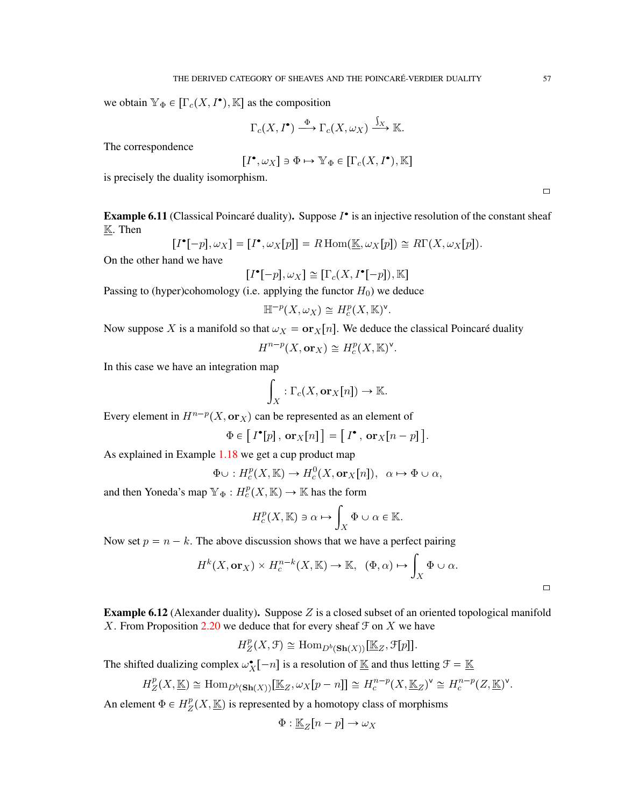we obtain  $\mathbb{Y}_{\Phi} \in [\Gamma_c(X, I^{\bullet}), \mathbb{K}]$  as the composition

$$
\Gamma_c(X, I^{\bullet}) \xrightarrow{\Phi} \Gamma_c(X, \omega_X) \xrightarrow{\int_X} \mathbb{K}.
$$

The correspondence

$$
[I^{\bullet}, \omega_X] \ni \Phi \mapsto \mathbb{Y}_{\Phi} \in [\Gamma_c(X, I^{\bullet}), \mathbb{K}]
$$

is precisely the duality isomorphism.

Example 6.11 (Classical Poincaré duality). Suppose  $I^{\bullet}$  is an injective resolution of the constant sheaf  $K$ . Then

$$
[I^{\bullet}[-p], \omega_X] = [I^{\bullet}, \omega_X[p]] = R \operatorname{Hom}(\underline{\mathbb{K}}, \omega_X[p]) \cong R\Gamma(X, \omega_X[p]).
$$

On the other hand we have

$$
[I^{\bullet}[-p], \omega_X] \cong [\Gamma_c(X, I^{\bullet}[-p]), \mathbb{K}]
$$

Passing to (hyper)cohomology (i.e. applying the functor  $H_0$ ) we deduce

$$
\mathbb{H}^{-p}(X,\omega_X) \cong H^p_c(X,\mathbb{K})^{\mathsf{v}}.
$$

Now suppose X is a manifold so that  $\omega_X = \mathbf{or}_X[n]$ . We deduce the classical Poincaré duality

$$
H^{n-p}(X, \mathbf{or}_X) \cong H^p_c(X, \mathbb{K})^{\mathsf{v}}.
$$

In this case we have an integration map

$$
\int_X : \Gamma_c(X, \mathbf{or}_X[n]) \to \mathbb{K}.
$$

Every element in  $H^{n-p}(X, \text{or}_X)$  can be represented as an element of

$$
\Phi \in [I^{\bullet}[p], \mathbf{or}_X[n]] = [I^{\bullet}, \mathbf{or}_X[n-p]].
$$

As explained in Example [1.18](#page-15-0) we get a cup product map

$$
\Phi \cup : H_c^p(X, \mathbb{K}) \to H_c^0(X, \mathbf{or}_X[n]), \ \alpha \mapsto \Phi \cup \alpha,
$$

and then Yoneda's map  $\mathbb{Y}_{\Phi}: H_c^p(X, \mathbb{K}) \to \mathbb{K}$  has the form

$$
H_c^p(X,\mathbb{K})\ni\alpha\mapsto\int_X\Phi\cup\alpha\in\mathbb{K}.
$$

Now set  $p = n - k$ . The above discussion shows that we have a perfect pairing

$$
H^k(X, \mathbf{or}_X) \times H_c^{n-k}(X, \mathbb{K}) \to \mathbb{K}, \ \ (\Phi, \alpha) \mapsto \int_X \Phi \cup \alpha.
$$

**Example 6.12** (Alexander duality). Suppose  $Z$  is a closed subset of an oriented topological manifold X. From Proposition [2.20](#page-26-0) we deduce that for every sheaf  $\mathcal F$  on  $X$  we have

$$
H_Z^p(X, \mathcal{F}) \cong \text{Hom}_{D^b(\mathbf{Sh}(X))}[\underline{\mathbb{K}}_Z, \mathcal{F}[p]].
$$

The shifted dualizing complex  $\omega_X^{\bullet}[-n]$  is a resolution of  $\underline{\mathbb{K}}$  and thus letting  $\mathcal{F} = \underline{\mathbb{K}}$ 

$$
H^p_Z(X,\underline{\mathbb{K}}) \cong \mathrm{Hom}_{D^b({\mathbf{Sh}}(X))}[\underline{\mathbb{K}}_Z, \omega_X[p-n]] \cong H^{n-p}_c(X,\underline{\mathbb{K}}_Z)^\mathsf{v} \cong H^{n-p}_c(Z,\underline{\mathbb{K}})^\mathsf{v}.
$$

An element  $\Phi \in H_Z^p$  $L_Z^p(X,\underline{\mathbb{K}})$  is represented by a homotopy class of morphisms

$$
\Phi : \underline{\mathbb{K}}_Z[n-p] \to \omega_X
$$

 $\Box$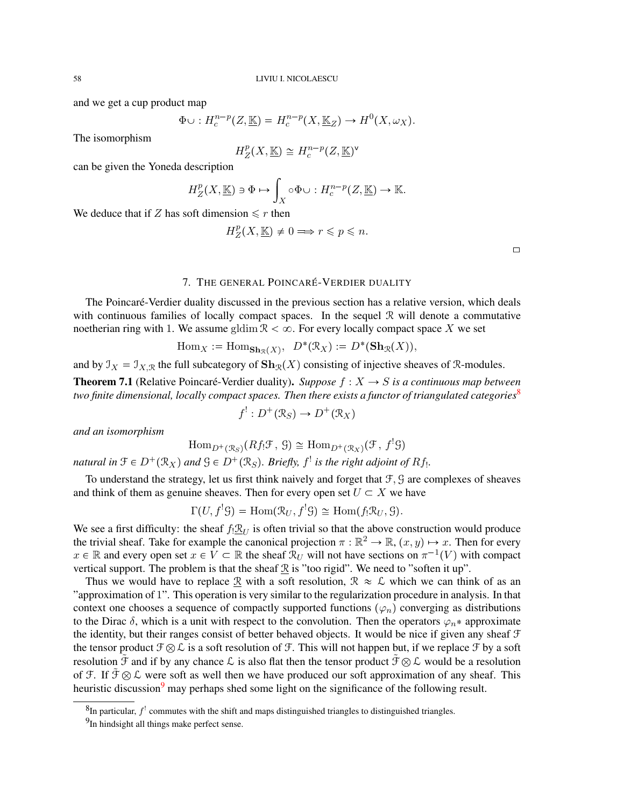and we get a cup product map

$$
\Phi \cup : H_c^{n-p}(Z, \underline{\mathbb{K}}) = H_c^{n-p}(X, \underline{\mathbb{K}}_Z) \to H^0(X, \omega_X).
$$

The isomorphism

$$
H_Z^p(X,\underline{\mathbb{K}}) \cong H_c^{n-p}(Z,\underline{\mathbb{K}})^{\vee}
$$

can be given the Yoneda description

$$
H_Z^p(X, \underline{\mathbb{K}}) \ni \Phi \mapsto \int_X \circ \Phi \cup : H_c^{n-p}(Z, \underline{\mathbb{K}}) \to \mathbb{K}.
$$

We deduce that if Z has soft dimension  $\leq r$  then

$$
H^p_Z(X,\underline{\mathbb{K}}) \neq 0 \Longrightarrow r \leqslant p \leqslant n.
$$

 $\Box$ 

## 7. THE GENERAL POINCARE´-VERDIER DUALITY

The Poincaré-Verdier duality discussed in the previous section has a relative version, which deals with continuous families of locally compact spaces. In the sequel  $\mathcal{R}$  will denote a commutative noetherian ring with 1. We assume gldim  $\mathcal{R} < \infty$ . For every locally compact space X we set

$$
\mathrm{Hom}_X := \mathrm{Hom}_{\mathbf{Sh}_{\mathcal{R}}(X)}, \ \ D^*(\mathcal{R}_X) := D^*(\mathbf{Sh}_{\mathcal{R}}(X)),
$$

and by  $\mathcal{I}_X = \mathcal{I}_{X,\mathcal{R}}$  the full subcategory of  $\mathbf{Sh}_{\mathcal{R}}(X)$  consisting of injective sheaves of R-modules.

**Theorem 7.1** (Relative Poincaré-Verdier duality). Suppose  $f : X \rightarrow S$  is a continuous map between *two finite dimensional, locally compact spaces. Then there exists a functor of triangulated categories*<sup>[8](#page-57-0)</sup>

$$
f^!: D^+(\mathcal{R}_S) \to D^+(\mathcal{R}_X)
$$

*and an isomorphism*

$$
\mathrm{Hom}_{D^+(\mathcal{R}_S)}(Rf_!\mathcal{F},\mathcal{G})\cong \mathrm{Hom}_{D^+(\mathcal{R}_X)}(\mathcal{F},f^!\mathcal{G})
$$

*natural in*  $\mathfrak{F} \in D^+(\mathcal{R}_X)$  and  $\mathfrak{G} \in D^+(\mathcal{R}_S)$ . Briefly,  $f^!$  is the right adjoint of  $Rf_!$ .

To understand the strategy, let us first think naively and forget that  $\mathcal{F}, \mathcal{G}$  are complexes of sheaves and think of them as genuine sheaves. Then for every open set  $U \subset X$  we have

$$
\Gamma(U, f^{!} \mathcal{G}) = \text{Hom}(\mathcal{R}_U, f^{!} \mathcal{G}) \cong \text{Hom}(f_{!} \mathcal{R}_U, \mathcal{G}).
$$

We see a first difficulty: the sheaf  $f_! \mathcal{R}_U$  is often trivial so that the above construction would produce the trivial sheaf. Take for example the canonical projection  $\pi : \mathbb{R}^2 \to \mathbb{R}$ ,  $(x, y) \mapsto x$ . Then for every  $x \in \mathbb{R}$  and every open set  $x \in V \subset \mathbb{R}$  the sheaf  $\mathcal{R}_U$  will not have sections on  $\pi^{-1}(V)$  with compact vertical support. The problem is that the sheaf  $\Re$  is "too rigid". We need to "soften it up".

Thus we would have to replace  $\underline{\mathcal{R}}$  with a soft resolution,  $\mathcal{R} \approx \mathcal{L}$  which we can think of as an "approximation of 1". This operation is very similar to the regularization procedure in analysis. In that context one chooses a sequence of compactly supported functions  $(\varphi_n)$  converging as distributions to the Dirac  $\delta$ , which is a unit with respect to the convolution. Then the operators  $\varphi_n^*$  approximate the identity, but their ranges consist of better behaved objects. It would be nice if given any sheaf F the tensor product  $\mathcal{F} \otimes \mathcal{L}$  is a soft resolution of  $\mathcal{F}$ . This will not happen but, if we replace  $\mathcal{F}$  by a soft resolution  $\tilde{\mathcal{F}}$  and if by any chance  $\mathcal{L}$  is also flat then the tensor product  $\tilde{\mathcal{F}} \otimes \mathcal{L}$  would be a resolution of F. If  $\tilde{\mathcal{F}} \otimes \mathcal{L}$  were soft as well then we have produced our soft approximation of any sheaf. This heuristic discussion<sup>[9](#page-57-1)</sup> may perhaps shed some light on the significance of the following result.

<span id="page-57-0"></span> ${}^{8}$ In particular,  $f'$  commutes with the shift and maps distinguished triangles to distinguished triangles.

<span id="page-57-1"></span><sup>&</sup>lt;sup>9</sup>In hindsight all things make perfect sense.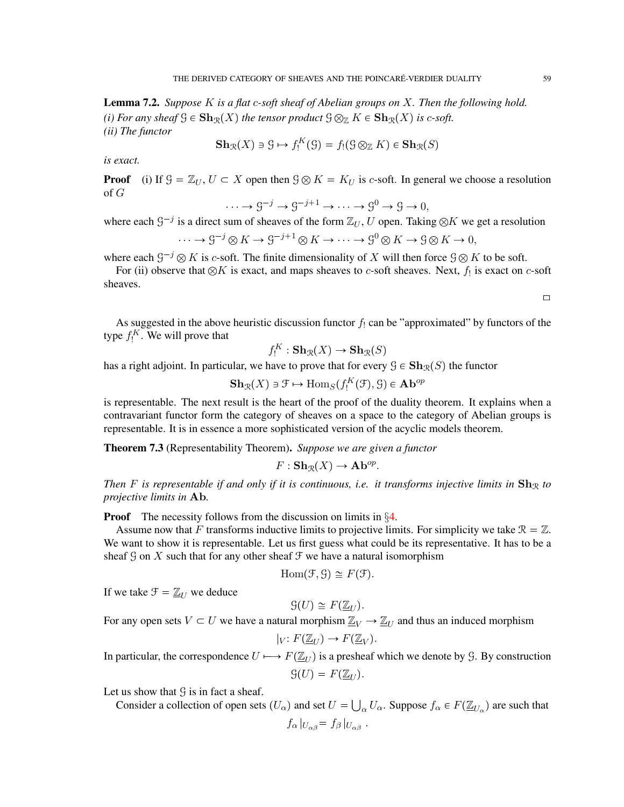Lemma 7.2. *Suppose* K *is a flat* c*-soft sheaf of Abelian groups on* X*. Then the following hold. (i) For any sheaf*  $\mathcal{G} \in \mathbf{Sh}_{\mathcal{R}}(X)$  *the tensor product*  $\mathcal{G} \otimes_{\mathbb{Z}} K \in \mathbf{Sh}_{\mathcal{R}}(X)$  *is c-soft. (ii) The functor*

$$
\mathbf{Sh}_{\mathcal{R}}(X) \ni \mathcal{G} \mapsto f_!^K(\mathcal{G}) = f_!(\mathcal{G} \otimes_{\mathbb{Z}} K) \in \mathbf{Sh}_{\mathcal{R}}(S)
$$

*is exact.*

**Proof** (i) If  $\mathcal{G} = \mathbb{Z}_U$ ,  $U \subset X$  open then  $\mathcal{G} \otimes K = K_U$  is c-soft. In general we choose a resolution of G

$$
\cdots \to \mathcal{G}^{-j} \to \mathcal{G}^{-j+1} \to \cdots \to \mathcal{G}^0 \to \mathcal{G} \to 0,
$$

where each  $G^{-j}$  is a direct sum of sheaves of the form  $\mathbb{Z}_U$ , U open. Taking  $\otimes K$  we get a resolution

$$
\cdots \to \mathcal{G}^{-j} \otimes K \to \mathcal{G}^{-j+1} \otimes K \to \cdots \to \mathcal{G}^0 \otimes K \to \mathcal{G} \otimes K \to 0,
$$

where each  $\mathcal{G}^{-j} \otimes K$  is c-soft. The finite dimensionality of X will then force  $\mathcal{G} \otimes K$  to be soft.

For (ii) observe that  $\otimes K$  is exact, and maps sheaves to c-soft sheaves. Next,  $f_!$  is exact on c-soft sheaves.

 $\Box$ 

As suggested in the above heuristic discussion functor  $f_1$  can be "approximated" by functors of the type  $f_!^K$ . We will prove that

$$
f_!^K : \mathbf{Sh}_{\mathcal{R}}(X) \to \mathbf{Sh}_{\mathcal{R}}(S)
$$

has a right adjoint. In particular, we have to prove that for every  $\mathcal{G} \in \mathbf{Sh}_{\mathcal{R}}(S)$  the functor

 $\mathbf{Sh}_{\mathcal{R}}(X) \ni \mathcal{F} \mapsto \text{Hom}_{S}(f_{!}^{K}(\mathcal{F}), \mathcal{G}) \in \mathbf{Ab}^{op}$ 

is representable. The next result is the heart of the proof of the duality theorem. It explains when a contravariant functor form the category of sheaves on a space to the category of Abelian groups is representable. It is in essence a more sophisticated version of the acyclic models theorem.

Theorem 7.3 (Representability Theorem). *Suppose we are given a functor*

$$
F: \mathbf{Sh}_{\mathcal{R}}(X) \to \mathbf{Ab}^{op}.
$$

*Then* F is representable if and only if it is continuous, i.e. it transforms injective limits in  $\mathbf{Sh}_{\mathcal{R}}$  to *projective limits in* Ab*.*

**Proof** The necessity follows from the discussion on limits in §[4.](#page-35-0)

Assume now that F transforms inductive limits to projective limits. For simplicity we take  $\mathcal{R} = \mathbb{Z}$ . We want to show it is representable. Let us first guess what could be its representative. It has to be a sheaf  $\mathcal G$  on X such that for any other sheaf  $\mathcal F$  we have a natural isomorphism

$$
Hom(\mathcal{F}, \mathcal{G}) \cong F(\mathcal{F}).
$$

If we take  $\mathcal{F} = \mathbb{Z}_U$  we deduce

$$
\mathcal{G}(U) \cong F(\underline{\mathbb{Z}}_U).
$$

For any open sets  $V \subset U$  we have a natural morphism  $\underline{\mathbb{Z}}_V \to \underline{\mathbb{Z}}_U$  and thus an induced morphism

$$
|_V: F(\underline{\mathbb{Z}}_U) \to F(\underline{\mathbb{Z}}_V).
$$

In particular, the correspondence  $U \mapsto F(\mathbb{Z}_U)$  is a presheaf which we denote by G. By construction  $\mathcal{G}(U) = F(\mathbb{Z}_{U}).$ 

Let us show that  $\mathcal G$  is in fact a sheaf.

Consider a collection of open sets  $(U_\alpha)$  and set  $U = \bigcup_\alpha U_\alpha$ . Suppose  $f_\alpha \in F(\underline{\mathbb{Z}}_{U_\alpha})$  are such that  $f_{\alpha}|_{U_{\alpha\beta}} = f_{\beta}|_{U_{\alpha\beta}}$ .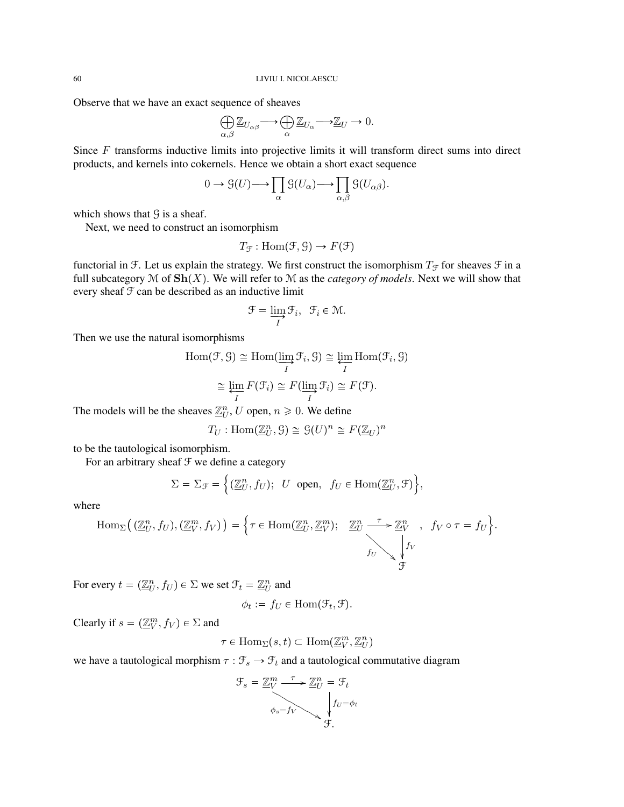Observe that we have an exact sequence of sheaves

$$
\bigoplus_{\alpha,\beta} \underline{\mathbb{Z}}_{U_{\alpha\beta}} \longrightarrow \bigoplus_{\alpha} \underline{\mathbb{Z}}_{U_{\alpha}} \longrightarrow \underline{\mathbb{Z}}_{U} \longrightarrow 0.
$$

Since F transforms inductive limits into projective limits it will transform direct sums into direct products, and kernels into cokernels. Hence we obtain a short exact sequence

$$
0 \to \mathcal{G}(U) \longrightarrow \prod_{\alpha} \mathcal{G}(U_{\alpha}) \longrightarrow \prod_{\alpha, \beta} \mathcal{G}(U_{\alpha \beta}).
$$

which shows that  $\mathcal G$  is a sheaf.

Next, we need to construct an isomorphism

$$
T_{\mathcal{F}} : \text{Hom}(\mathcal{F}, \mathcal{G}) \to F(\mathcal{F})
$$

functorial in F. Let us explain the strategy. We first construct the isomorphism  $T_f$  for sheaves  $\mathcal F$  in a full subcategory  $\mathcal M$  of  $\mathbf{Sh}(X)$ . We will refer to  $\mathcal M$  as the *category of models*. Next we will show that every sheaf F can be described as an inductive limit

$$
\mathcal{F}=\varinjlim_{I}\mathcal{F}_{i},\ \ \mathcal{F}_{i}\in\mathcal{M}.
$$

Then we use the natural isomorphisms

$$
\text{Hom}(\mathcal{F}, \mathcal{G}) \cong \text{Hom}(\varinjlim_{I} \mathcal{F}_{i}, \mathcal{G}) \cong \varprojlim_{I} \text{Hom}(\mathcal{F}_{i}, \mathcal{G})
$$
\n
$$
\cong \varprojlim_{I} F(\mathcal{F}_{i}) \cong F(\varinjlim_{I} \mathcal{F}_{i}) \cong F(\mathcal{F}).
$$

The models will be the sheaves  $\underline{\mathbb{Z}}_U^n$ , U open,  $n \geq 0$ . We define

$$
T_U: \text{Hom}(\underline{\mathbb{Z}}_U^n, \mathcal{G}) \cong \mathcal{G}(U)^n \cong F(\underline{\mathbb{Z}}_U)^n
$$

to be the tautological isomorphism.

For an arbitrary sheaf  $\mathcal F$  we define a category

$$
\Sigma = \Sigma_{\mathcal{F}} = \left\{ (\underline{\mathbb{Z}}_U^n, f_U); \ U \text{ open}, \ f_U \in \text{Hom}(\underline{\mathbb{Z}}_U^n, \mathcal{F}) \right\},\
$$

where

$$
\operatorname{Hom}_{\Sigma}\left((\underline{\mathbb{Z}}_U^n, f_U), (\underline{\mathbb{Z}}_V^m, f_V)\right) = \left\{\tau \in \operatorname{Hom}(\underline{\mathbb{Z}}_U^n, \underline{\mathbb{Z}}_V^m); \quad \underline{\mathbb{Z}}_U^n \xrightarrow{\tau} \underline{\mathbb{Z}}_V^n, \quad f_V \circ \tau = f_U\right\}.
$$
\n
$$
\text{Hom}_{\Sigma}\left((\underline{\mathbb{Z}}_U^n, f_U), (\underline{\mathbb{Z}}_V^m, f_V)\right) = \left\{\tau \in \operatorname{Hom}(\underline{\mathbb{Z}}_U^n, \underline{\mathbb{Z}}_V^m); \quad \underline{\mathbb{Z}}_U^n \xrightarrow{f} \underline{\mathbb{Z}}_V^n, \quad f_V \circ \tau = f_U\right\}.
$$

For every  $t = (\underline{\mathbb{Z}}_U^n, f_U) \in \Sigma$  we set  $\mathcal{F}_t = \underline{\mathbb{Z}}_U^n$  and

$$
\phi_t := f_U \in \text{Hom}(\mathcal{F}_t, \mathcal{F}).
$$

Clearly if  $s = (\underline{\mathbb{Z}}_V^m, f_V) \in \Sigma$  and

$$
\tau \in \text{Hom}_{\Sigma}(s, t) \subset \text{Hom}(\underline{\mathbb{Z}}_V^m, \underline{\mathbb{Z}}_U^n)
$$

we have a tautological morphism  $\tau : \mathcal{F}_s \to \mathcal{F}_t$  and a tautological commutative diagram

$$
\mathcal{F}_s = \underbrace{\mathbb{Z}_V^m \xrightarrow{\tau} \mathbb{Z}_U^n}_{\phi_s = f_V} = \mathcal{F}_t
$$
\n
$$
\downarrow f_U = \phi_t
$$
\n
$$
\mathcal{F}.
$$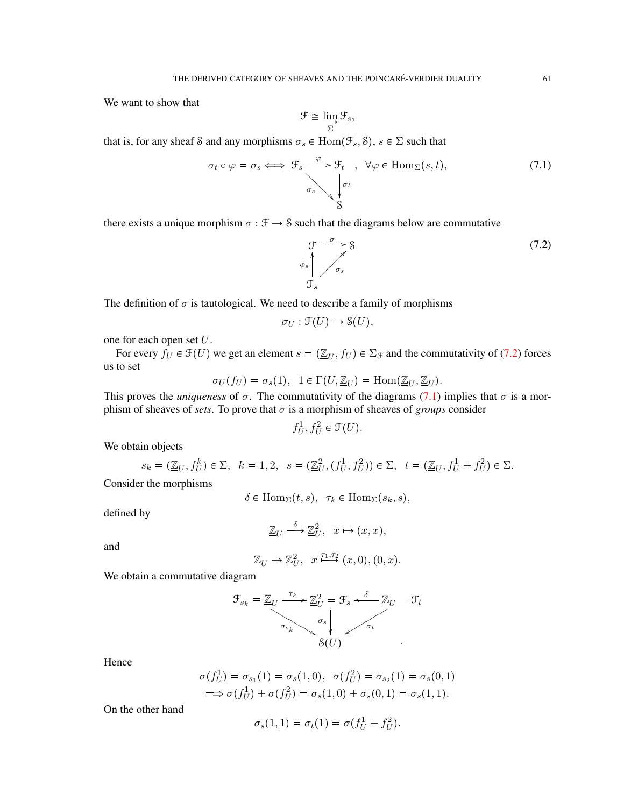We want to show that

$$
\mathcal{F} \cong \varinjlim_\Sigma \mathcal{F}_s,
$$

that is, for any sheaf S and any morphisms  $\sigma_s \in \text{Hom}(\mathcal{F}_s, \mathcal{S})$ ,  $s \in \Sigma$  such that

<span id="page-60-1"></span>
$$
\sigma_t \circ \varphi = \sigma_s \iff \mathcal{F}_s \xrightarrow{\varphi} \mathcal{F}_t , \quad \forall \varphi \in \text{Hom}_{\Sigma}(s, t),
$$
\n
$$
\sigma_s \searrow \begin{cases} \sigma_t \\ \varphi_t \\ \varphi \end{cases} \tag{7.1}
$$

there exists a unique morphism  $\sigma : \mathcal{F} \to \mathcal{S}$  such that the diagrams below are commutative

<span id="page-60-0"></span>
$$
\begin{array}{ccc}\n\mathfrak{F} & \sigma & & \rightarrow \mathcal{S} \\
\phi_s & & \nearrow & \sigma_s \\
\mathfrak{F}_s & & & \n\end{array} \tag{7.2}
$$

The definition of  $\sigma$  is tautological. We need to describe a family of morphisms

$$
\sigma_U : \mathfrak{F}(U) \to \mathfrak{S}(U),
$$

one for each open set U.

For every  $f_U \in \mathcal{F}(U)$  we get an element  $s = (\mathbb{Z}_U, f_U) \in \Sigma_{\mathcal{F}}$  and the commutativity of [\(7.2\)](#page-60-0) forces us to set

$$
\sigma_U(f_U) = \sigma_s(1), \ \ 1 \in \Gamma(U, \underline{\mathbb{Z}}_U) = \text{Hom}(\underline{\mathbb{Z}}_U, \underline{\mathbb{Z}}_U).
$$

This proves the *uniqueness* of  $\sigma$ . The commutativity of the diagrams [\(7.1\)](#page-60-1) implies that  $\sigma$  is a morphism of sheaves of *sets*. To prove that  $\sigma$  is a morphism of sheaves of *groups* consider

$$
f_U^1, f_U^2 \in \mathcal{F}(U).
$$

We obtain objects

$$
s_k = (\underline{\mathbb{Z}}_U, f_U^k) \in \Sigma, \ \ k = 1, 2, \ \ s = (\underline{\mathbb{Z}}_U^2, (f_U^1, f_U^2)) \in \Sigma, \ \ t = (\underline{\mathbb{Z}}_U, f_U^1 + f_U^2) \in \Sigma.
$$
 Consider the morphisms

$$
\delta \in \text{Hom}_{\Sigma}(t,s), \ \ \tau_k \in \text{Hom}_{\Sigma}(s_k,s),
$$

defined by

$$
\underline{\mathbb{Z}}_U \xrightarrow{\delta} \underline{\mathbb{Z}}_U^2, \quad x \mapsto (x, x),
$$

and

$$
\underline{\mathbb{Z}}_U \to \underline{\mathbb{Z}}_U^2, \quad x \stackrel{\tau_1, \tau_2}{\longmapsto} (x, 0), (0, x).
$$

We obtain a commutative diagram

$$
\mathcal{F}_{s_k} = \underline{\mathbb{Z}}_U \xrightarrow{\tau_k} \underline{\mathbb{Z}}_U^2 = \mathcal{F}_s \xleftarrow{\delta} \underline{\mathbb{Z}}_U = \mathcal{F}_t
$$
\n
$$
\sigma_{s_k} \searrow \sigma_s
$$
\n
$$
\mathcal{S}(U) \qquad \qquad \mathcal{F}_{t}
$$

Hence

$$
\sigma(f_U^1) = \sigma_{s_1}(1) = \sigma_s(1,0), \ \ \sigma(f_U^2) = \sigma_{s_2}(1) = \sigma_s(0,1) \n \implies \sigma(f_U^1) + \sigma(f_U^2) = \sigma_s(1,0) + \sigma_s(0,1) = \sigma_s(1,1).
$$

On the other hand

$$
\sigma_s(1,1) = \sigma_t(1) = \sigma(f_U^1 + f_U^2).
$$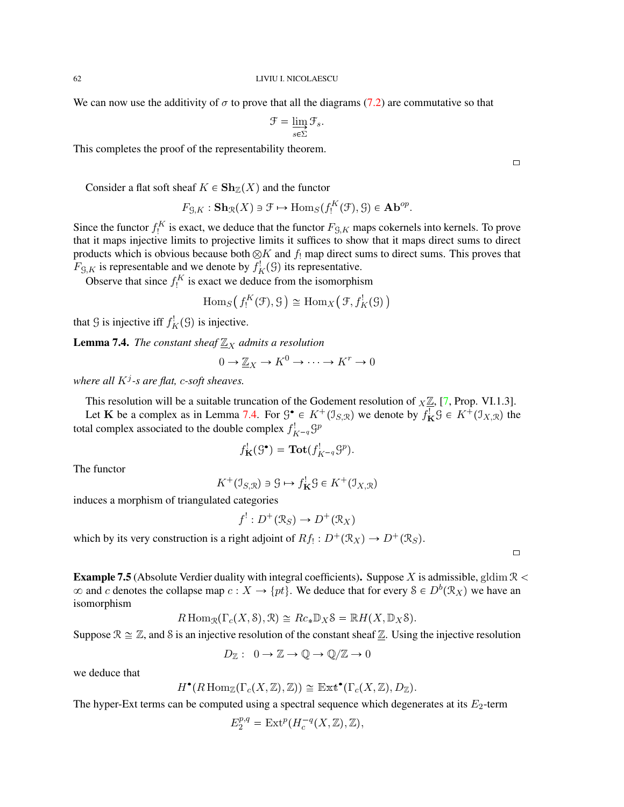We can now use the additivity of  $\sigma$  to prove that all the diagrams [\(7.2\)](#page-60-0) are commutative so that

$$
\mathcal{F} = \varinjlim_{s \in \Sigma} \mathcal{F}_s.
$$

This completes the proof of the representability theorem.

Consider a flat soft sheaf  $K \in \mathbf{Sh}_{\mathbb{Z}}(X)$  and the functor

$$
F_{\mathcal{G},K}: \mathbf{Sh}_{\mathcal{R}}(X) \ni \mathcal{F} \mapsto \mathrm{Hom}_S(f_!^K(\mathcal{F}), \mathcal{G}) \in \mathbf{Ab}^{op}.
$$

Since the functor  $f_1^K$  is exact, we deduce that the functor  $F_{\mathcal{G},K}$  maps cokernels into kernels. To prove that it maps injective limits to projective limits it suffices to show that it maps direct sums to direct products which is obvious because both  $\otimes K$  and  $f_!$  map direct sums to direct sums. This proves that  $F_{\mathcal{G},K}$  is representable and we denote by  $f_K^!(\mathcal{G})$  its representative.

Observe that since  $f_!^K$  is exact we deduce from the isomorphism

$$
\mathrm{Hom}_S(f_!^K(\mathcal{F}), \mathcal{G}) \cong \mathrm{Hom}_X(\mathcal{F}, f_K^!(\mathcal{G}))
$$

that  $\mathcal G$  is injective iff  $f^!_K(\mathcal G)$  is injective.

<span id="page-61-0"></span>**Lemma 7.4.** *The constant sheaf*  $\underline{\mathbb{Z}}_X$  *admits a resolution* 

$$
0 \to \underline{\mathbb{Z}}_X \to K^0 \to \cdots \to K^r \to 0
$$

*where all* K<sup>j</sup> *-s are flat,* c*-soft sheaves.*

This resolution will be a suitable truncation of the Godement resolution of  $X\mathbb{Z}$ , [\[7,](#page-71-6) Prop. VI.1.3].

Let K be a complex as in Lemma [7.4.](#page-61-0) For  $\mathcal{G}^{\bullet} \in K^+(\mathcal{I}_{S,\mathcal{R}})$  we denote by  $f^!_K \mathcal{G} \in K^+(\mathcal{I}_{X,\mathcal{R}})$  the total complex associated to the double complex  $f_{K-q}^! \mathcal{G}^p$ 

$$
f_{\mathbf{K}}^!(\mathcal{G}^{\bullet}) = \mathbf{Tot}(f_{K^{-q}}^!\mathcal{G}^p).
$$

The functor

$$
K^+(\mathcal{I}_{S,\mathcal{R}}) \ni \mathcal{G} \mapsto f^!_{\mathbf{K}}\mathcal{G} \in K^+(\mathcal{I}_{X,\mathcal{R}})
$$

induces a morphism of triangulated categories

$$
f^!: D^+(\mathcal{R}_S) \to D^+(\mathcal{R}_X)
$$

which by its very construction is a right adjoint of  $Rf_! : D^+(\mathcal{R}_X) \to D^+(\mathcal{R}_S)$ .

**Example 7.5** (Absolute Verdier duality with integral coefficients). Suppose X is admissible, gldim  $\mathbb{R}$  <  $\infty$  and c denotes the collapse map  $c: X \to \{pt\}$ . We deduce that for every  $S \in D^b(\mathcal{R}_X)$  we have an isomorphism

$$
R\operatorname{Hom}_{\mathcal{R}}(\Gamma_c(X,\mathcal{S}),\mathcal{R})\cong Rc_*\mathbb{D}_X\mathcal{S}=\mathbb{R}H(X,\mathbb{D}_X\mathcal{S}).
$$

Suppose  $\mathcal{R} \cong \mathbb{Z}$ , and S is an injective resolution of the constant sheaf  $\mathbb{Z}$ . Using the injective resolution

$$
D_{\mathbb{Z}}: 0 \to \mathbb{Z} \to \mathbb{Q} \to \mathbb{Q}/\mathbb{Z} \to 0
$$

we deduce that

$$
H^{\bullet}(R\operatorname{Hom}_{\mathbb{Z}}(\Gamma_c(X,\mathbb{Z}),\mathbb{Z})) \cong \operatorname{Ext}^{\bullet}(\Gamma_c(X,\mathbb{Z}),D_{\mathbb{Z}}).
$$

The hyper-Ext terms can be computed using a spectral sequence which degenerates at its  $E_2$ -term

$$
E_2^{p,q} = \mathrm{Ext}^p(H^{-q}_c(X,\mathbb{Z}),\mathbb{Z}),
$$

 $\Box$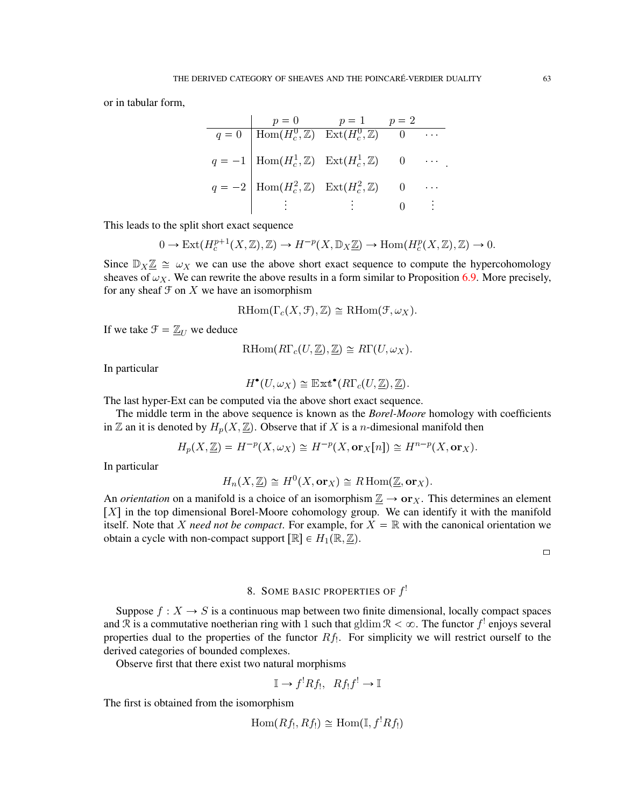or in tabular form,

$$
q = 0 \quad \text{Hom}(H_c^0, \mathbb{Z}) \quad \text{Ext}(H_c^0, \mathbb{Z}) \quad 0 \quad \cdots
$$
\n
$$
q = -1 \quad \text{Hom}(H_c^1, \mathbb{Z}) \quad \text{Ext}(H_c^1, \mathbb{Z}) \quad 0 \quad \cdots
$$
\n
$$
q = -2 \quad \text{Hom}(H_c^2, \mathbb{Z}) \quad \text{Ext}(H_c^2, \mathbb{Z}) \quad 0 \quad \cdots
$$
\n
$$
\vdots \quad \vdots \quad 0 \quad \vdots
$$

This leads to the split short exact sequence

$$
0 \to \mathrm{Ext}(H^{p+1}_c(X,\mathbb{Z}),\mathbb{Z}) \to H^{-p}(X,\mathbb{D}_X \underline{\mathbb{Z}}) \to \mathrm{Hom}(H^p_c(X,\mathbb{Z}),\mathbb{Z}) \to 0.
$$

Since  $\mathbb{D}_X \mathbb{Z} \cong \omega_X$  we can use the above short exact sequence to compute the hypercohomology sheaves of  $\omega_X$ . We can rewrite the above results in a form similar to Proposition [6.9.](#page-54-1) More precisely, for any sheaf  $\mathcal F$  on  $X$  we have an isomorphism

$$
\mathrm{RHom}(\Gamma_c(X,\mathcal{F}),\mathbb{Z})\cong\mathrm{RHom}(\mathcal{F},\omega_X).
$$

If we take  $\mathcal{F} = \mathbb{Z}_U$  we deduce

$$
\mathrm{RHom}(R\Gamma_c(U,\underline{\mathbb{Z}}),\underline{\mathbb{Z}})\cong R\Gamma(U,\omega_X).
$$

In particular

$$
H^{\bullet}(U,\omega_X) \cong \mathbb{E}{\tt xt}^{\bullet}(R\Gamma_c(U,\underline{\mathbb{Z}}),\underline{\mathbb{Z}}).
$$

The last hyper-Ext can be computed via the above short exact sequence.

The middle term in the above sequence is known as the *Borel-Moore* homology with coefficients in Z an it is denoted by  $H_p(X, \underline{\mathbb{Z}})$ . Observe that if X is a *n*-dimesional manifold then

$$
H_p(X, \underline{\mathbb{Z}}) = H^{-p}(X, \omega_X) \cong H^{-p}(X, \mathbf{or}_X[n]) \cong H^{n-p}(X, \mathbf{or}_X).
$$

In particular

$$
H_n(X, \underline{\mathbb{Z}}) \cong H^0(X, \mathbf{or}_X) \cong R \operatorname{Hom}(\underline{\mathbb{Z}}, \mathbf{or}_X).
$$

An *orientation* on a manifold is a choice of an isomorphism  $\underline{\mathbb{Z}} \to \mathbf{or}_X$ . This determines an element  $[X]$  in the top dimensional Borel-Moore cohomology group. We can identify it with the manifold itself. Note that X need not be compact. For example, for  $X = \mathbb{R}$  with the canonical orientation we obtain a cycle with non-compact support  $[\mathbb{R}] \in H_1(\mathbb{R}, \mathbb{Z})$ .

 $\Box$ 

# 8. SOME BASIC PROPERTIES OF  $f'$

Suppose  $f: X \to S$  is a continuous map between two finite dimensional, locally compact spaces and  $\Re$  is a commutative noetherian ring with 1 such that gldim  $\Re$  <  $\infty$ . The functor  $f^!$  enjoys several properties dual to the properties of the functor  $Rf$ . For simplicity we will restrict ourself to the derived categories of bounded complexes.

Observe first that there exist two natural morphisms

$$
\mathbb{I} \to f^! R f_!, \ R f_! f^! \to \mathbb{I}
$$

The first is obtained from the isomorphism

$$
\operatorname{Hom}(Rf_!,Rf_!)\cong \operatorname{Hom}(\mathbb{I},f^!Rf_!)
$$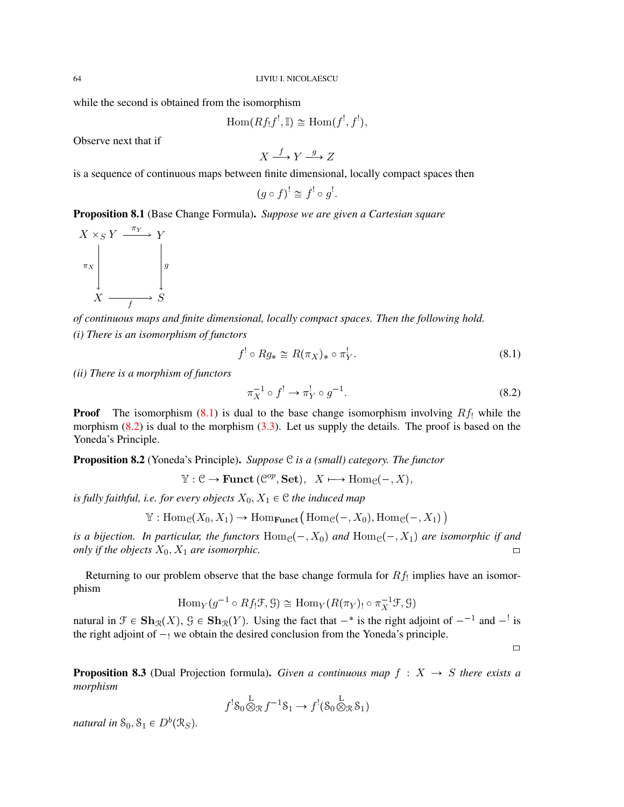while the second is obtained from the isomorphism

 $\text{Hom}(Rf_!f^!, \mathbb{I}) \cong \text{Hom}(f^!, f^!),$ 

Observe next that if

$$
X \xrightarrow{f} Y \xrightarrow{g} Z
$$

is a sequence of continuous maps between finite dimensional, locally compact spaces then

$$
(g \circ f)^! \cong f^! \circ g^!.
$$

Proposition 8.1 (Base Change Formula). *Suppose we are given a Cartesian square*



*of continuous maps and finite dimensional, locally compact spaces. Then the following hold. (i) There is an isomorphism of functors*

<span id="page-63-0"></span>
$$
f^! \circ Rg_* \cong R(\pi_X)_* \circ \pi_Y^!.
$$
 (8.1)

*(ii) There is a morphism of functors*

<span id="page-63-1"></span>
$$
\pi_X^{-1} \circ f^! \to \pi_Y^! \circ g^{-1}.\tag{8.2}
$$

**Proof** The isomorphism [\(8.1\)](#page-63-0) is dual to the base change isomorphism involving  $Rf_1$  while the morphism  $(8.2)$  is dual to the morphism  $(3.3)$ . Let us supply the details. The proof is based on the Yoneda's Principle.

Proposition 8.2 (Yoneda's Principle). *Suppose* C *is a (small) category. The functor*

 $\mathbb{Y}: \mathcal{C} \to \text{Funct} \,(\mathcal{C}^{op}, \textbf{Set}), \ X \longmapsto \text{Hom}_{\mathcal{C}}(-, X),$ 

*is fully faithful, i.e. for every objects*  $X_0, X_1 \in \mathcal{C}$  *the induced map* 

$$
\mathbb{Y}: \mathrm{Hom}_{\mathcal{C}}(X_0, X_1) \to \mathrm{Hom}_{\mathbf{Funct}}\big(\mathrm{Hom}_{\mathcal{C}}(-, X_0), \mathrm{Hom}_{\mathcal{C}}(-, X_1)\big)
$$

*is a bijection. In particular, the functors*  $Hom_{\mathcal{C}}(-, X_0)$  *and*  $Hom_{\mathcal{C}}(-, X_1)$  *are isomorphic if and only if the objects*  $X_0, X_1$  *are isomorphic.*  $\Box$ 

Returning to our problem observe that the base change formula for  $Rf_1$  implies have an isomorphism

$$
\mathrm{Hom}_Y(g^{-1}\circ Rf_!\mathcal{F},\mathcal{G})\cong \mathrm{Hom}_Y(R(\pi_Y)_!\circ \pi_X^{-1}\mathcal{F},\mathcal{G})
$$

natural in  $\mathcal{F} \in \mathbf{Sh}_{\mathcal{R}}(X)$ ,  $\mathcal{G} \in \mathbf{Sh}_{\mathcal{R}}(Y)$ . Using the fact that  $-\ast$  is the right adjoint of  $-\ast$  and  $-\ast$  is the right adjoint of  $-$  we obtain the desired conclusion from the Yoneda's principle.

 $\Box$ 

**Proposition 8.3** (Dual Projection formula). *Given a continuous map*  $f : X \rightarrow S$  *there exists a morphism*

$$
f^!S_0 \overset{\mathcal{L}}{\otimes}_{\mathcal{R}} f^{-1}S_1 \to f^! (S_0 \overset{\mathcal{L}}{\otimes}_{\mathcal{R}} S_1)
$$

*natural in*  $S_0, S_1 \in D^b(\mathcal{R}_S)$ .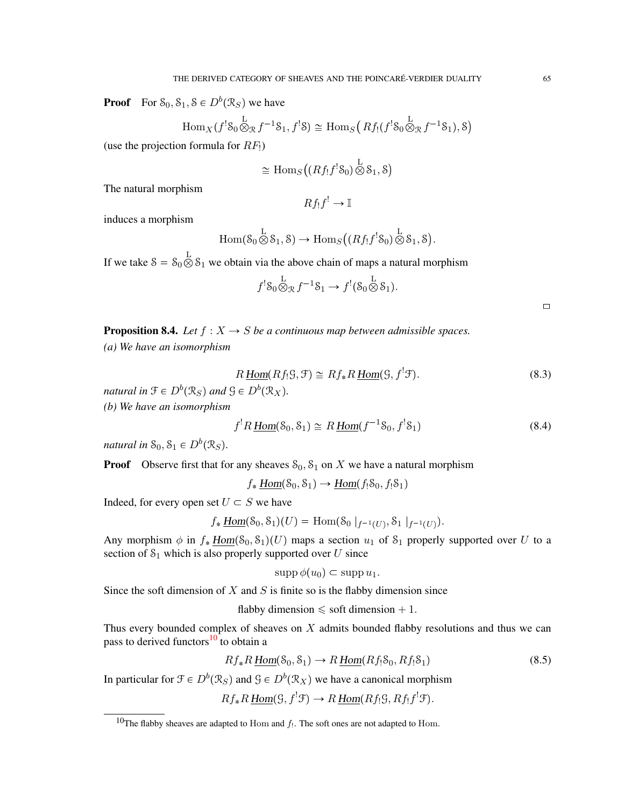**Proof** For  $S_0, S_1, S \in D^b(\mathcal{R}_S)$  we have

$$
\operatorname{Hom}_{X}(f^{!}S_{0}\overset{\mathbf{L}}{\otimes}_{\mathcal{R}}f^{-1}S_{1},f^{!}S)\cong \operatorname{Hom}_{S}(Rf_{!}(f^{!}S_{0}\overset{\mathbf{L}}{\otimes}_{\mathcal{R}}f^{-1}S_{1}),S)
$$

(use the projection formula for  $RF_1$ )

$$
\cong \mathrm{Hom}_S\big((Rf_!f^!S_0)\overset{\mathbf{L}}{\otimes} \mathbf{S}_1,\mathbf{S}\big)
$$

The natural morphism

$$
Rf_!f^! \to \mathbb{I}
$$

induces a morphism

$$
\mathrm{Hom}(\mathcal{S}_0 \overset{\mathbf{L}}{\otimes} \mathcal{S}_1, \mathcal{S}) \to \mathrm{Hom}_S\big((Rf_!f^! \mathcal{S}_0) \overset{\mathbf{L}}{\otimes} \mathcal{S}_1, \mathcal{S}\big).
$$

If we take  $S = S_0 \otimes S_1$  we obtain via the above chain of maps a natural morphism

$$
f^! \mathcal{S}_0 \overset{\mathcal{L}}{\otimes}_{\mathcal{R}} f^{-1} \mathcal{S}_1 \to f^! (\mathcal{S}_0 \overset{\mathcal{L}}{\otimes} \mathcal{S}_1).
$$

 $\Box$ 

**Proposition 8.4.** *Let*  $f : X \rightarrow S$  *be a continuous map between admissible spaces. (a) We have an isomorphism*

$$
R\underline{\text{Hom}}(Rf_!S, \mathcal{F}) \cong Rf_*R\underline{\text{Hom}}(S, f^!\mathcal{F}).\tag{8.3}
$$

*natural in*  $\mathfrak{F} \in D^b(\mathfrak{R}_S)$  and  $\mathfrak{G} \in D^b(\mathfrak{R}_X)$ .

*(b) We have an isomorphism*

<span id="page-64-1"></span>
$$
f^!R\underline{Hom}(\mathcal{S}_0,\mathcal{S}_1)\cong R\underline{Hom}(f^{-1}\mathcal{S}_0,f^!\mathcal{S}_1)
$$
\n(8.4)

*natural in*  $S_0, S_1 \in D^b(\mathcal{R}_S)$ .

**Proof** Observe first that for any sheaves  $S_0$ ,  $S_1$  on X we have a natural morphism

 $f_*$  Hom $(\mathcal{S}_0, \mathcal{S}_1) \rightarrow$  Hom $(f_! \mathcal{S}_0, f_! \mathcal{S}_1)$ 

Indeed, for every open set  $U \subset S$  we have

 $f_* \underline{\text{Hom}}(\mathcal{S}_0, \mathcal{S}_1)(U) = \text{Hom}(\mathcal{S}_0 |_{f^{-1}(U)}, \mathcal{S}_1 |_{f^{-1}(U)}).$ 

Any morphism  $\phi$  in  $f_* \underline{Hom}(S_0, S_1)(U)$  maps a section  $u_1$  of  $S_1$  properly supported over U to a section of  $S_1$  which is also properly supported over U since

 $\text{supp}\ \phi(u_0) \subset \text{supp}\ u_1.$ 

Since the soft dimension of  $X$  and  $S$  is finite so is the flabby dimension since

flabby dimension  $\le$  soft dimension  $+1$ .

Thus every bounded complex of sheaves on  $X$  admits bounded flabby resolutions and thus we can pass to derived functors $10$  to obtain a

$$
Rf_*R\underline{\text{Hom}}(\mathcal{S}_0, \mathcal{S}_1) \to R\underline{\text{Hom}}(Rf_!\mathcal{S}_0, Rf_!\mathcal{S}_1) \tag{8.5}
$$

In particular for  $\mathcal{F} \in D^b(\mathcal{R}_S)$  and  $\mathcal{G} \in D^b(\mathcal{R}_X)$  we have a canonical morphism

 $Rf_*R\underline{Hom}(\mathcal{G}, f^!\mathcal{F}) \to R\underline{Hom}(Rf_!\mathcal{G}, Rf_!\overline{f}^!\mathcal{F}).$ 

<span id="page-64-0"></span><sup>&</sup>lt;sup>10</sup>The flabby sheaves are adapted to Hom and  $f_1$ . The soft ones are not adapted to Hom.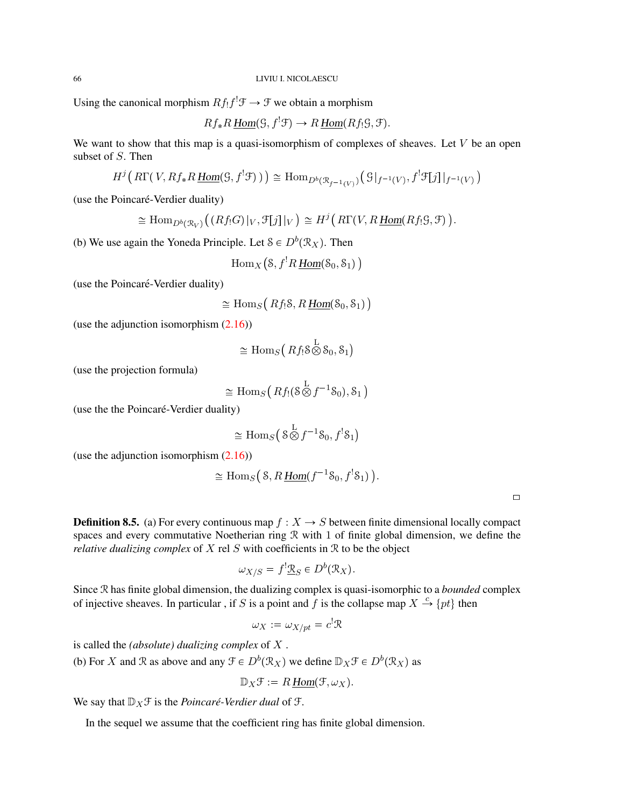Using the canonical morphism  $Rf_!f^! \mathcal{F} \to \mathcal{F}$  we obtain a morphism

$$
Rf_*R\underline{Hom}(\mathcal{G},f^!\mathcal{F})\to R\underline{Hom}(Rf_!\mathcal{G},\mathcal{F}).
$$

We want to show that this map is a quasi-isomorphism of complexes of sheaves. Let  $V$  be an open subset of S. Then

$$
H^j\big(\,R\Gamma(\,V,Rf_*R\,\underline{\text{Hom}}(\mathcal{G},f^!\mathcal{F})\,)\,\big)\,\cong\,\mathrm{Hom}_{D^b(\mathcal{R}_{f^{-1}(V)})}\big(\,\mathcal{G}\,\big|_{f^{-1}(V)},f^!\mathcal{F}[j]\,\big|_{f^{-1}(V)}\,\big)
$$

(use the Poincaré-Verdier duality)

$$
\cong \mathrm{Hom}_{D^b(\mathcal{R}_V)}\big((Rf_!G)|_V, \mathcal{F}[j]|_V\big) \cong H^j\big(R\Gamma(V, R\underline{\mathrm{Hom}}(Rf_!g, \mathcal{F})\big).
$$

(b) We use again the Yoneda Principle. Let  $S \in D^b(\mathcal{R}_X)$ . Then

$$
\mathrm{Hom}_X\big( \mathcal{S}, f^!R \,\underline{\mathrm{Hom}}(\mathcal{S}_0,\mathcal{S}_1) \,\big)
$$

(use the Poincaré-Verdier duality)

$$
\cong \mathrm{Hom}_S\big(Rf_!\mathcal{S}, R\underline{\mathrm{Hom}}(\mathcal{S}_0, \mathcal{S}_1)\big)
$$

(use the adjunction isomorphism [\(2.16\)](#page-29-0))

$$
\cong \mathrm{Hom}_S\left(\,Rf_!\,\mathcal{S}\bigotimes^{\mathrm{L}}\mathcal{S}_0,\mathcal{S}_1\right)
$$

(use the projection formula)

$$
\cong \mathrm{Hom}_S\big(Rf_!(\mathcal{S}\overset{\mathrm{L}}{\otimes} f^{-1}\mathcal{S}_0),\mathcal{S}_1\big)
$$

(use the the Poincaré-Verdier duality)

$$
\cong \operatorname{Hom}_S\big(\, 8\bigotimes^{\mathrm{L}} f^{-1}8_0, f^!\mathcal{S}_1\big)
$$

(use the adjunction isomorphism  $(2.16)$ )

$$
\cong \operatorname{Hom}_S(S, R \underline{\operatorname{Hom}}(f^{-1} \mathcal{S}_0, f^! \mathcal{S}_1)).
$$

| ۰ |  |
|---|--|
|   |  |
|   |  |

**Definition 8.5.** (a) For every continuous map  $f : X \to S$  between finite dimensional locally compact spaces and every commutative Noetherian ring R with 1 of finite global dimension, we define the *relative dualizing complex* of X rel S with coefficients in R to be the object

$$
\omega_{X/S} = f^! \mathfrak{L}_S \in D^b(\mathfrak{R}_X).
$$

Since R has finite global dimension, the dualizing complex is quasi-isomorphic to a *bounded* complex of injective sheaves. In particular, if S is a point and f is the collapse map  $X \stackrel{c}{\rightarrow} \{pt\}$  then

$$
\omega_X:=\omega_{X/pt}=c^! \mathfrak{R}
$$

is called the *(absolute) dualizing complex* of X .

(b) For X and R as above and any  $\mathcal{F} \in D^b(\mathcal{R}_X)$  we define  $\mathbb{D}_X\mathcal{F} \in D^b(\mathcal{R}_X)$  as

$$
\mathbb{D}_X \mathcal{F} := R \underline{Hom}(\mathcal{F}, \omega_X).
$$

We say that  $\mathbb{D}_X \mathcal{F}$  is the *Poincaré-Verdier dual* of  $\mathcal{F}$ .

In the sequel we assume that the coefficient ring has finite global dimension.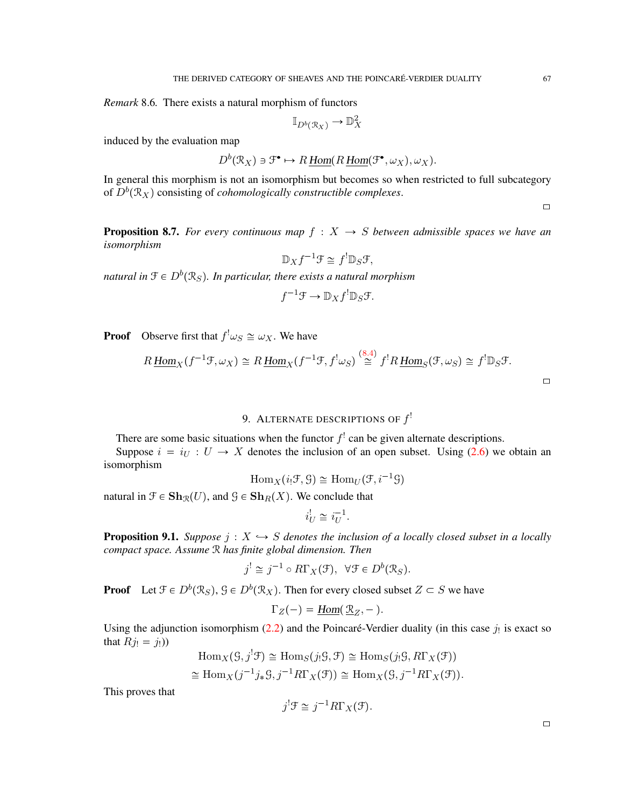*Remark* 8.6*.* There exists a natural morphism of functors

$$
\mathbb{I}_{D^b(\mathcal{R}_X)} \to \mathbb{D}_X^2
$$

induced by the evaluation map

$$
D^b(\mathcal{R}_X) \ni \mathfrak{F}^\bullet \mapsto R\underline{\text{ Hom}}(R\underline{\text{ Hom}}(\mathfrak{F}^\bullet, \omega_X), \omega_X).
$$

In general this morphism is not an isomorphism but becomes so when restricted to full subcategory of  $D^b(\mathcal{R}_X)$  consisting of *cohomologically constructible complexes*.

 $\Box$ 

 $\Box$ 

<span id="page-66-0"></span>**Proposition 8.7.** *For every continuous map*  $f : X \rightarrow S$  *between admissible spaces we have an isomorphism*

$$
\mathbb{D}_X f^{-1} \mathcal{F} \cong f^!\mathbb{D}_S \mathcal{F},
$$

natural in  $\mathfrak{F}\in D^b(\mathfrak{R}_S).$  In particular, there exists a natural morphism

$$
f^{-1}\mathcal{F} \to \mathbb{D}_X f^!\mathbb{D}_S \mathcal{F}.
$$

**Proof** Observe first that  $f^! \omega_S \cong \omega_X$ . We have

$$
R\underline{\operatorname{Hom}}_X(f^{-1}\mathfrak{F},\omega_X)\cong R\underline{\operatorname{Hom}}_X(f^{-1}\mathfrak{F},f^!\omega_S)\stackrel{(8.4)}{\cong}f^!R\underline{\operatorname{Hom}}_S(\mathfrak{F},\omega_S)\cong f^!\mathbb{D}_S\mathfrak{F}.
$$

# 9. ALTERNATE DESCRIPTIONS OF  $f^!$

There are some basic situations when the functor  $f^!$  can be given alternate descriptions.

Suppose  $i = i_U : U \rightarrow X$  denotes the inclusion of an open subset. Using [\(2.6\)](#page-20-0) we obtain an isomorphism

$$
\operatorname{Hom}_X(i_!\mathcal{F}, \mathcal{G}) \cong \operatorname{Hom}_U(\mathcal{F}, i^{-1}\mathcal{G})
$$

natural in  $\mathcal{F} \in \mathbf{Sh}_{\mathcal{R}}(U)$ , and  $\mathcal{G} \in \mathbf{Sh}_{R}(X)$ . We conclude that

$$
i_U^! \cong i_U^{-1}.
$$

**Proposition 9.1.** *Suppose*  $j: X \rightarrow S$  *denotes the inclusion of a locally closed subset in a locally compact space. Assume* R *has finite global dimension. Then*

$$
j^{!} \cong j^{-1} \circ R\Gamma_X(\mathcal{F}), \ \ \forall \mathcal{F} \in D^b(\mathcal{R}_S).
$$

**Proof** Let  $\mathcal{F} \in D^b(\mathcal{R}_S)$ ,  $\mathcal{G} \in D^b(\mathcal{R}_X)$ . Then for every closed subset  $Z \subset S$  we have

$$
\Gamma_Z(-) = \underline{\text{Hom}}(\underline{\mathfrak{R}}_Z, -).
$$

Using the adjunction isomorphism  $(2.2)$  and the Poincaré-Verdier duality (in this case  $j_!$  is exact so that  $Rj_! = j_!)$ 

$$
\text{Hom}_X(\mathcal{G}, j^!\mathcal{F}) \cong \text{Hom}_S(j_!\mathcal{G}, \mathcal{F}) \cong \text{Hom}_S(j_!\mathcal{G}, R\Gamma_X(\mathcal{F}))
$$
  

$$
\cong \text{Hom}_X(j^{-1}j_*\mathcal{G}, j^{-1}R\Gamma_X(\mathcal{F})) \cong \text{Hom}_X(\mathcal{G}, j^{-1}R\Gamma_X(\mathcal{F})).
$$

This proves that

$$
j^{!}\mathcal{F} \cong j^{-1}R\Gamma_X(\mathcal{F}).
$$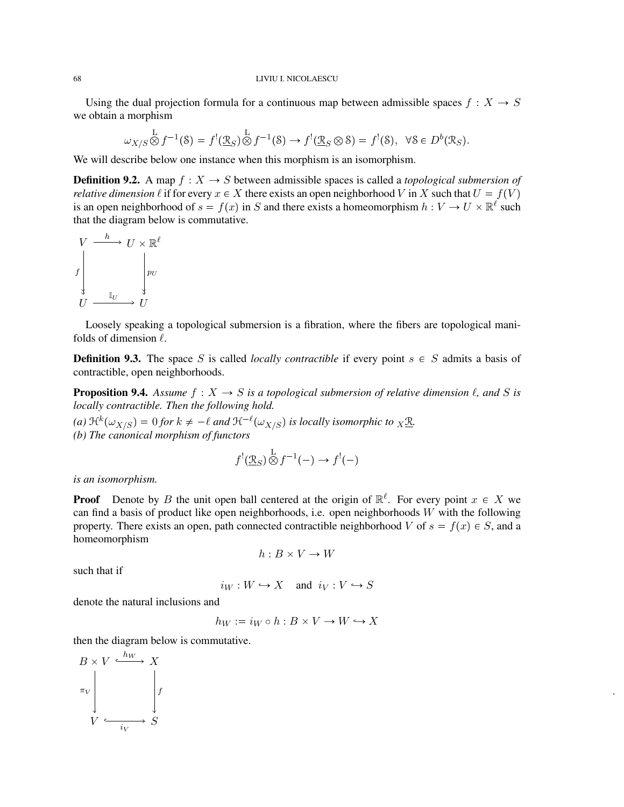### LIVIU I. NICOLAESCU

Using the dual projection formula for a continuous map between admissible spaces  $f : X \to S$ we obtain a morphism

$$
\omega_{X/S} \overset{\mathcal{L}}{\otimes} f^{-1}(\mathcal{S}) = f^{!}(\underline{\mathfrak{R}}_{S}) \overset{\mathcal{L}}{\otimes} f^{-1}(\mathcal{S}) \to f^{!}(\underline{\mathfrak{R}}_{S} \otimes \mathcal{S}) = f^{!}(\mathcal{S}), \quad \forall \mathcal{S} \in D^{b}(\mathfrak{R}_{S}).
$$

We will describe below one instance when this morphism is an isomorphism.

**Definition 9.2.** A map  $f : X \to S$  between admissible spaces is called a *topological submersion of relative dimension*  $\ell$  if for every  $x \in X$  there exists an open neighborhood V in X such that  $U = f(V)$ is an open neighborhood of  $s = f(x)$  in S and there exists a homeomorphism  $h : V \to U \times \mathbb{R}^{\ell}$  such that the diagram below is commutative.



Loosely speaking a topological submersion is a fibration, where the fibers are topological manifolds of dimension  $\ell$ .

**Definition 9.3.** The space S is called *locally contractible* if every point  $s \in S$  admits a basis of contractible, open neighborhoods.

**Proposition 9.4.** Assume  $f : X \to S$  is a topological submersion of relative dimension  $\ell$ , and S is *locally contractible. Then the following hold.*

(a)  $\mathfrak{R}^k(\omega_{X/S}) = 0$  for  $k \neq -\ell$  and  $\mathfrak{R}^{-\ell}(\omega_{X/S})$  is locally isomorphic to  $_X \underline{\mathfrak{R}}$ . *(b) The canonical morphism of functors*

$$
f^{!}(\underline{\mathcal{R}}_{S}) \overset{\mathcal{L}}{\otimes} f^{-1}(-) \to f^{!}(-)
$$

*is an isomorphism.*

**Proof** Denote by B the unit open ball centered at the origin of  $\mathbb{R}^{\ell}$ . For every point  $x \in X$  we can find a basis of product like open neighborhoods, i.e. open neighborhoods  $W$  with the following property. There exists an open, path connected contractible neighborhood V of  $s = f(x) \in S$ , and a homeomorphism

$$
h:B\times V\to W
$$

such that if

$$
i_W: W \hookrightarrow X \quad \text{and} \quad i_V: V \hookrightarrow S
$$

denote the natural inclusions and

 $h_W := i_W \circ h : B \times V \to W \hookrightarrow X$ 

.

then the diagram below is commutative.

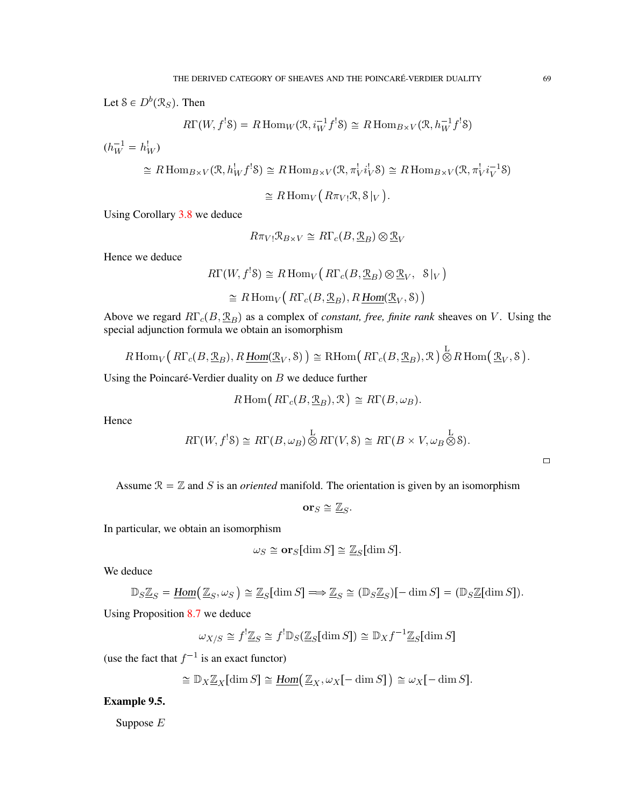Let  $S \in D^b(\mathcal{R}_S)$ . Then

$$
R\Gamma(W, f^{!}S) = R\operatorname{Hom}_{W}(\mathfrak{R}, i_{W}^{-1}f^{!}S) \cong R\operatorname{Hom}_{B \times V}(\mathfrak{R}, h_{W}^{-1}f^{!}S)
$$

 $(h_W^{-1} = h_W^!)$  $\cong R \operatorname{Hom}_{B \times V}(\mathcal{R}, h_W^! f^! \mathcal{S}) \cong R \operatorname{Hom}_{B \times V}(\mathcal{R}, \pi_V^! i_V^! \mathcal{S}) \cong R \operatorname{Hom}_{B \times V}(\mathcal{R}, \pi_V^! i_V^{-1} \mathcal{S})$  $\cong R\operatorname{Hom}_V(R\pi_{V!}\mathcal{R}, \mathcal{S}|_V).$ 

Using Corollary [3.8](#page-34-0) we deduce

$$
R\pi_{V!}\mathfrak{R}_{B\times V}\cong R\Gamma_{c}(B,\underline{\mathfrak{R}}_{B})\otimes \underline{\mathfrak{R}}_{V}
$$

Hence we deduce

$$
R\Gamma(W, f^{!}S) \cong R\operatorname{Hom}_{V}( R\Gamma_{c}(B, \underline{\mathfrak{R}}_{B}) \otimes \underline{\mathfrak{R}}_{V}, S|_{V})
$$
  

$$
\cong R\operatorname{Hom}_{V}( R\Gamma_{c}(B, \underline{\mathfrak{R}}_{B}), R\underline{Hom}(\underline{\mathfrak{R}}_{V}, S))
$$

Above we regard  $R\Gamma_c(B,\underline{\mathfrak{R}}_B)$  as a complex of *constant, free, finite rank* sheaves on V. Using the special adjunction formula we obtain an isomorphism

$$
R\operatorname{Hom}_V(R\Gamma_c(B,\underline{\mathfrak{R}}_B),R\underline{\operatorname{Hom}}(\underline{\mathfrak{R}}_V,\mathcal{S}))\cong\operatorname{RHom}(R\Gamma_c(B,\underline{\mathfrak{R}}_B),\mathfrak{R})\overset{\mathbf{L}}{\otimes}R\operatorname{Hom}(\underline{\mathfrak{R}}_V,\mathcal{S}).
$$

Using the Poincaré-Verdier duality on  $B$  we deduce further

$$
R\operatorname{Hom}(R\Gamma_c(B,\underline{\mathfrak{R}}_B),\mathfrak{R})\cong R\Gamma(B,\omega_B).
$$

Hence

$$
R\Gamma(W, f^{!}S) \cong R\Gamma(B, \omega_{B}) \overset{\mathcal{L}}{\otimes} R\Gamma(V, S) \cong R\Gamma(B \times V, \omega_{B} \overset{\mathcal{L}}{\otimes} S).
$$

 $\Box$ 

Assume  $\mathcal{R} = \mathbb{Z}$  and S is an *oriented* manifold. The orientation is given by an isomorphism

$$
\mathbf{or}_S \cong \underline{\mathbb{Z}}_S.
$$

In particular, we obtain an isomorphism

$$
\omega_S \cong \mathbf{or}_S[\dim S] \cong \mathbb{Z}_S[\dim S].
$$

We deduce

$$
\mathbb{D}_S \underline{\mathbb{Z}}_S = \underline{\text{Hom}}(\underline{\mathbb{Z}}_S, \omega_S) \cong \underline{\mathbb{Z}}_S[\dim S] \Longrightarrow \underline{\mathbb{Z}}_S \cong (\mathbb{D}_S \underline{\mathbb{Z}}_S)[-\dim S] = (\mathbb{D}_S \underline{\mathbb{Z}}[\dim S]).
$$

Using Proposition [8.7](#page-66-0) we deduce

$$
\omega_{X/S} \cong f^! \underline{\mathbb{Z}}_S \cong f^! \mathbb{D}_S (\underline{\mathbb{Z}}_S [\dim S]) \cong \mathbb{D}_X f^{-1} \underline{\mathbb{Z}}_S [\dim S]
$$

(use the fact that  $f^{-1}$  is an exact functor)

$$
\cong \mathbb{D}_X \mathbb{Z}_X[\dim S] \cong \underline{\text{Hom}}(\mathbb{Z}_X, \omega_X[-\dim S]) \cong \omega_X[-\dim S].
$$

Example 9.5.

Suppose E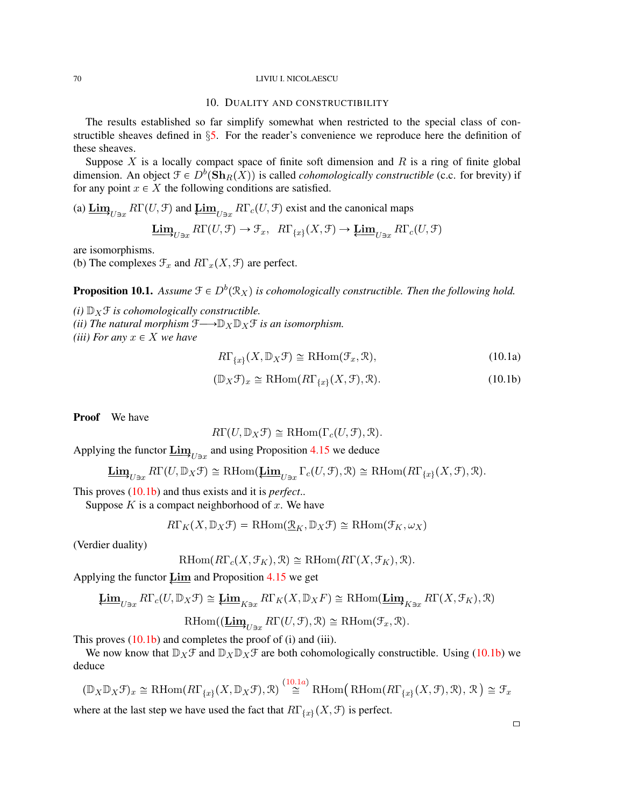### 70 LIVIU I. NICOLAESCU

### 10. DUALITY AND CONSTRUCTIBILITY

The results established so far simplify somewhat when restricted to the special class of constructible sheaves defined in §[5.](#page-46-0) For the reader's convenience we reproduce here the definition of these sheaves.

Suppose  $X$  is a locally compact space of finite soft dimension and  $R$  is a ring of finite global dimension. An object  $\mathcal{F} \in D^b(\mathbf{Sh}_R(X))$  is called *cohomologically constructible* (c.c. for brevity) if for any point  $x \in X$  the following conditions are satisfied.

(a)  $\underline{\lim}_{U \ni x} R\Gamma(U, \mathcal{F})$  and  $\underline{\lim}_{U \ni x} R\Gamma_c(U, \mathcal{F})$  exist and the canonical maps

$$
\underline{\mathbf{Lim}}_{U\ni x} R\Gamma(U,\mathcal{F}) \to \mathcal{F}_x, \ R\Gamma_{\{x\}}(X,\mathcal{F}) \to \underline{\mathbf{Lim}}_{U\ni x} R\Gamma_c(U,\mathcal{F})
$$

are isomorphisms.

(b) The complexes  $\mathcal{F}_x$  and  $R\Gamma_x(X, \mathcal{F})$  are perfect.

**Proposition 10.1.** Assume  $\mathcal{F} \in D^b(\mathcal{R}_X)$  is cohomologically constructible. Then the following hold.

*(i)*  $\mathbb{D}_X$  *f is cohomologically constructible.* 

*(ii) The natural morphism*  $\mathfrak{F} \longrightarrow \mathbb{D}_X \mathbb{D}_X \mathfrak{F}$  *is an isomorphism.* 

*(iii) For any*  $x \in X$  *we have* 

<span id="page-69-1"></span>
$$
R\Gamma_{\{x\}}(X,\mathbb{D}_X\mathcal{F})\cong\mathrm{RHom}(\mathcal{F}_x,\mathcal{R}),\tag{10.1a}
$$

<span id="page-69-0"></span>
$$
(\mathbb{D}_X \mathcal{F})_x \cong \mathrm{RHom}(\mathrm{R}\Gamma_{\{x\}}(X,\mathcal{F}),\mathcal{R}).\tag{10.1b}
$$

Proof We have

$$
R\Gamma(U,\mathbb{D}_X\mathcal{F})\cong\mathrm{RHom}(\Gamma_c(U,\mathcal{F}),\mathcal{R}).
$$

Applying the functor  $\underline{\lim}_{U \ni x}$  and using Proposition [4.15](#page-44-0) we deduce

$$
\underline{\mathbf{Lim}}_{U\ni x}R\Gamma(U,\mathbb{D}_X\mathfrak{F})\cong\mathrm{RHom}(\underline{\mathbf{Lim}}_{U\ni x}\Gamma_c(U,\mathfrak{F}),\mathfrak{R})\cong\mathrm{RHom}(R\Gamma_{\{x\}}(X,\mathfrak{F}),\mathfrak{R}).
$$

This proves [\(10.1b\)](#page-69-0) and thus exists and it is *perfect*..

Suppose  $K$  is a compact neighborhood of  $x$ . We have

$$
R\Gamma_K(X,\mathbb{D}_X\mathfrak{F})=\operatorname{RHom}(\underline{\mathfrak{R}}_K,\mathbb{D}_X\mathfrak{F})\cong\operatorname{RHom}(\mathfrak{F}_K,\omega_X)
$$

(Verdier duality)

$$
\mathrm{RHom}(R\Gamma_c(X,\mathcal{F}_K),\mathcal{R})\cong\mathrm{RHom}(R\Gamma(X,\mathcal{F}_K),\mathcal{R}).
$$

Applying the functor  $\varprojlim$  and Proposition [4.15](#page-44-0) we get

$$
\operatorname{\mathbf{Lim}}_{U\ni x}R\Gamma_c(U,\mathbb{D}_X\mathfrak{F})\cong\operatorname{\mathbf{Lim}}_{K\ni x}R\Gamma_K(X,\mathbb{D}_XF)\cong\operatorname{RHom}(\operatorname{\mathbf{Lim}}_{K\ni x}R\Gamma(X,\mathfrak{F}_K),\mathfrak{R})
$$

RHom( $(\underline{\mathbf{Lim}}_{U \ni x} R\Gamma(U, \mathcal{F}), \mathcal{R}) \cong \mathrm{RHom}(\mathcal{F}_x, \mathcal{R}).$ 

This proves  $(10.1b)$  and completes the proof of (i) and (iii).

We now know that  $\mathbb{D}_X\mathcal{F}$  and  $\mathbb{D}_X\mathcal{D}_X\mathcal{F}$  are both cohomologically constructible. Using [\(10.1b\)](#page-69-0) we deduce

$$
(\mathbb{D}_X \mathbb{D}_X \mathcal{F})_x \cong \mathrm{RHom}(R\Gamma_{\{x\}}(X, \mathbb{D}_X \mathcal{F}), \mathcal{R}) \stackrel{(10.1a)}{\cong} \mathrm{RHom}(\mathrm{RHom}(R\Gamma_{\{x\}}(X, \mathcal{F}), \mathcal{R}), \mathcal{R}) \cong \mathcal{F}_x
$$

where at the last step we have used the fact that  $R\Gamma_{\{x\}}(X,\mathcal{F})$  is perfect.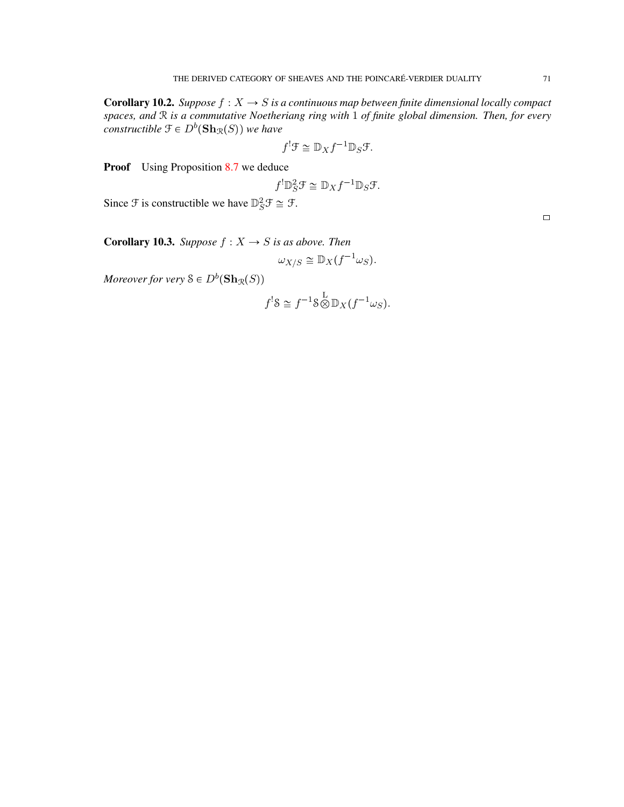**Corollary 10.2.** *Suppose*  $f : X \to S$  *is a continuous map between finite dimensional locally compact spaces, and* R *is a commutative Noetheriang ring with* 1 *of finite global dimension. Then, for every*  $constructible \ \mathfrak{F} \in D^b(\mathbf{Sh}_{\mathcal{R}}(S))$  we have

$$
f^{!}\mathcal{F} \cong \mathbb{D}_X f^{-1} \mathbb{D}_S \mathcal{F}.
$$

**Proof** Using Proposition [8.7](#page-66-0) we deduce

$$
f^!\mathbb{D}_S^2 \mathcal{F} \cong \mathbb{D}_X f^{-1} \mathbb{D}_S \mathcal{F}.
$$

Since  $\mathcal F$  is constructible we have  $\mathbb{D}_S^2 \mathcal F \cong \mathcal F$ .

**Corollary 10.3.** *Suppose*  $f : X \rightarrow S$  *is as above. Then* 

$$
\omega_{X/S} \cong \mathbb{D}_X(f^{-1}\omega_S).
$$

*Moreover for very*  $S \in D^b(\mathbf{Sh}_{\mathcal{R}}(S))$ 

$$
f^!\mathcal{S} \cong f^{-1}\mathcal{S} \overset{\mathcal{L}}{\otimes} \mathbb{D}_X(f^{-1}\omega_S).
$$